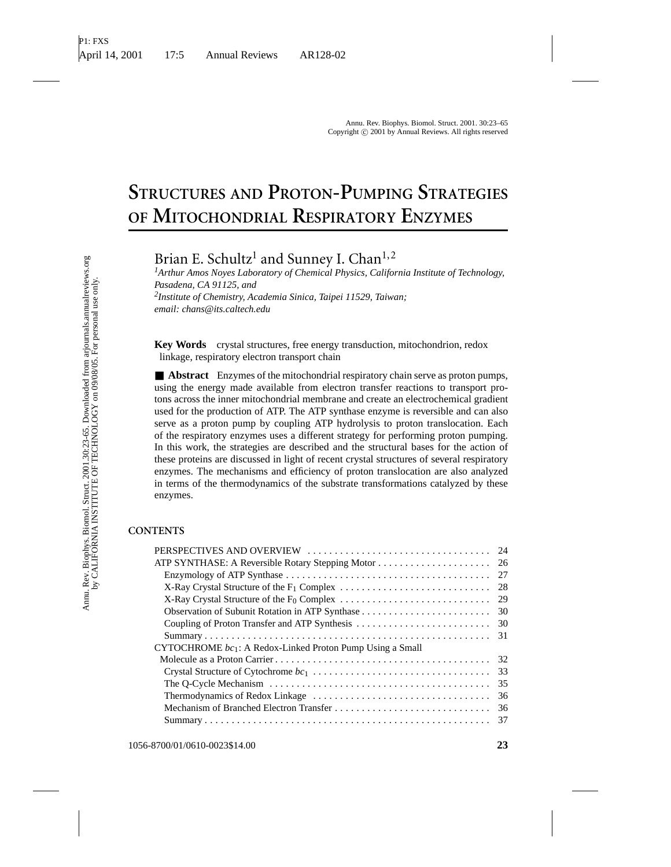# **STRUCTURES AND PROTON-PUMPING STRATEGIES OF MITOCHONDRIAL RESPIRATORY ENZYMES**

Brian E. Schultz<sup>1</sup> and Sunney I. Chan<sup>1,2</sup>

*1Arthur Amos Noyes Laboratory of Chemical Physics, California Institute of Technology, Pasadena, CA 91125, and 2Institute of Chemistry, Academia Sinica, Taipei 11529, Taiwan; email: chans@its.caltech.edu*

**Key Words** crystal structures, free energy transduction, mitochondrion, redox linkage, respiratory electron transport chain

■ **Abstract** Enzymes of the mitochondrial respiratory chain serve as proton pumps, using the energy made available from electron transfer reactions to transport protons across the inner mitochondrial membrane and create an electrochemical gradient used for the production of ATP. The ATP synthase enzyme is reversible and can also serve as a proton pump by coupling ATP hydrolysis to proton translocation. Each of the respiratory enzymes uses a different strategy for performing proton pumping. In this work, the strategies are described and the structural bases for the action of these proteins are discussed in light of recent crystal structures of several respiratory enzymes. The mechanisms and efficiency of proton translocation are also analyzed in terms of the thermodynamics of the substrate transformations catalyzed by these enzymes.

#### **CONTENTS**

|                                                                                                        | -24 |
|--------------------------------------------------------------------------------------------------------|-----|
|                                                                                                        | -26 |
|                                                                                                        | 27  |
| X-Ray Crystal Structure of the $F_1$ Complex $\dots \dots \dots \dots \dots \dots \dots \dots \dots$   | -28 |
| X-Ray Crystal Structure of the $F_0$ Complex $\dots\dots\dots\dots\dots\dots\dots\dots\dots\dots\dots$ | -29 |
|                                                                                                        |     |
|                                                                                                        |     |
|                                                                                                        |     |
| CYTOCHROME $bc_1$ : A Redox-Linked Proton Pump Using a Small                                           |     |
|                                                                                                        |     |
|                                                                                                        | 33  |
|                                                                                                        | 35  |
|                                                                                                        | 36  |
|                                                                                                        |     |
|                                                                                                        |     |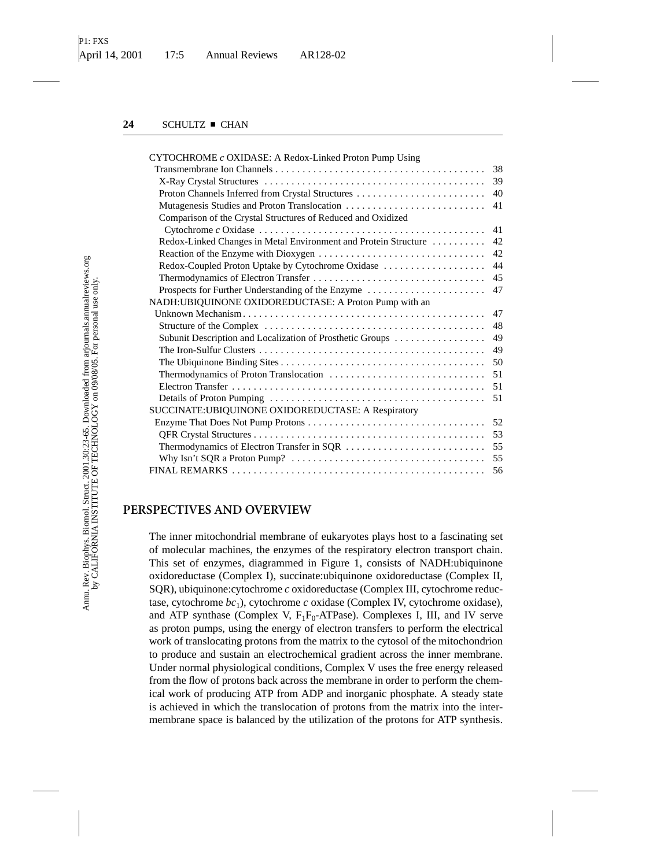| CYTOCHROME c OXIDASE: A Redox-Linked Proton Pump Using          |    |
|-----------------------------------------------------------------|----|
|                                                                 | 38 |
|                                                                 | 39 |
|                                                                 | 40 |
| Mutagenesis Studies and Proton Translocation                    | 41 |
| Comparison of the Crystal Structures of Reduced and Oxidized    |    |
|                                                                 | 41 |
| Redox-Linked Changes in Metal Environment and Protein Structure | 42 |
|                                                                 | 42 |
| Redox-Coupled Proton Uptake by Cytochrome Oxidase               | 44 |
|                                                                 | 45 |
| Prospects for Further Understanding of the Enzyme               | 47 |
| NADH:UBIQUINONE OXIDOREDUCTASE: A Proton Pump with an           |    |
|                                                                 | 47 |
|                                                                 | 48 |
| Subunit Description and Localization of Prosthetic Groups       | 49 |
|                                                                 | 49 |
|                                                                 | 50 |
|                                                                 | 51 |
|                                                                 | 51 |
|                                                                 | 51 |
| SUCCINATE: UBIQUINONE OXIDOREDUCTASE: A Respiratory             |    |
|                                                                 | 52 |
|                                                                 | 53 |
|                                                                 | 55 |
|                                                                 |    |
|                                                                 | 56 |
|                                                                 |    |

#### **PERSPECTIVES AND OVERVIEW**

The inner mitochondrial membrane of eukaryotes plays host to a fascinating set of molecular machines, the enzymes of the respiratory electron transport chain. This set of enzymes, diagrammed in Figure 1, consists of NADH:ubiquinone oxidoreductase (Complex I), succinate:ubiquinone oxidoreductase (Complex II, SQR), ubiquinone:cytochrome *c* oxidoreductase (Complex III, cytochrome reductase, cytochrome *bc*1), cytochrome *c* oxidase (Complex IV, cytochrome oxidase), and ATP synthase (Complex V,  $F_1F_0$ -ATPase). Complexes I, III, and IV serve as proton pumps, using the energy of electron transfers to perform the electrical work of translocating protons from the matrix to the cytosol of the mitochondrion to produce and sustain an electrochemical gradient across the inner membrane. Under normal physiological conditions, Complex V uses the free energy released from the flow of protons back across the membrane in order to perform the chemical work of producing ATP from ADP and inorganic phosphate. A steady state is achieved in which the translocation of protons from the matrix into the intermembrane space is balanced by the utilization of the protons for ATP synthesis.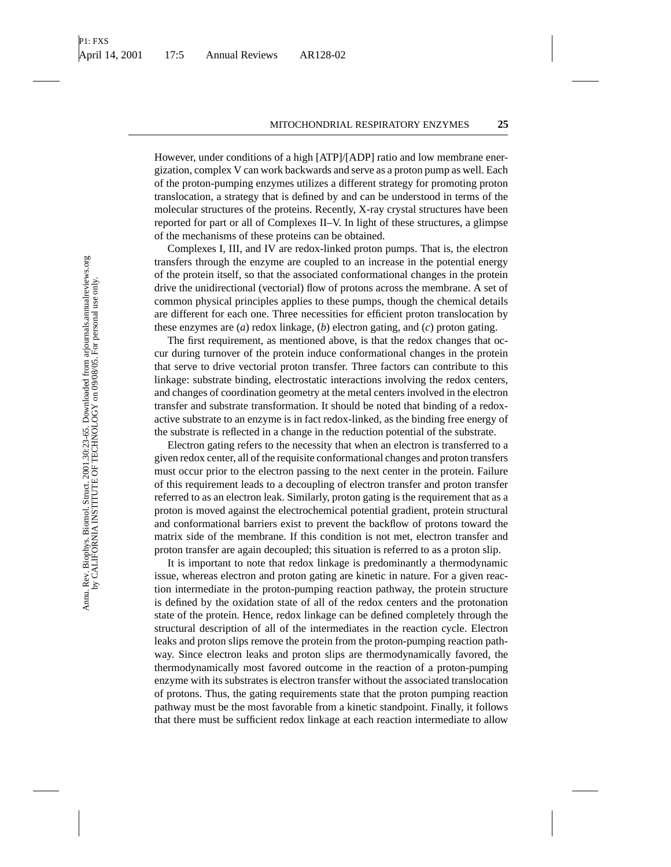However, under conditions of a high [ATP]/[ADP] ratio and low membrane energization, complex V can work backwards and serve as a proton pump as well. Each of the proton-pumping enzymes utilizes a different strategy for promoting proton translocation, a strategy that is defined by and can be understood in terms of the molecular structures of the proteins. Recently, X-ray crystal structures have been reported for part or all of Complexes II–V. In light of these structures, a glimpse of the mechanisms of these proteins can be obtained.

Complexes I, III, and IV are redox-linked proton pumps. That is, the electron transfers through the enzyme are coupled to an increase in the potential energy of the protein itself, so that the associated conformational changes in the protein drive the unidirectional (vectorial) flow of protons across the membrane. A set of common physical principles applies to these pumps, though the chemical details are different for each one. Three necessities for efficient proton translocation by these enzymes are (*a*) redox linkage, (*b*) electron gating, and (*c*) proton gating.

The first requirement, as mentioned above, is that the redox changes that occur during turnover of the protein induce conformational changes in the protein that serve to drive vectorial proton transfer. Three factors can contribute to this linkage: substrate binding, electrostatic interactions involving the redox centers, and changes of coordination geometry at the metal centers involved in the electron transfer and substrate transformation. It should be noted that binding of a redoxactive substrate to an enzyme is in fact redox-linked, as the binding free energy of the substrate is reflected in a change in the reduction potential of the substrate.

Electron gating refers to the necessity that when an electron is transferred to a given redox center, all of the requisite conformational changes and proton transfers must occur prior to the electron passing to the next center in the protein. Failure of this requirement leads to a decoupling of electron transfer and proton transfer referred to as an electron leak. Similarly, proton gating is the requirement that as a proton is moved against the electrochemical potential gradient, protein structural and conformational barriers exist to prevent the backflow of protons toward the matrix side of the membrane. If this condition is not met, electron transfer and proton transfer are again decoupled; this situation is referred to as a proton slip.

It is important to note that redox linkage is predominantly a thermodynamic issue, whereas electron and proton gating are kinetic in nature. For a given reaction intermediate in the proton-pumping reaction pathway, the protein structure is defined by the oxidation state of all of the redox centers and the protonation state of the protein. Hence, redox linkage can be defined completely through the structural description of all of the intermediates in the reaction cycle. Electron leaks and proton slips remove the protein from the proton-pumping reaction pathway. Since electron leaks and proton slips are thermodynamically favored, the thermodynamically most favored outcome in the reaction of a proton-pumping enzyme with its substrates is electron transfer without the associated translocation of protons. Thus, the gating requirements state that the proton pumping reaction pathway must be the most favorable from a kinetic standpoint. Finally, it follows that there must be sufficient redox linkage at each reaction intermediate to allow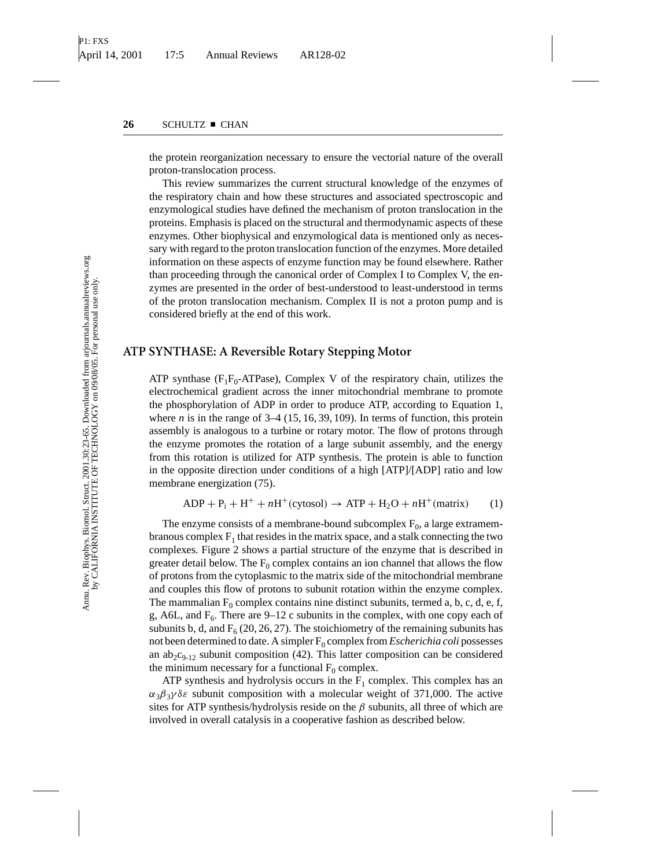the protein reorganization necessary to ensure the vectorial nature of the overall proton-translocation process.

This review summarizes the current structural knowledge of the enzymes of the respiratory chain and how these structures and associated spectroscopic and enzymological studies have defined the mechanism of proton translocation in the proteins. Emphasis is placed on the structural and thermodynamic aspects of these enzymes. Other biophysical and enzymological data is mentioned only as necessary with regard to the proton translocation function of the enzymes. More detailed information on these aspects of enzyme function may be found elsewhere. Rather than proceeding through the canonical order of Complex I to Complex V, the enzymes are presented in the order of best-understood to least-understood in terms of the proton translocation mechanism. Complex II is not a proton pump and is considered briefly at the end of this work.

### **ATP SYNTHASE: A Reversible Rotary Stepping Motor**

ATP synthase ( $F_1F_0$ -ATPase), Complex V of the respiratory chain, utilizes the electrochemical gradient across the inner mitochondrial membrane to promote the phosphorylation of ADP in order to produce ATP, according to Equation 1, where *n* is in the range of  $3-4$  (15, 16, 39, 109). In terms of function, this protein assembly is analogous to a turbine or rotary motor. The flow of protons through the enzyme promotes the rotation of a large subunit assembly, and the energy from this rotation is utilized for ATP synthesis. The protein is able to function in the opposite direction under conditions of a high [ATP]/[ADP] ratio and low membrane energization (75).

$$
ADP + P_i + H^+ + nH^+(\text{cytosol}) \rightarrow ATP + H_2O + nH^+(\text{matrix})
$$
 (1)

The enzyme consists of a membrane-bound subcomplex  $F_0$ , a large extramembranous complex  $F_1$  that resides in the matrix space, and a stalk connecting the two complexes. Figure 2 shows a partial structure of the enzyme that is described in greater detail below. The  $F_0$  complex contains an ion channel that allows the flow of protons from the cytoplasmic to the matrix side of the mitochondrial membrane and couples this flow of protons to subunit rotation within the enzyme complex. The mammalian  $F_0$  complex contains nine distinct subunits, termed a, b, c, d, e, f, g, A6L, and  $F_6$ . There are 9–12 c subunits in the complex, with one copy each of subunits b, d, and  $F_6$  (20, 26, 27). The stoichiometry of the remaining subunits has not been determined to date. A simpler  $F_0$  complex from *Escherichia coli* possesses an ab<sub>2</sub>c<sub>9-12</sub> subunit composition (42). This latter composition can be considered the minimum necessary for a functional  $F_0$  complex.

ATP synthesis and hydrolysis occurs in the  $F_1$  complex. This complex has an  $\alpha_3\beta_3\gamma\delta\epsilon$  subunit composition with a molecular weight of 371,000. The active sites for ATP synthesis/hydrolysis reside on the  $\beta$  subunits, all three of which are involved in overall catalysis in a cooperative fashion as described below.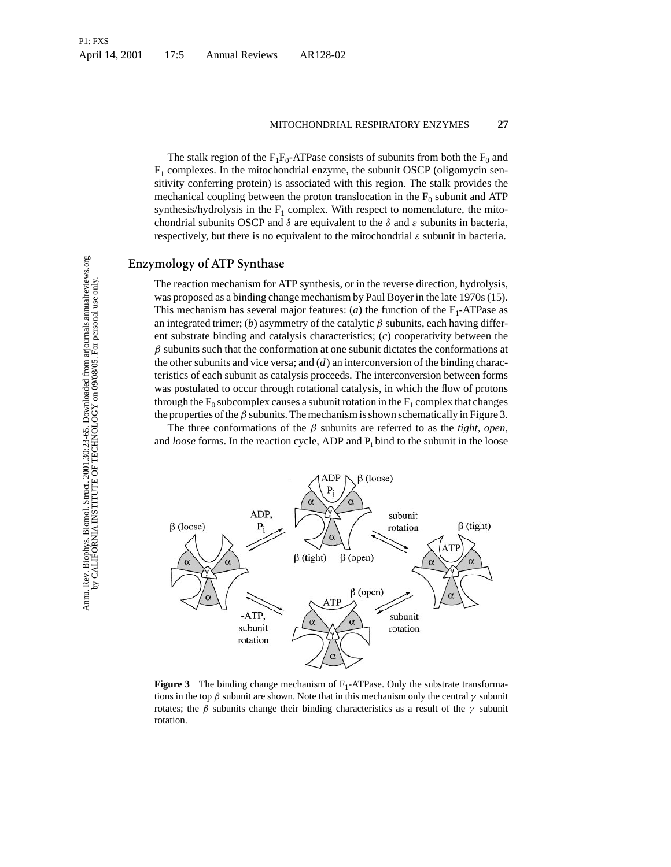The stalk region of the  $F_1F_0$ -ATPase consists of subunits from both the  $F_0$  and  $F_1$  complexes. In the mitochondrial enzyme, the subunit OSCP (oligomycin sensitivity conferring protein) is associated with this region. The stalk provides the mechanical coupling between the proton translocation in the  $F_0$  subunit and ATP synthesis/hydrolysis in the  $F_1$  complex. With respect to nomenclature, the mitochondrial subunits OSCP and  $\delta$  are equivalent to the  $\delta$  and  $\varepsilon$  subunits in bacteria, respectively, but there is no equivalent to the mitochondrial  $\varepsilon$  subunit in bacteria.

### **Enzymology of ATP Synthase**

The reaction mechanism for ATP synthesis, or in the reverse direction, hydrolysis, was proposed as a binding change mechanism by Paul Boyer in the late 1970s (15). This mechanism has several major features: (*a*) the function of the  $F_1$ -ATPase as an integrated trimer; (b) asymmetry of the catalytic  $\beta$  subunits, each having different substrate binding and catalysis characteristics; (*c*) cooperativity between the  $\beta$  subunits such that the conformation at one subunit dictates the conformations at the other subunits and vice versa; and (*d*) an interconversion of the binding characteristics of each subunit as catalysis proceeds. The interconversion between forms was postulated to occur through rotational catalysis, in which the flow of protons through the  $F_0$  subcomplex causes a subunit rotation in the  $F_1$  complex that changes the properties of the  $\beta$  subunits. The mechanism is shown schematically in Figure 3.

The three conformations of the  $\beta$  subunits are referred to as the *tight, open*, and *loose* forms. In the reaction cycle, ADP and P<sub>i</sub> bind to the subunit in the loose



**Figure 3** The binding change mechanism of  $F_1$ -ATPase. Only the substrate transformations in the top  $\beta$  subunit are shown. Note that in this mechanism only the central  $\gamma$  subunit rotates; the β subunits change their binding characteristics as a result of the  $\gamma$  subunit rotation.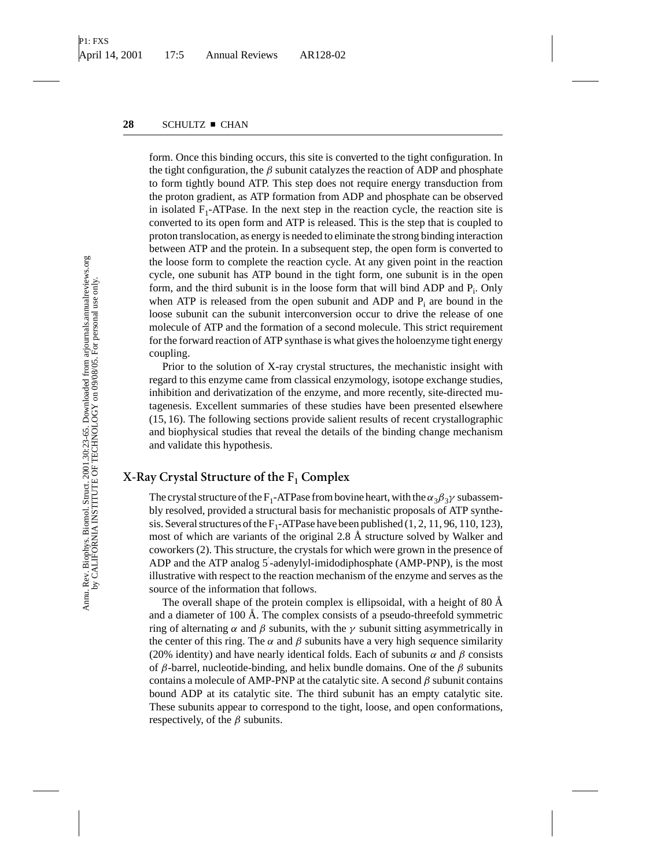form. Once this binding occurs, this site is converted to the tight configuration. In the tight configuration, the  $\beta$  subunit catalyzes the reaction of ADP and phosphate to form tightly bound ATP. This step does not require energy transduction from the proton gradient, as ATP formation from ADP and phosphate can be observed in isolated  $F_1$ -ATPase. In the next step in the reaction cycle, the reaction site is converted to its open form and ATP is released. This is the step that is coupled to proton translocation, as energy is needed to eliminate the strong binding interaction between ATP and the protein. In a subsequent step, the open form is converted to the loose form to complete the reaction cycle. At any given point in the reaction cycle, one subunit has ATP bound in the tight form, one subunit is in the open form, and the third subunit is in the loose form that will bind ADP and  $P_i$ . Only when ATP is released from the open subunit and ADP and  $P_i$  are bound in the loose subunit can the subunit interconversion occur to drive the release of one molecule of ATP and the formation of a second molecule. This strict requirement for the forward reaction of ATP synthase is what gives the holoenzyme tight energy coupling.

Prior to the solution of X-ray crystal structures, the mechanistic insight with regard to this enzyme came from classical enzymology, isotope exchange studies, inhibition and derivatization of the enzyme, and more recently, site-directed mutagenesis. Excellent summaries of these studies have been presented elsewhere (15, 16). The following sections provide salient results of recent crystallographic and biophysical studies that reveal the details of the binding change mechanism and validate this hypothesis.

### **X-Ray Crystal Structure of the F1 Complex**

The crystal structure of the F<sub>1</sub>-ATPase from bovine heart, with the  $\alpha_3\beta_3\gamma$  subassembly resolved, provided a structural basis for mechanistic proposals of ATP synthesis. Several structures of the  $F_1$ -ATPase have been published (1, 2, 11, 96, 110, 123), most of which are variants of the original 2.8  $\AA$  structure solved by Walker and coworkers (2). This structure, the crystals for which were grown in the presence of ADP and the ATP analog 5'-adenylyl-imidodiphosphate (AMP-PNP), is the most illustrative with respect to the reaction mechanism of the enzyme and serves as the source of the information that follows.

The overall shape of the protein complex is ellipsoidal, with a height of 80 Å and a diameter of 100 Å. The complex consists of a pseudo-threefold symmetric ring of alternating  $\alpha$  and  $\beta$  subunits, with the  $\gamma$  subunit sitting asymmetrically in the center of this ring. The  $\alpha$  and  $\beta$  subunits have a very high sequence similarity (20% identity) and have nearly identical folds. Each of subunits  $\alpha$  and  $\beta$  consists of  $\beta$ -barrel, nucleotide-binding, and helix bundle domains. One of the  $\beta$  subunits contains a molecule of AMP-PNP at the catalytic site. A second  $\beta$  subunit contains bound ADP at its catalytic site. The third subunit has an empty catalytic site. These subunits appear to correspond to the tight, loose, and open conformations, respectively, of the  $\beta$  subunits.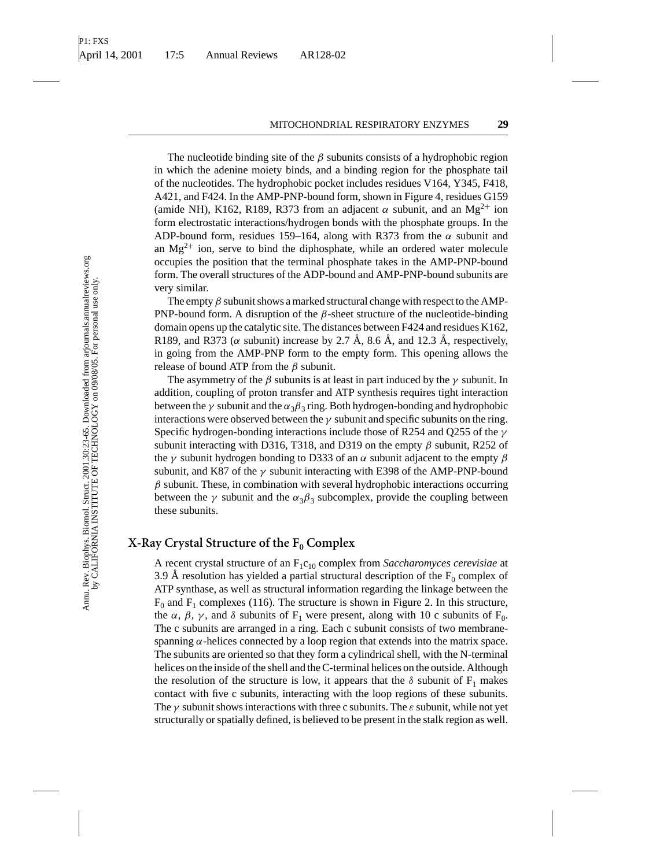The nucleotide binding site of the  $\beta$  subunits consists of a hydrophobic region in which the adenine moiety binds, and a binding region for the phosphate tail of the nucleotides. The hydrophobic pocket includes residues V164, Y345, F418, A421, and F424. In the AMP-PNP-bound form, shown in Figure 4, residues G159 (amide NH), K162, R189, R373 from an adjacent  $\alpha$  subunit, and an Mg<sup>2+</sup> ion form electrostatic interactions/hydrogen bonds with the phosphate groups. In the ADP-bound form, residues 159–164, along with R373 from the  $\alpha$  subunit and an  $Mg^{2+}$  ion, serve to bind the diphosphate, while an ordered water molecule occupies the position that the terminal phosphate takes in the AMP-PNP-bound form. The overall structures of the ADP-bound and AMP-PNP-bound subunits are very similar.

The empty  $\beta$  subunit shows a marked structural change with respect to the AMP-PNP-bound form. A disruption of the  $\beta$ -sheet structure of the nucleotide-binding domain opens up the catalytic site. The distances between F424 and residues K162, R189, and R373 ( $\alpha$  subunit) increase by 2.7 Å, 8.6 Å, and 12.3 Å, respectively, in going from the AMP-PNP form to the empty form. This opening allows the release of bound ATP from the  $\beta$  subunit.

The asymmetry of the  $\beta$  subunits is at least in part induced by the  $\gamma$  subunit. In addition, coupling of proton transfer and ATP synthesis requires tight interaction between the  $\gamma$  subunit and the  $\alpha_3\beta_3$  ring. Both hydrogen-bonding and hydrophobic interactions were observed between the  $\gamma$  subunit and specific subunits on the ring. Specific hydrogen-bonding interactions include those of R254 and Q255 of the  $\gamma$ subunit interacting with D316, T318, and D319 on the empty  $\beta$  subunit, R252 of the  $\gamma$  subunit hydrogen bonding to D333 of an  $\alpha$  subunit adjacent to the empty  $\beta$ subunit, and K87 of the  $\gamma$  subunit interacting with E398 of the AMP-PNP-bound  $\beta$  subunit. These, in combination with several hydrophobic interactions occurring between the  $\gamma$  subunit and the  $\alpha_3\beta_3$  subcomplex, provide the coupling between these subunits.

### **X-Ray Crystal Structure of the F<sub>0</sub> Complex**

A recent crystal structure of an F1c10 complex from *Saccharomyces cerevisiae* at 3.9 Å resolution has yielded a partial structural description of the  $F_0$  complex of ATP synthase, as well as structural information regarding the linkage between the  $F_0$  and  $F_1$  complexes (116). The structure is shown in Figure 2. In this structure, the  $\alpha$ ,  $\beta$ ,  $\gamma$ , and  $\delta$  subunits of F<sub>1</sub> were present, along with 10 c subunits of F<sub>0</sub>. The c subunits are arranged in a ring. Each c subunit consists of two membranespanning  $\alpha$ -helices connected by a loop region that extends into the matrix space. The subunits are oriented so that they form a cylindrical shell, with the N-terminal helices on the inside of the shell and the C-terminal helices on the outside. Although the resolution of the structure is low, it appears that the  $\delta$  subunit of F<sub>1</sub> makes contact with five c subunits, interacting with the loop regions of these subunits. The  $\gamma$  subunit shows interactions with three c subunits. The  $\varepsilon$  subunit, while not yet structurally or spatially defined, is believed to be present in the stalk region as well.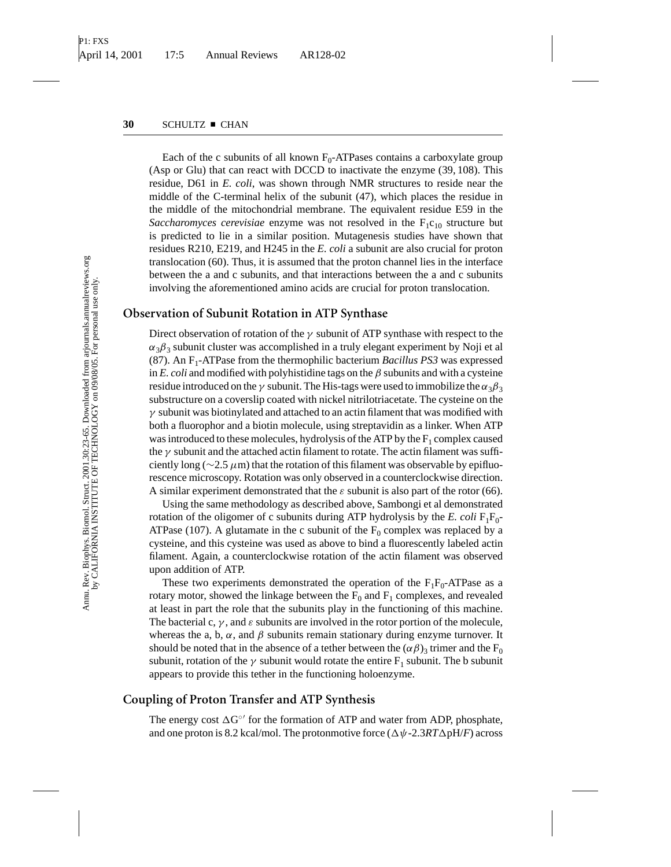Each of the c subunits of all known  $F_0$ -ATPases contains a carboxylate group (Asp or Glu) that can react with DCCD to inactivate the enzyme (39, 108). This residue, D61 in *E. coli*, was shown through NMR structures to reside near the middle of the C-terminal helix of the subunit (47), which places the residue in the middle of the mitochondrial membrane. The equivalent residue E59 in the *Saccharomyces cerevisiae* enzyme was not resolved in the  $F_1c_{10}$  structure but is predicted to lie in a similar position. Mutagenesis studies have shown that residues R210, E219, and H245 in the *E. coli* a subunit are also crucial for proton translocation (60). Thus, it is assumed that the proton channel lies in the interface between the a and c subunits, and that interactions between the a and c subunits involving the aforementioned amino acids are crucial for proton translocation.

### **Observation of Subunit Rotation in ATP Synthase**

Direct observation of rotation of the  $\gamma$  subunit of ATP synthase with respect to the  $\alpha_3\beta_3$  subunit cluster was accomplished in a truly elegant experiment by Noji et al (87). An  $F_1$ -ATPase from the thermophilic bacterium *Bacillus PS3* was expressed in *E. coli* and modified with polyhistidine tags on the  $\beta$  subunits and with a cysteine residue introduced on the  $\gamma$  subunit. The His-tags were used to immobilize the  $\alpha_3\beta_3$ substructure on a coverslip coated with nickel nitrilotriacetate. The cysteine on the  $\gamma$  subunit was biotinylated and attached to an actin filament that was modified with both a fluorophor and a biotin molecule, using streptavidin as a linker. When ATP was introduced to these molecules, hydrolysis of the ATP by the  $F_1$  complex caused the  $\gamma$  subunit and the attached actin filament to rotate. The actin filament was sufficiently long ( $\sim$ 2.5  $\mu$ m) that the rotation of this filament was observable by epifluorescence microscopy. Rotation was only observed in a counterclockwise direction. A similar experiment demonstrated that the  $\varepsilon$  subunit is also part of the rotor (66).

Using the same methodology as described above, Sambongi et al demonstrated rotation of the oligomer of c subunits during ATP hydrolysis by the *E. coli*  $F_1F_0$ -ATPase (107). A glutamate in the c subunit of the  $F_0$  complex was replaced by a cysteine, and this cysteine was used as above to bind a fluorescently labeled actin filament. Again, a counterclockwise rotation of the actin filament was observed upon addition of ATP.

These two experiments demonstrated the operation of the  $F_1F_0$ -ATPase as a rotary motor, showed the linkage between the  $F_0$  and  $F_1$  complexes, and revealed at least in part the role that the subunits play in the functioning of this machine. The bacterial c,  $\gamma$ , and  $\varepsilon$  subunits are involved in the rotor portion of the molecule, whereas the a, b,  $\alpha$ , and  $\beta$  subunits remain stationary during enzyme turnover. It should be noted that in the absence of a tether between the  $(\alpha \beta)_3$  trimer and the F<sub>0</sub> subunit, rotation of the  $\gamma$  subunit would rotate the entire  $F_1$  subunit. The b subunit appears to provide this tether in the functioning holoenzyme.

### **Coupling of Proton Transfer and ATP Synthesis**

The energy cost  $\Delta G^{\circ}$  for the formation of ATP and water from ADP, phosphate, and one proton is 8.2 kcal/mol. The protonmotive force  $(\Delta \psi - 2.3RT\Delta pH/F)$  across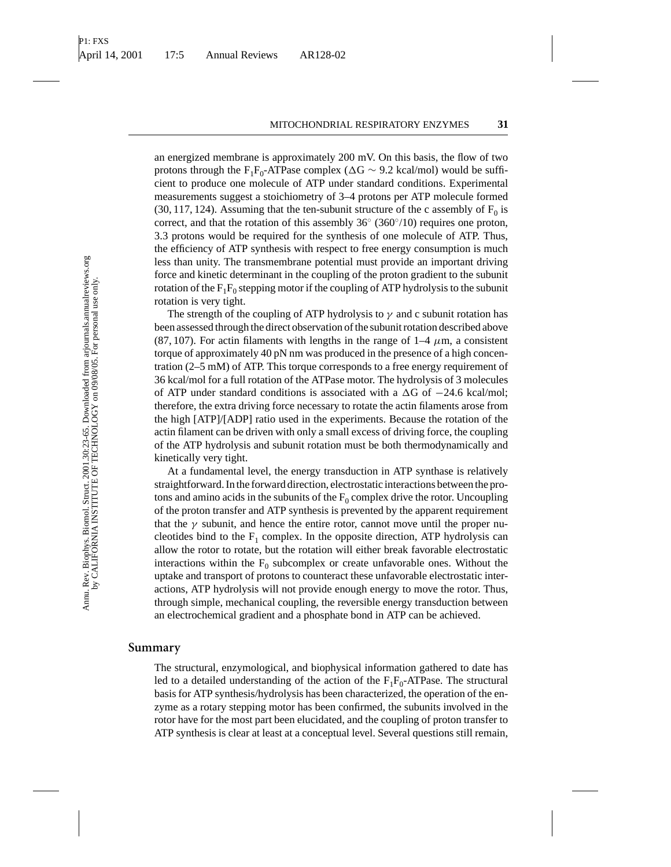an energized membrane is approximately 200 mV. On this basis, the flow of two protons through the F<sub>1</sub>F<sub>0</sub>-ATPase complex ( $\Delta G \sim 9.2$  kcal/mol) would be sufficient to produce one molecule of ATP under standard conditions. Experimental measurements suggest a stoichiometry of 3–4 protons per ATP molecule formed (30, 117, 124). Assuming that the ten-subunit structure of the c assembly of  $F_0$  is correct, and that the rotation of this assembly  $36° (360°/10)$  requires one proton, 3.3 protons would be required for the synthesis of one molecule of ATP. Thus, the efficiency of ATP synthesis with respect to free energy consumption is much less than unity. The transmembrane potential must provide an important driving force and kinetic determinant in the coupling of the proton gradient to the subunit rotation of the  $F_1F_0$  stepping motor if the coupling of ATP hydrolysis to the subunit rotation is very tight.

The strength of the coupling of ATP hydrolysis to  $\gamma$  and c subunit rotation has been assessed through the direct observation of the subunit rotation described above (87, 107). For actin filaments with lengths in the range of  $1-4 \mu m$ , a consistent torque of approximately 40 pN nm was produced in the presence of a high concentration (2–5 mM) of ATP. This torque corresponds to a free energy requirement of 36 kcal/mol for a full rotation of the ATPase motor. The hydrolysis of 3 molecules of ATP under standard conditions is associated with a  $\Delta G$  of  $-24.6$  kcal/mol; therefore, the extra driving force necessary to rotate the actin filaments arose from the high [ATP]/[ADP] ratio used in the experiments. Because the rotation of the actin filament can be driven with only a small excess of driving force, the coupling of the ATP hydrolysis and subunit rotation must be both thermodynamically and kinetically very tight.

At a fundamental level, the energy transduction in ATP synthase is relatively straightforward. In the forward direction, electrostatic interactions between the protons and amino acids in the subunits of the  $F_0$  complex drive the rotor. Uncoupling of the proton transfer and ATP synthesis is prevented by the apparent requirement that the  $\gamma$  subunit, and hence the entire rotor, cannot move until the proper nucleotides bind to the  $F_1$  complex. In the opposite direction, ATP hydrolysis can allow the rotor to rotate, but the rotation will either break favorable electrostatic interactions within the  $F_0$  subcomplex or create unfavorable ones. Without the uptake and transport of protons to counteract these unfavorable electrostatic interactions, ATP hydrolysis will not provide enough energy to move the rotor. Thus, through simple, mechanical coupling, the reversible energy transduction between an electrochemical gradient and a phosphate bond in ATP can be achieved.

#### **Summary**

The structural, enzymological, and biophysical information gathered to date has led to a detailed understanding of the action of the  $F_1F_0$ -ATPase. The structural basis for ATP synthesis/hydrolysis has been characterized, the operation of the enzyme as a rotary stepping motor has been confirmed, the subunits involved in the rotor have for the most part been elucidated, and the coupling of proton transfer to ATP synthesis is clear at least at a conceptual level. Several questions still remain,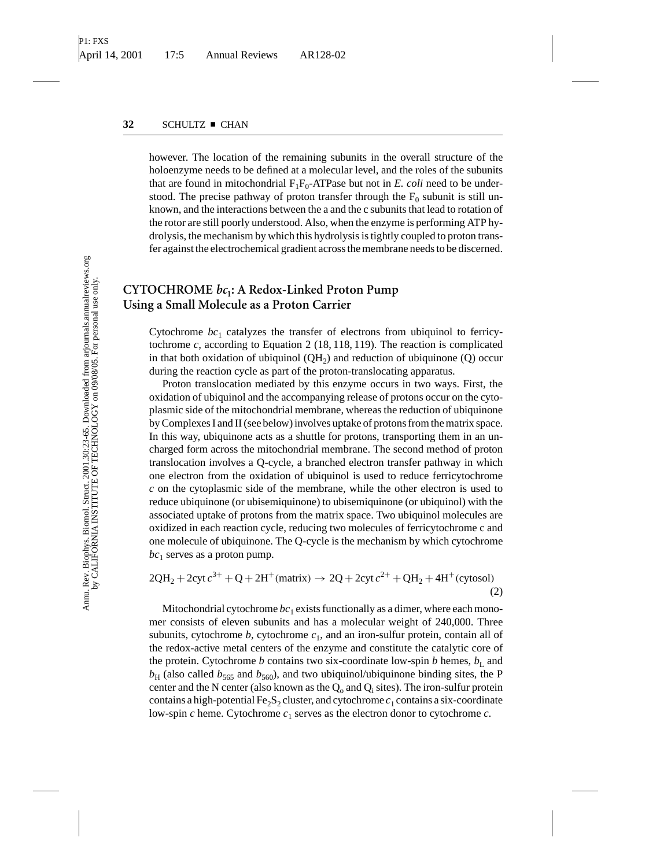however. The location of the remaining subunits in the overall structure of the holoenzyme needs to be defined at a molecular level, and the roles of the subunits that are found in mitochondrial  $F_1F_0$ -ATPase but not in *E. coli* need to be understood. The precise pathway of proton transfer through the  $F_0$  subunit is still unknown, and the interactions between the a and the c subunits that lead to rotation of the rotor are still poorly understood. Also, when the enzyme is performing ATP hydrolysis, the mechanism by which this hydrolysis is tightly coupled to proton transfer against the electrochemical gradient across the membrane needs to be discerned.

### **CYTOCHROME** *bc***1: A Redox-Linked Proton Pump Using a Small Molecule as a Proton Carrier**

Cytochrome  $bc_1$  catalyzes the transfer of electrons from ubiquinol to ferricytochrome  $c$ , according to Equation 2 (18, 118, 119). The reaction is complicated in that both oxidation of ubiquinol  $(QH<sub>2</sub>)$  and reduction of ubiquinone  $(Q)$  occur during the reaction cycle as part of the proton-translocating apparatus.

Proton translocation mediated by this enzyme occurs in two ways. First, the oxidation of ubiquinol and the accompanying release of protons occur on the cytoplasmic side of the mitochondrial membrane, whereas the reduction of ubiquinone by Complexes I and II (see below) involves uptake of protons from the matrix space. In this way, ubiquinone acts as a shuttle for protons, transporting them in an uncharged form across the mitochondrial membrane. The second method of proton translocation involves a Q-cycle, a branched electron transfer pathway in which one electron from the oxidation of ubiquinol is used to reduce ferricytochrome *c* on the cytoplasmic side of the membrane, while the other electron is used to reduce ubiquinone (or ubisemiquinone) to ubisemiquinone (or ubiquinol) with the associated uptake of protons from the matrix space. Two ubiquinol molecules are oxidized in each reaction cycle, reducing two molecules of ferricytochrome c and one molecule of ubiquinone. The Q-cycle is the mechanism by which cytochrome  $bc_1$  serves as a proton pump.

$$
2QH_2 + 2cyt c^{3+} + Q + 2H^+(matrix) \to 2Q + 2cyt c^{2+} + QH_2 + 4H^+(cytosol)
$$
\n(2)

Mitochondrial cytochrome  $bc_1$  exists functionally as a dimer, where each monomer consists of eleven subunits and has a molecular weight of 240,000. Three subunits, cytochrome  $b$ , cytochrome  $c<sub>1</sub>$ , and an iron-sulfur protein, contain all of the redox-active metal centers of the enzyme and constitute the catalytic core of the protein. Cytochrome  $b$  contains two six-coordinate low-spin  $b$  hemes,  $b<sub>L</sub>$  and  $b_H$  (also called  $b_{565}$  and  $b_{560}$ ), and two ubiquinol/ubiquinone binding sites, the P center and the N center (also known as the  $Q_0$  and  $Q_i$  sites). The iron-sulfur protein contains a high-potential  $Fe<sub>2</sub>S<sub>2</sub>$  cluster, and cytochrome  $c<sub>1</sub>$  contains a six-coordinate low-spin  $c$  heme. Cytochrome  $c_1$  serves as the electron donor to cytochrome  $c$ .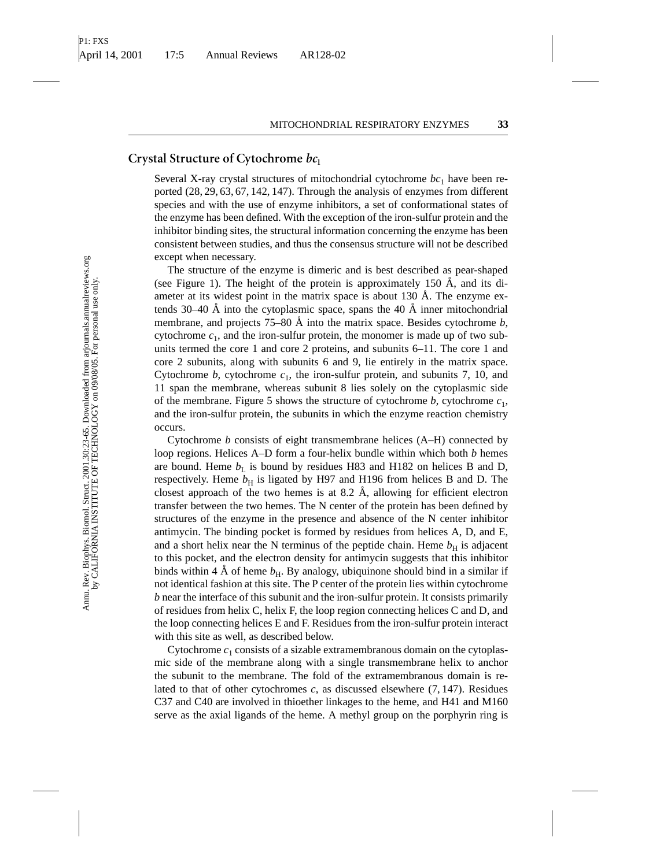### **Crystal Structure of Cytochrome** *bc***<sup>1</sup>**

Several X-ray crystal structures of mitochondrial cytochrome  $bc<sub>1</sub>$  have been reported (28, 29, 63, 67, 142, 147). Through the analysis of enzymes from different species and with the use of enzyme inhibitors, a set of conformational states of the enzyme has been defined. With the exception of the iron-sulfur protein and the inhibitor binding sites, the structural information concerning the enzyme has been consistent between studies, and thus the consensus structure will not be described except when necessary.

The structure of the enzyme is dimeric and is best described as pear-shaped (see Figure 1). The height of the protein is approximately 150  $\AA$ , and its diameter at its widest point in the matrix space is about 130 Å. The enzyme extends 30–40 Å into the cytoplasmic space, spans the 40 Å inner mitochondrial membrane, and projects  $75-80$  Å into the matrix space. Besides cytochrome  $b$ , cytochrome  $c_1$ , and the iron-sulfur protein, the monomer is made up of two subunits termed the core 1 and core 2 proteins, and subunits 6–11. The core 1 and core 2 subunits, along with subunits 6 and 9, lie entirely in the matrix space. Cytochrome  $b$ , cytochrome  $c_1$ , the iron-sulfur protein, and subunits 7, 10, and 11 span the membrane, whereas subunit 8 lies solely on the cytoplasmic side of the membrane. Figure 5 shows the structure of cytochrome  $b$ , cytochrome  $c_1$ , and the iron-sulfur protein, the subunits in which the enzyme reaction chemistry occurs.

Cytochrome *b* consists of eight transmembrane helices (A–H) connected by loop regions. Helices A–D form a four-helix bundle within which both *b* hemes are bound. Heme  $b_L$  is bound by residues H83 and H182 on helices B and D, respectively. Heme  $b_H$  is ligated by H97 and H196 from helices B and D. The closest approach of the two hemes is at 8.2  $\AA$ , allowing for efficient electron transfer between the two hemes. The N center of the protein has been defined by structures of the enzyme in the presence and absence of the N center inhibitor antimycin. The binding pocket is formed by residues from helices A, D, and E, and a short helix near the N terminus of the peptide chain. Heme  $b<sub>H</sub>$  is adjacent to this pocket, and the electron density for antimycin suggests that this inhibitor binds within 4  $\AA$  of heme  $b_H$ . By analogy, ubiquinone should bind in a similar if not identical fashion at this site. The P center of the protein lies within cytochrome *b* near the interface of this subunit and the iron-sulfur protein. It consists primarily of residues from helix C, helix F, the loop region connecting helices C and D, and the loop connecting helices E and F. Residues from the iron-sulfur protein interact with this site as well, as described below.

Cytochrome  $c_1$  consists of a sizable extramembranous domain on the cytoplasmic side of the membrane along with a single transmembrane helix to anchor the subunit to the membrane. The fold of the extramembranous domain is related to that of other cytochromes *c*, as discussed elsewhere (7, 147). Residues C37 and C40 are involved in thioether linkages to the heme, and H41 and M160 serve as the axial ligands of the heme. A methyl group on the porphyrin ring is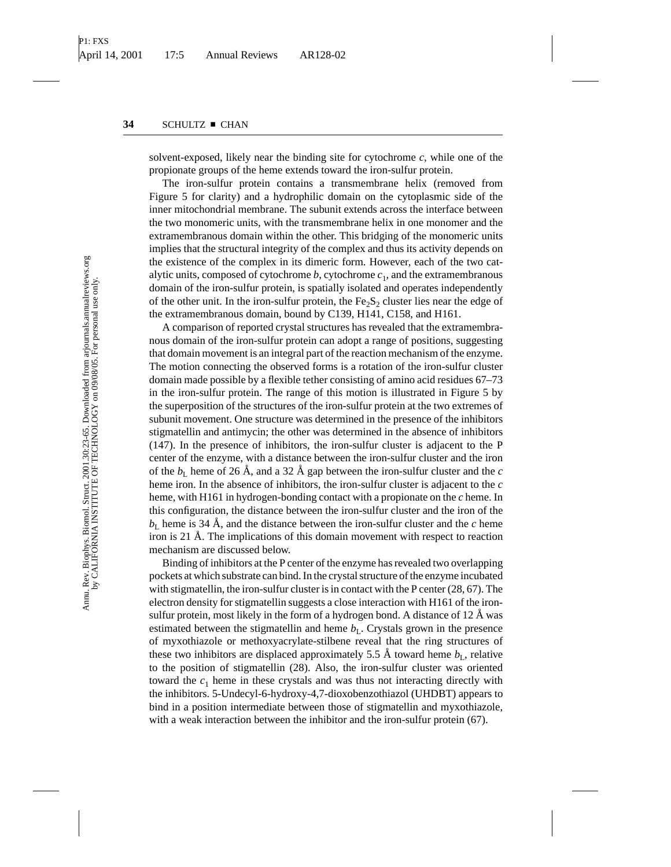solvent-exposed, likely near the binding site for cytochrome *c*, while one of the propionate groups of the heme extends toward the iron-sulfur protein.

The iron-sulfur protein contains a transmembrane helix (removed from Figure 5 for clarity) and a hydrophilic domain on the cytoplasmic side of the inner mitochondrial membrane. The subunit extends across the interface between the two monomeric units, with the transmembrane helix in one monomer and the extramembranous domain within the other. This bridging of the monomeric units implies that the structural integrity of the complex and thus its activity depends on the existence of the complex in its dimeric form. However, each of the two catalytic units, composed of cytochrome  $b$ , cytochrome  $c<sub>1</sub>$ , and the extramembranous domain of the iron-sulfur protein, is spatially isolated and operates independently of the other unit. In the iron-sulfur protein, the  $Fe<sub>2</sub>S<sub>2</sub>$  cluster lies near the edge of the extramembranous domain, bound by C139, H141, C158, and H161.

A comparison of reported crystal structures has revealed that the extramembranous domain of the iron-sulfur protein can adopt a range of positions, suggesting that domain movement is an integral part of the reaction mechanism of the enzyme. The motion connecting the observed forms is a rotation of the iron-sulfur cluster domain made possible by a flexible tether consisting of amino acid residues 67–73 in the iron-sulfur protein. The range of this motion is illustrated in Figure 5 by the superposition of the structures of the iron-sulfur protein at the two extremes of subunit movement. One structure was determined in the presence of the inhibitors stigmatellin and antimycin; the other was determined in the absence of inhibitors (147). In the presence of inhibitors, the iron-sulfur cluster is adjacent to the P center of the enzyme, with a distance between the iron-sulfur cluster and the iron of the  $b_L$  heme of 26 Å, and a 32 Å gap between the iron-sulfur cluster and the  $c$ heme iron. In the absence of inhibitors, the iron-sulfur cluster is adjacent to the *c* heme, with H161 in hydrogen-bonding contact with a propionate on the *c* heme. In this configuration, the distance between the iron-sulfur cluster and the iron of the  $b<sub>L</sub>$  heme is 34 Å, and the distance between the iron-sulfur cluster and the  $c$  heme iron is  $21$  Å. The implications of this domain movement with respect to reaction mechanism are discussed below.

Binding of inhibitors at the P center of the enzyme has revealed two overlapping pockets at which substrate can bind. In the crystal structure of the enzyme incubated with stigmatellin, the iron-sulfur cluster is in contact with the P center (28, 67). The electron density for stigmatellin suggests a close interaction with H161 of the ironsulfur protein, most likely in the form of a hydrogen bond. A distance of  $12 \text{ Å}$  was estimated between the stigmatellin and heme  $b<sub>L</sub>$ . Crystals grown in the presence of myxothiazole or methoxyacrylate-stilbene reveal that the ring structures of these two inhibitors are displaced approximately 5.5 Å toward heme  $b<sub>L</sub>$ , relative to the position of stigmatellin (28). Also, the iron-sulfur cluster was oriented toward the  $c_1$  heme in these crystals and was thus not interacting directly with the inhibitors. 5-Undecyl-6-hydroxy-4,7-dioxobenzothiazol (UHDBT) appears to bind in a position intermediate between those of stigmatellin and myxothiazole, with a weak interaction between the inhibitor and the iron-sulfur protein (67).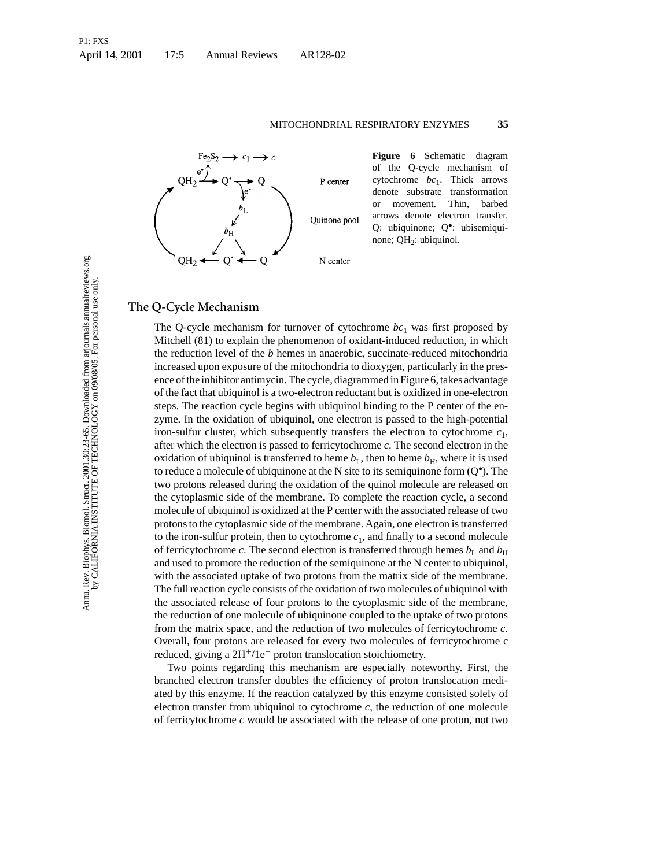

**Figure 6** Schematic diagram of the Q-cycle mechanism of cytochrome *bc*1. Thick arrows denote substrate transformation or movement. Thin, barbed arrows denote electron transfer. Q: ubiquinone; Q•: ubisemiquinone;  $QH_2$ : ubiquinol.

### **The Q-Cycle Mechanism**

The Q-cycle mechanism for turnover of cytochrome  $bc_1$  was first proposed by Mitchell (81) to explain the phenomenon of oxidant-induced reduction, in which the reduction level of the *b* hemes in anaerobic, succinate-reduced mitochondria increased upon exposure of the mitochondria to dioxygen, particularly in the presence of the inhibitor antimycin. The cycle, diagrammed in Figure 6, takes advantage of the fact that ubiquinol is a two-electron reductant but is oxidized in one-electron steps. The reaction cycle begins with ubiquinol binding to the P center of the enzyme. In the oxidation of ubiquinol, one electron is passed to the high-potential iron-sulfur cluster, which subsequently transfers the electron to cytochrome  $c_1$ , after which the electron is passed to ferricytochrome *c*. The second electron in the oxidation of ubiquinol is transferred to heme  $b_L$ , then to heme  $b_H$ , where it is used to reduce a molecule of ubiquinone at the N site to its semiquinone form (Q• ). The two protons released during the oxidation of the quinol molecule are released on the cytoplasmic side of the membrane. To complete the reaction cycle, a second molecule of ubiquinol is oxidized at the P center with the associated release of two protons to the cytoplasmic side of the membrane. Again, one electron is transferred to the iron-sulfur protein, then to cytochrome  $c<sub>1</sub>$ , and finally to a second molecule of ferricytochrome *c*. The second electron is transferred through hemes  $b_L$  and  $b_H$ and used to promote the reduction of the semiquinone at the N center to ubiquinol, with the associated uptake of two protons from the matrix side of the membrane. The full reaction cycle consists of the oxidation of two molecules of ubiquinol with the associated release of four protons to the cytoplasmic side of the membrane, the reduction of one molecule of ubiquinone coupled to the uptake of two protons from the matrix space, and the reduction of two molecules of ferricytochrome *c*. Overall, four protons are released for every two molecules of ferricytochrome c reduced, giving a  $2H^+/1e^-$  proton translocation stoichiometry.

Two points regarding this mechanism are especially noteworthy. First, the branched electron transfer doubles the efficiency of proton translocation mediated by this enzyme. If the reaction catalyzed by this enzyme consisted solely of electron transfer from ubiquinol to cytochrome *c*, the reduction of one molecule of ferricytochrome *c* would be associated with the release of one proton, not two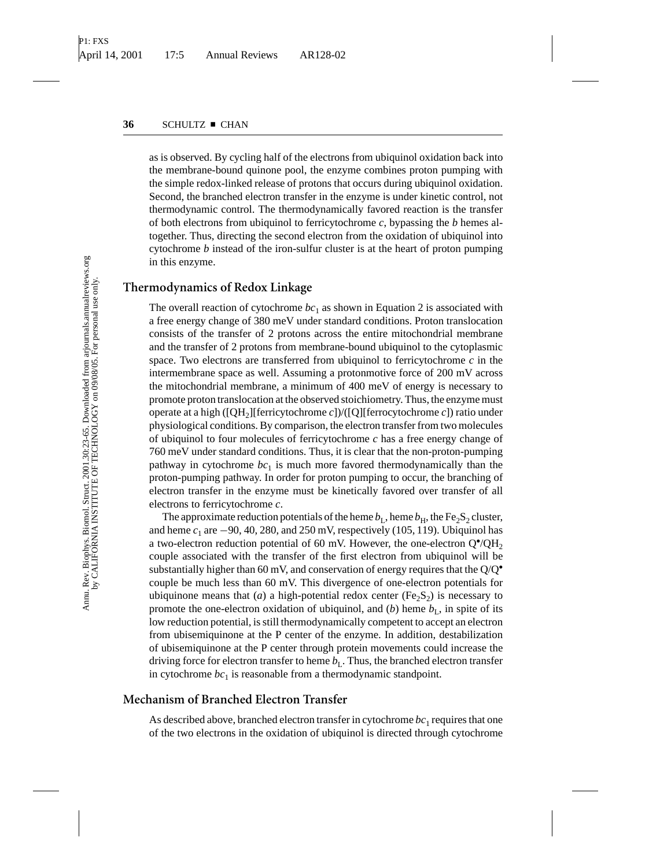as is observed. By cycling half of the electrons from ubiquinol oxidation back into the membrane-bound quinone pool, the enzyme combines proton pumping with the simple redox-linked release of protons that occurs during ubiquinol oxidation. Second, the branched electron transfer in the enzyme is under kinetic control, not thermodynamic control. The thermodynamically favored reaction is the transfer of both electrons from ubiquinol to ferricytochrome *c*, bypassing the *b* hemes altogether. Thus, directing the second electron from the oxidation of ubiquinol into cytochrome *b* instead of the iron-sulfur cluster is at the heart of proton pumping in this enzyme.

#### **Thermodynamics of Redox Linkage**

The overall reaction of cytochrome  $bc_1$  as shown in Equation 2 is associated with a free energy change of 380 meV under standard conditions. Proton translocation consists of the transfer of 2 protons across the entire mitochondrial membrane and the transfer of 2 protons from membrane-bound ubiquinol to the cytoplasmic space. Two electrons are transferred from ubiquinol to ferricytochrome *c* in the intermembrane space as well. Assuming a protonmotive force of 200 mV across the mitochondrial membrane, a minimum of 400 meV of energy is necessary to promote proton translocation at the observed stoichiometry. Thus, the enzyme must operate at a high ([QH2][ferricytochrome *c*])/([Q][ferrocytochrome *c*]) ratio under physiological conditions. By comparison, the electron transfer from two molecules of ubiquinol to four molecules of ferricytochrome *c* has a free energy change of 760 meV under standard conditions. Thus, it is clear that the non-proton-pumping pathway in cytochrome  $bc_1$  is much more favored thermodynamically than the proton-pumping pathway. In order for proton pumping to occur, the branching of electron transfer in the enzyme must be kinetically favored over transfer of all electrons to ferricytochrome *c*.

The approximate reduction potentials of the heme  $b_L$ , heme  $b_H$ , the Fe<sub>2</sub>S<sub>2</sub> cluster, and heme  $c_1$  are  $-90$ , 40, 280, and 250 mV, respectively (105, 119). Ubiquinol has a two-electron reduction potential of 60 mV. However, the one-electron  $Q^{\bullet}/QH_2$ couple associated with the transfer of the first electron from ubiquinol will be substantially higher than 60 mV, and conservation of energy requires that the  $Q/Q^{\bullet}$ couple be much less than 60 mV. This divergence of one-electron potentials for ubiquinone means that (*a*) a high-potential redox center (Fe<sub>2</sub>S<sub>2</sub>) is necessary to promote the one-electron oxidation of ubiquinol, and (*b*) heme  $b<sub>L</sub>$ , in spite of its low reduction potential, is still thermodynamically competent to accept an electron from ubisemiquinone at the P center of the enzyme. In addition, destabilization of ubisemiquinone at the P center through protein movements could increase the driving force for electron transfer to heme  $b<sub>L</sub>$ . Thus, the branched electron transfer in cytochrome  $bc_1$  is reasonable from a thermodynamic standpoint.

#### **Mechanism of Branched Electron Transfer**

As described above, branched electron transfer in cytochrome  $bc<sub>1</sub>$  requires that one of the two electrons in the oxidation of ubiquinol is directed through cytochrome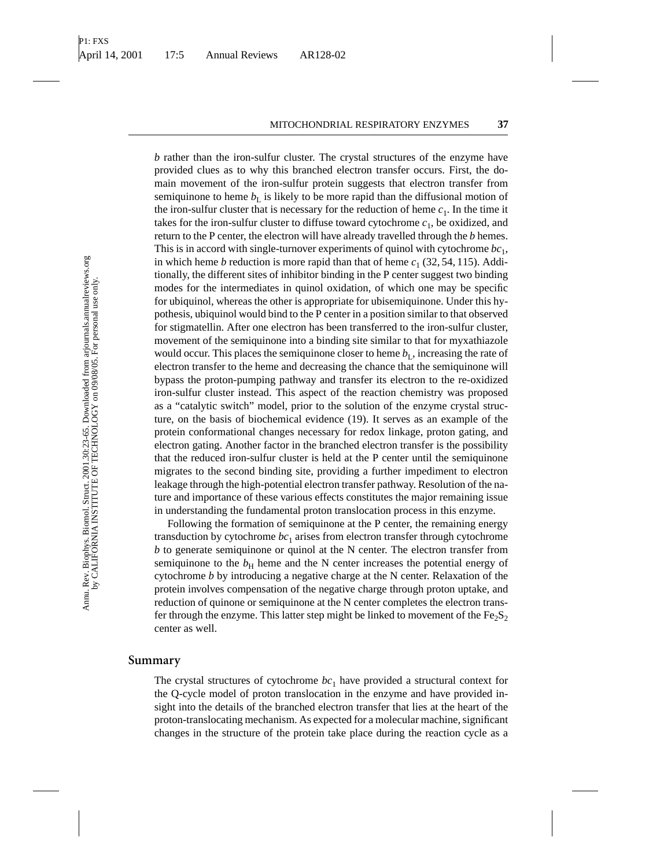*b* rather than the iron-sulfur cluster. The crystal structures of the enzyme have provided clues as to why this branched electron transfer occurs. First, the domain movement of the iron-sulfur protein suggests that electron transfer from semiquinone to heme  $b<sub>L</sub>$  is likely to be more rapid than the diffusional motion of the iron-sulfur cluster that is necessary for the reduction of heme  $c_1$ . In the time it takes for the iron-sulfur cluster to diffuse toward cytochrome  $c<sub>1</sub>$ , be oxidized, and return to the P center, the electron will have already travelled through the *b* hemes. This is in accord with single-turnover experiments of quinol with cytochrome  $bc_1$ , in which heme *b* reduction is more rapid than that of heme  $c_1$  (32, 54, 115). Additionally, the different sites of inhibitor binding in the P center suggest two binding modes for the intermediates in quinol oxidation, of which one may be specific for ubiquinol, whereas the other is appropriate for ubisemiquinone. Under this hypothesis, ubiquinol would bind to the P center in a position similar to that observed for stigmatellin. After one electron has been transferred to the iron-sulfur cluster, movement of the semiquinone into a binding site similar to that for myxathiazole would occur. This places the semiquinone closer to heme  $b<sub>L</sub>$ , increasing the rate of electron transfer to the heme and decreasing the chance that the semiquinone will bypass the proton-pumping pathway and transfer its electron to the re-oxidized iron-sulfur cluster instead. This aspect of the reaction chemistry was proposed as a "catalytic switch" model, prior to the solution of the enzyme crystal structure, on the basis of biochemical evidence (19). It serves as an example of the protein conformational changes necessary for redox linkage, proton gating, and electron gating. Another factor in the branched electron transfer is the possibility that the reduced iron-sulfur cluster is held at the P center until the semiquinone migrates to the second binding site, providing a further impediment to electron leakage through the high-potential electron transfer pathway. Resolution of the nature and importance of these various effects constitutes the major remaining issue in understanding the fundamental proton translocation process in this enzyme.

Following the formation of semiquinone at the P center, the remaining energy transduction by cytochrome  $bc_1$  arises from electron transfer through cytochrome *b* to generate semiquinone or quinol at the N center. The electron transfer from semiquinone to the  $b<sub>H</sub>$  heme and the N center increases the potential energy of cytochrome *b* by introducing a negative charge at the N center. Relaxation of the protein involves compensation of the negative charge through proton uptake, and reduction of quinone or semiquinone at the N center completes the electron transfer through the enzyme. This latter step might be linked to movement of the  $Fe<sub>2</sub>S<sub>2</sub>$ center as well.

#### **Summary**

The crystal structures of cytochrome  $bc_1$  have provided a structural context for the Q-cycle model of proton translocation in the enzyme and have provided insight into the details of the branched electron transfer that lies at the heart of the proton-translocating mechanism. As expected for a molecular machine, significant changes in the structure of the protein take place during the reaction cycle as a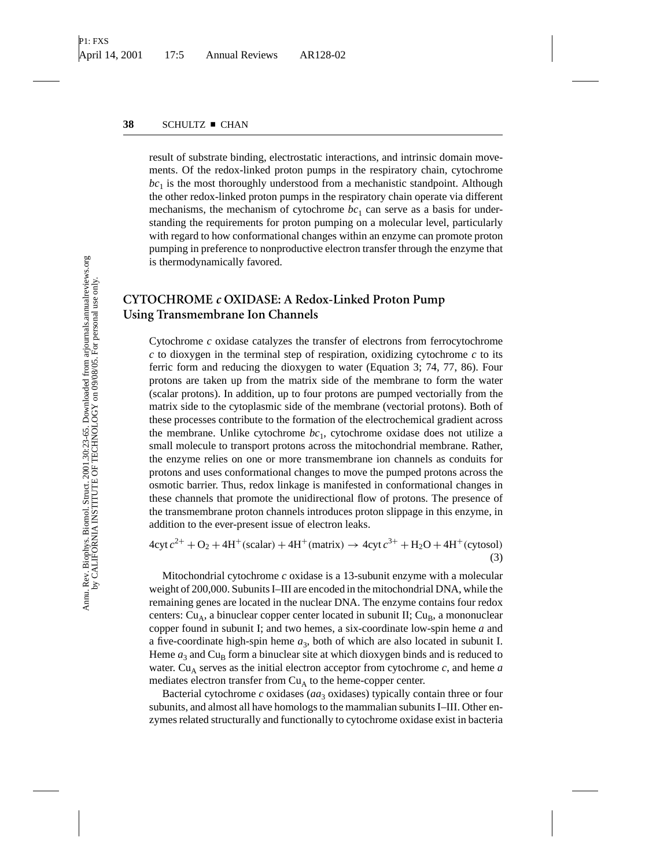result of substrate binding, electrostatic interactions, and intrinsic domain movements. Of the redox-linked proton pumps in the respiratory chain, cytochrome  $bc<sub>1</sub>$  is the most thoroughly understood from a mechanistic standpoint. Although the other redox-linked proton pumps in the respiratory chain operate via different mechanisms, the mechanism of cytochrome  $bc_1$  can serve as a basis for understanding the requirements for proton pumping on a molecular level, particularly with regard to how conformational changes within an enzyme can promote proton pumping in preference to nonproductive electron transfer through the enzyme that is thermodynamically favored.

### **CYTOCHROME** *c* **OXIDASE: A Redox-Linked Proton Pump Using Transmembrane Ion Channels**

Cytochrome *c* oxidase catalyzes the transfer of electrons from ferrocytochrome *c* to dioxygen in the terminal step of respiration, oxidizing cytochrome *c* to its ferric form and reducing the dioxygen to water (Equation 3; 74, 77, 86). Four protons are taken up from the matrix side of the membrane to form the water (scalar protons). In addition, up to four protons are pumped vectorially from the matrix side to the cytoplasmic side of the membrane (vectorial protons). Both of these processes contribute to the formation of the electrochemical gradient across the membrane. Unlike cytochrome  $bc_1$ , cytochrome oxidase does not utilize a small molecule to transport protons across the mitochondrial membrane. Rather, the enzyme relies on one or more transmembrane ion channels as conduits for protons and uses conformational changes to move the pumped protons across the osmotic barrier. Thus, redox linkage is manifested in conformational changes in these channels that promote the unidirectional flow of protons. The presence of the transmembrane proton channels introduces proton slippage in this enzyme, in addition to the ever-present issue of electron leaks.

$$
4\text{cyt}c^{2+} + \text{O}_2 + 4\text{H}^+(\text{scalar}) + 4\text{H}^+(\text{matrix}) \rightarrow 4\text{cyt}c^{3+} + \text{H}_2\text{O} + 4\text{H}^+(\text{cytosol})
$$
\n(3)

Mitochondrial cytochrome *c* oxidase is a 13-subunit enzyme with a molecular weight of 200,000. Subunits I–III are encoded in the mitochondrial DNA, while the remaining genes are located in the nuclear DNA. The enzyme contains four redox centers:  $Cu<sub>A</sub>$ , a binuclear copper center located in subunit II;  $Cu<sub>B</sub>$ , a mononuclear copper found in subunit I; and two hemes, a six-coordinate low-spin heme *a* and a five-coordinate high-spin heme  $a_3$ , both of which are also located in subunit I. Heme  $a_3$  and Cu<sub>B</sub> form a binuclear site at which dioxygen binds and is reduced to water. Cu<sub>A</sub> serves as the initial electron acceptor from cytochrome  $c$ , and heme  $a$ mediates electron transfer from  $Cu<sub>A</sub>$  to the heme-copper center.

Bacterial cytochrome *c* oxidases (*aa*<sub>3</sub> oxidases) typically contain three or four subunits, and almost all have homologs to the mammalian subunits I–III. Other enzymes related structurally and functionally to cytochrome oxidase exist in bacteria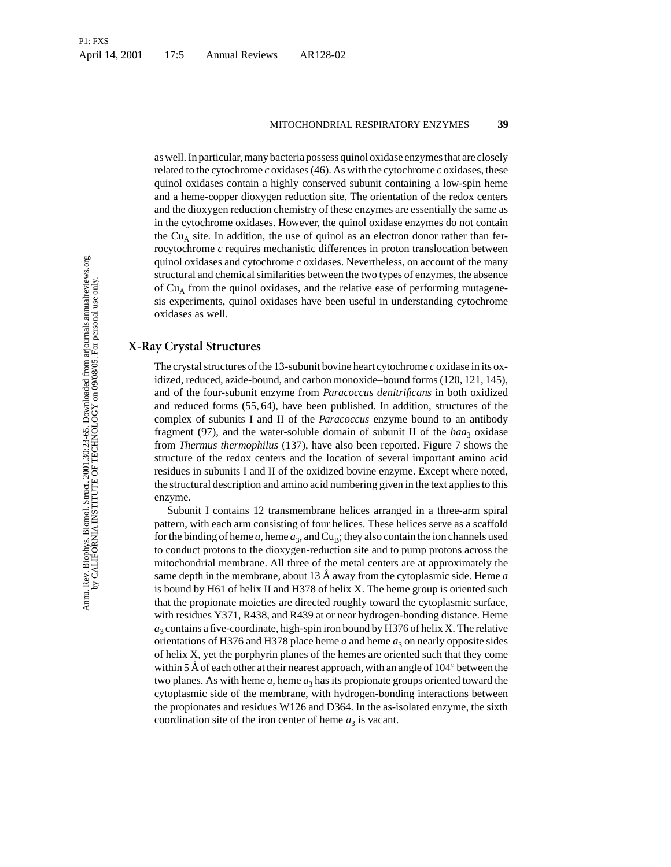as well. In particular, many bacteria possess quinol oxidase enzymes that are closely related to the cytochrome *c* oxidases (46). As with the cytochrome *c* oxidases, these quinol oxidases contain a highly conserved subunit containing a low-spin heme and a heme-copper dioxygen reduction site. The orientation of the redox centers and the dioxygen reduction chemistry of these enzymes are essentially the same as in the cytochrome oxidases. However, the quinol oxidase enzymes do not contain the  $Cu<sub>A</sub>$  site. In addition, the use of quinol as an electron donor rather than ferrocytochrome *c* requires mechanistic differences in proton translocation between quinol oxidases and cytochrome *c* oxidases. Nevertheless, on account of the many structural and chemical similarities between the two types of enzymes, the absence of  $Cu<sub>A</sub>$  from the quinol oxidases, and the relative ease of performing mutagenesis experiments, quinol oxidases have been useful in understanding cytochrome oxidases as well.

#### **X-Ray Crystal Structures**

The crystal structures of the 13-subunit bovine heart cytochrome *c* oxidase in its oxidized, reduced, azide-bound, and carbon monoxide–bound forms (120, 121, 145), and of the four-subunit enzyme from *Paracoccus denitrificans* in both oxidized and reduced forms (55, 64), have been published. In addition, structures of the complex of subunits I and II of the *Paracoccus* enzyme bound to an antibody fragment (97), and the water-soluble domain of subunit II of the  $baa_3$  oxidase from *Thermus thermophilus* (137), have also been reported. Figure 7 shows the structure of the redox centers and the location of several important amino acid residues in subunits I and II of the oxidized bovine enzyme. Except where noted, the structural description and amino acid numbering given in the text applies to this enzyme.

Subunit I contains 12 transmembrane helices arranged in a three-arm spiral pattern, with each arm consisting of four helices. These helices serve as a scaffold for the binding of heme  $a_3$ , heme  $a_3$ , and Cu<sub>B</sub>; they also contain the ion channels used to conduct protons to the dioxygen-reduction site and to pump protons across the mitochondrial membrane. All three of the metal centers are at approximately the same depth in the membrane, about 13  $\AA$  away from the cytoplasmic side. Heme *a* is bound by H61 of helix II and H378 of helix X. The heme group is oriented such that the propionate moieties are directed roughly toward the cytoplasmic surface, with residues Y371, R438, and R439 at or near hydrogen-bonding distance. Heme  $a_3$  contains a five-coordinate, high-spin iron bound by H376 of helix X. The relative orientations of H376 and H378 place heme  $a$  and heme  $a_3$  on nearly opposite sides of helix X, yet the porphyrin planes of the hemes are oriented such that they come within 5 Å of each other at their nearest approach, with an angle of 104 $\degree$  between the two planes. As with heme  $a_1$ , heme  $a_3$  has its propionate groups oriented toward the cytoplasmic side of the membrane, with hydrogen-bonding interactions between the propionates and residues W126 and D364. In the as-isolated enzyme, the sixth coordination site of the iron center of heme  $a_3$  is vacant.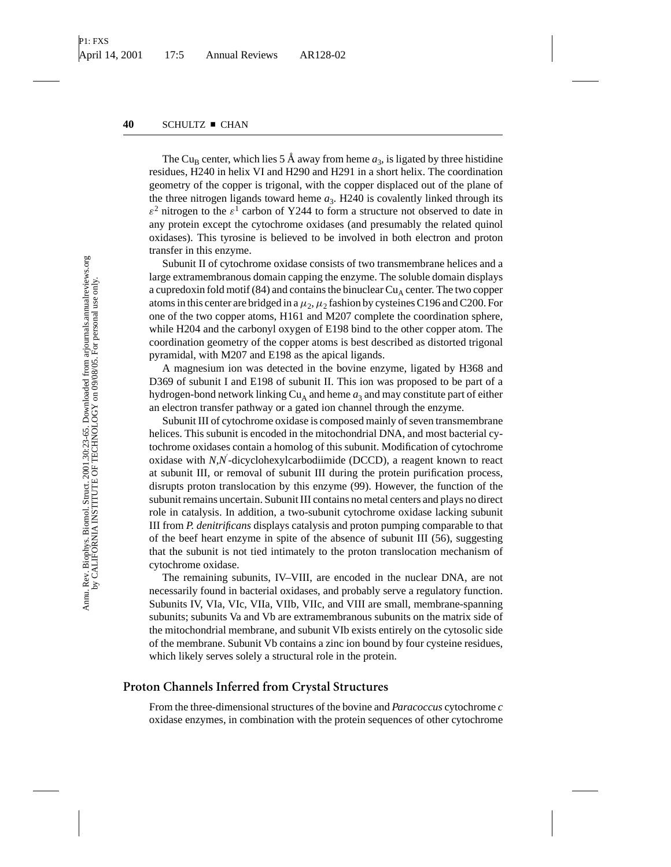The Cu<sub>B</sub> center, which lies 5 Å away from heme  $a_3$ , is ligated by three histidine residues, H240 in helix VI and H290 and H291 in a short helix. The coordination geometry of the copper is trigonal, with the copper displaced out of the plane of the three nitrogen ligands toward heme  $a_3$ . H240 is covalently linked through its  $\varepsilon^2$  nitrogen to the  $\varepsilon^1$  carbon of Y244 to form a structure not observed to date in any protein except the cytochrome oxidases (and presumably the related quinol oxidases). This tyrosine is believed to be involved in both electron and proton transfer in this enzyme.

Subunit II of cytochrome oxidase consists of two transmembrane helices and a large extramembranous domain capping the enzyme. The soluble domain displays a cupredoxin fold motif (84) and contains the binuclear  $Cu<sub>A</sub>$  center. The two copper atoms in this center are bridged in a  $\mu_2$ ,  $\mu_2$  fashion by cysteines C196 and C200. For one of the two copper atoms, H161 and M207 complete the coordination sphere, while H204 and the carbonyl oxygen of E198 bind to the other copper atom. The coordination geometry of the copper atoms is best described as distorted trigonal pyramidal, with M207 and E198 as the apical ligands.

A magnesium ion was detected in the bovine enzyme, ligated by H368 and D369 of subunit I and E198 of subunit II. This ion was proposed to be part of a hydrogen-bond network linking  $Cu<sub>A</sub>$  and heme  $a<sub>3</sub>$  and may constitute part of either an electron transfer pathway or a gated ion channel through the enzyme.

Subunit III of cytochrome oxidase is composed mainly of seven transmembrane helices. This subunit is encoded in the mitochondrial DNA, and most bacterial cytochrome oxidases contain a homolog of this subunit. Modification of cytochrome oxidase with *N,N*-dicyclohexylcarbodiimide (DCCD), a reagent known to react at subunit III, or removal of subunit III during the protein purification process, disrupts proton translocation by this enzyme (99). However, the function of the subunit remains uncertain. Subunit III contains no metal centers and plays no direct role in catalysis. In addition, a two-subunit cytochrome oxidase lacking subunit III from *P. denitrificans* displays catalysis and proton pumping comparable to that of the beef heart enzyme in spite of the absence of subunit III (56), suggesting that the subunit is not tied intimately to the proton translocation mechanism of cytochrome oxidase.

The remaining subunits, IV–VIII, are encoded in the nuclear DNA, are not necessarily found in bacterial oxidases, and probably serve a regulatory function. Subunits IV, VIa, VIc, VIIa, VIIb, VIIc, and VIII are small, membrane-spanning subunits; subunits Va and Vb are extramembranous subunits on the matrix side of the mitochondrial membrane, and subunit VIb exists entirely on the cytosolic side of the membrane. Subunit Vb contains a zinc ion bound by four cysteine residues, which likely serves solely a structural role in the protein.

### **Proton Channels Inferred from Crystal Structures**

From the three-dimensional structures of the bovine and *Paracoccus* cytochrome *c* oxidase enzymes, in combination with the protein sequences of other cytochrome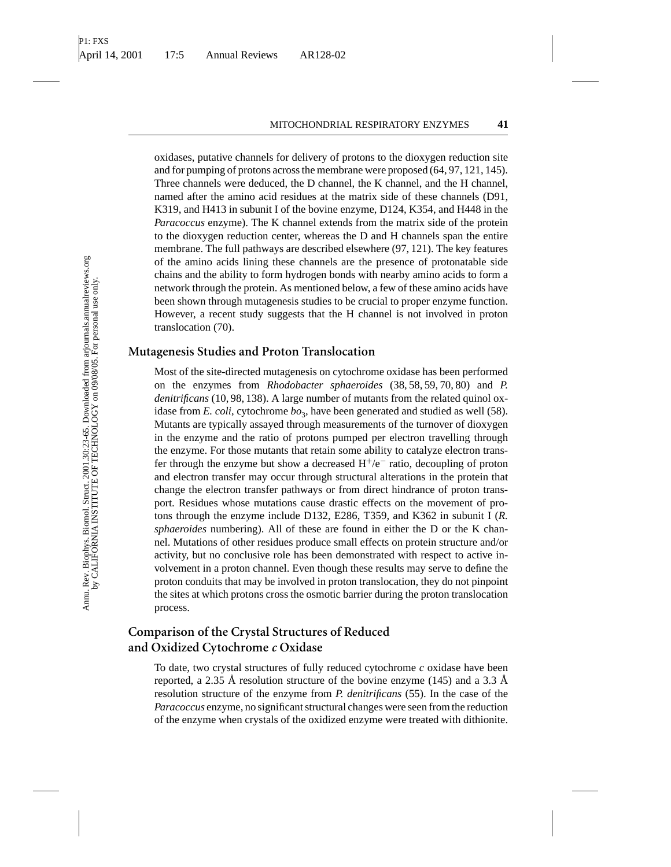oxidases, putative channels for delivery of protons to the dioxygen reduction site and for pumping of protons across the membrane were proposed (64, 97, 121, 145). Three channels were deduced, the D channel, the K channel, and the H channel, named after the amino acid residues at the matrix side of these channels (D91, K319, and H413 in subunit I of the bovine enzyme, D124, K354, and H448 in the *Paracoccus* enzyme). The K channel extends from the matrix side of the protein to the dioxygen reduction center, whereas the D and H channels span the entire membrane. The full pathways are described elsewhere (97, 121). The key features of the amino acids lining these channels are the presence of protonatable side chains and the ability to form hydrogen bonds with nearby amino acids to form a network through the protein. As mentioned below, a few of these amino acids have been shown through mutagenesis studies to be crucial to proper enzyme function. However, a recent study suggests that the H channel is not involved in proton translocation (70).

#### **Mutagenesis Studies and Proton Translocation**

Most of the site-directed mutagenesis on cytochrome oxidase has been performed on the enzymes from *Rhodobacter sphaeroides* (38, 58, 59, 70, 80) and *P. denitrificans* (10, 98, 138). A large number of mutants from the related quinol oxidase from *E. coli*, cytochrome  $bo_3$ , have been generated and studied as well (58). Mutants are typically assayed through measurements of the turnover of dioxygen in the enzyme and the ratio of protons pumped per electron travelling through the enzyme. For those mutants that retain some ability to catalyze electron transfer through the enzyme but show a decreased  $H^+/e^-$  ratio, decoupling of proton and electron transfer may occur through structural alterations in the protein that change the electron transfer pathways or from direct hindrance of proton transport. Residues whose mutations cause drastic effects on the movement of protons through the enzyme include D132, E286, T359, and K362 in subunit I (*R. sphaeroides* numbering). All of these are found in either the D or the K channel. Mutations of other residues produce small effects on protein structure and/or activity, but no conclusive role has been demonstrated with respect to active involvement in a proton channel. Even though these results may serve to define the proton conduits that may be involved in proton translocation, they do not pinpoint the sites at which protons cross the osmotic barrier during the proton translocation process.

### **Comparison of the Crystal Structures of Reduced and Oxidized Cytochrome** *c* **Oxidase**

To date, two crystal structures of fully reduced cytochrome *c* oxidase have been reported, a 2.35 Å resolution structure of the bovine enzyme  $(145)$  and a 3.3 Å resolution structure of the enzyme from *P. denitrificans* (55). In the case of the *Paracoccus* enzyme, no significant structural changes were seen from the reduction of the enzyme when crystals of the oxidized enzyme were treated with dithionite.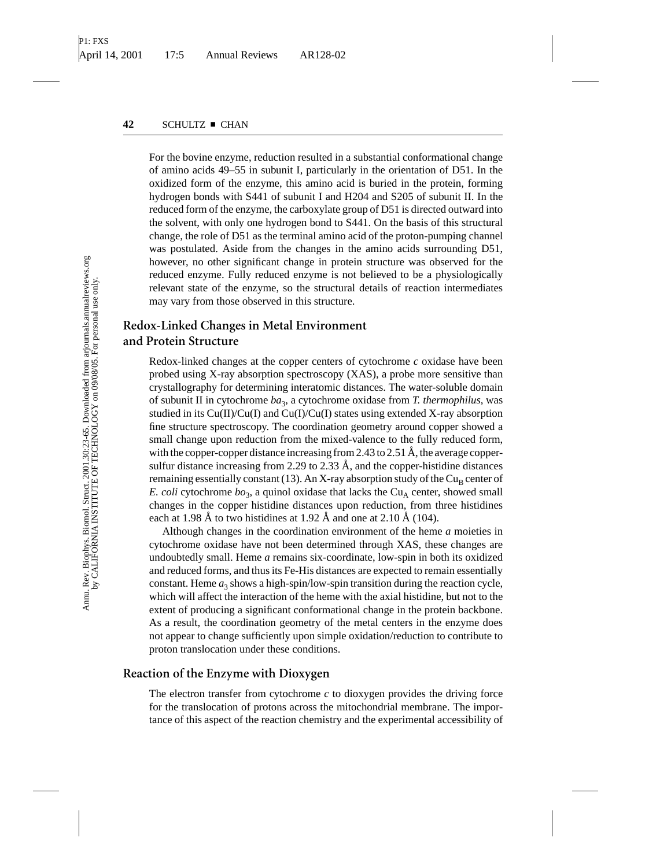For the bovine enzyme, reduction resulted in a substantial conformational change of amino acids 49–55 in subunit I, particularly in the orientation of D51. In the oxidized form of the enzyme, this amino acid is buried in the protein, forming hydrogen bonds with S441 of subunit I and H204 and S205 of subunit II. In the reduced form of the enzyme, the carboxylate group of D51 is directed outward into the solvent, with only one hydrogen bond to S441. On the basis of this structural change, the role of D51 as the terminal amino acid of the proton-pumping channel was postulated. Aside from the changes in the amino acids surrounding D51, however, no other significant change in protein structure was observed for the reduced enzyme. Fully reduced enzyme is not believed to be a physiologically relevant state of the enzyme, so the structural details of reaction intermediates may vary from those observed in this structure.

### **Redox-Linked Changes in Metal Environment and Protein Structure**

Redox-linked changes at the copper centers of cytochrome *c* oxidase have been probed using X-ray absorption spectroscopy (XAS), a probe more sensitive than crystallography for determining interatomic distances. The water-soluble domain of subunit II in cytochrome *ba*3, a cytochrome oxidase from *T. thermophilus*, was studied in its Cu(II)/Cu(I) and Cu(I)/Cu(I) states using extended X-ray absorption fine structure spectroscopy. The coordination geometry around copper showed a small change upon reduction from the mixed-valence to the fully reduced form, with the copper-copper distance increasing from 2.43 to 2.51 Å, the average coppersulfur distance increasing from 2.29 to 2.33  $\AA$ , and the copper-histidine distances remaining essentially constant (13). An X-ray absorption study of the Cu<sub>B</sub> center of *E. coli* cytochrome  $bo_3$ , a quinol oxidase that lacks the Cu<sub>A</sub> center, showed small changes in the copper histidine distances upon reduction, from three histidines each at 1.98 Å to two histidines at 1.92 Å and one at 2.10 Å (104).

Although changes in the coordination environment of the heme *a* moieties in cytochrome oxidase have not been determined through XAS, these changes are undoubtedly small. Heme *a* remains six-coordinate, low-spin in both its oxidized and reduced forms, and thus its Fe-His distances are expected to remain essentially constant. Heme  $a_3$  shows a high-spin/low-spin transition during the reaction cycle, which will affect the interaction of the heme with the axial histidine, but not to the extent of producing a significant conformational change in the protein backbone. As a result, the coordination geometry of the metal centers in the enzyme does not appear to change sufficiently upon simple oxidation/reduction to contribute to proton translocation under these conditions.

### **Reaction of the Enzyme with Dioxygen**

The electron transfer from cytochrome *c* to dioxygen provides the driving force for the translocation of protons across the mitochondrial membrane. The importance of this aspect of the reaction chemistry and the experimental accessibility of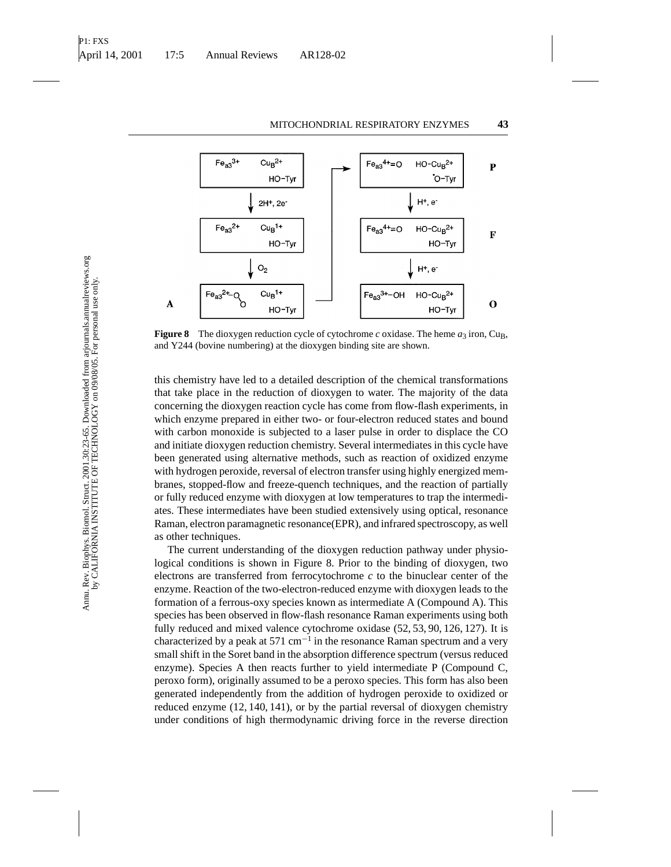

**Figure 8** The dioxygen reduction cycle of cytochrome *c* oxidase. The heme  $a_3$  iron, Cu<sub>B</sub>, and Y244 (bovine numbering) at the dioxygen binding site are shown.

this chemistry have led to a detailed description of the chemical transformations that take place in the reduction of dioxygen to water. The majority of the data concerning the dioxygen reaction cycle has come from flow-flash experiments, in which enzyme prepared in either two- or four-electron reduced states and bound with carbon monoxide is subjected to a laser pulse in order to displace the CO and initiate dioxygen reduction chemistry. Several intermediates in this cycle have been generated using alternative methods, such as reaction of oxidized enzyme with hydrogen peroxide, reversal of electron transfer using highly energized membranes, stopped-flow and freeze-quench techniques, and the reaction of partially or fully reduced enzyme with dioxygen at low temperatures to trap the intermediates. These intermediates have been studied extensively using optical, resonance Raman, electron paramagnetic resonance(EPR), and infrared spectroscopy, as well as other techniques.

The current understanding of the dioxygen reduction pathway under physiological conditions is shown in Figure 8. Prior to the binding of dioxygen, two electrons are transferred from ferrocytochrome *c* to the binuclear center of the enzyme. Reaction of the two-electron-reduced enzyme with dioxygen leads to the formation of a ferrous-oxy species known as intermediate A (Compound A). This species has been observed in flow-flash resonance Raman experiments using both fully reduced and mixed valence cytochrome oxidase (52, 53, 90, 126, 127). It is characterized by a peak at 571 cm<sup>-1</sup> in the resonance Raman spectrum and a very small shift in the Soret band in the absorption difference spectrum (versus reduced enzyme). Species A then reacts further to yield intermediate P (Compound C, peroxo form), originally assumed to be a peroxo species. This form has also been generated independently from the addition of hydrogen peroxide to oxidized or reduced enzyme (12, 140, 141), or by the partial reversal of dioxygen chemistry under conditions of high thermodynamic driving force in the reverse direction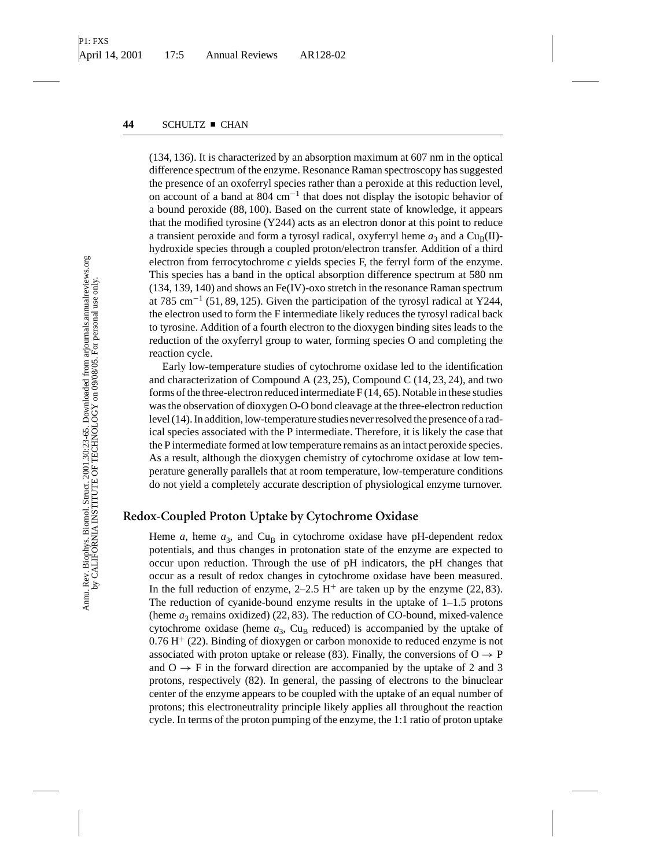(134, 136). It is characterized by an absorption maximum at 607 nm in the optical difference spectrum of the enzyme. Resonance Raman spectroscopy has suggested the presence of an oxoferryl species rather than a peroxide at this reduction level, on account of a band at 804 cm<sup>-1</sup> that does not display the isotopic behavior of a bound peroxide (88, 100). Based on the current state of knowledge, it appears that the modified tyrosine (Y244) acts as an electron donor at this point to reduce a transient peroxide and form a tyrosyl radical, oxyferryl heme  $a_3$  and a Cu<sub>B</sub>(II)hydroxide species through a coupled proton/electron transfer. Addition of a third electron from ferrocytochrome *c* yields species F, the ferryl form of the enzyme. This species has a band in the optical absorption difference spectrum at 580 nm (134, 139, 140) and shows an Fe(IV)-oxo stretch in the resonance Raman spectrum at 785 cm<sup>-1</sup> (51, 89, 125). Given the participation of the tyrosyl radical at Y244, the electron used to form the F intermediate likely reduces the tyrosyl radical back to tyrosine. Addition of a fourth electron to the dioxygen binding sites leads to the reduction of the oxyferryl group to water, forming species O and completing the reaction cycle.

Early low-temperature studies of cytochrome oxidase led to the identification and characterization of Compound A (23, 25), Compound C (14, 23, 24), and two forms of the three-electron reduced intermediate  $F(14, 65)$ . Notable in these studies was the observation of dioxygen O-O bond cleavage at the three-electron reduction level (14). In addition, low-temperature studies never resolved the presence of a radical species associated with the P intermediate. Therefore, it is likely the case that the P intermediate formed at low temperature remains as an intact peroxide species. As a result, although the dioxygen chemistry of cytochrome oxidase at low temperature generally parallels that at room temperature, low-temperature conditions do not yield a completely accurate description of physiological enzyme turnover.

#### **Redox-Coupled Proton Uptake by Cytochrome Oxidase**

Heme *a*, heme  $a_3$ , and Cu<sub>B</sub> in cytochrome oxidase have pH-dependent redox potentials, and thus changes in protonation state of the enzyme are expected to occur upon reduction. Through the use of pH indicators, the pH changes that occur as a result of redox changes in cytochrome oxidase have been measured. In the full reduction of enzyme,  $2-2.5$  H<sup>+</sup> are taken up by the enzyme (22, 83). The reduction of cyanide-bound enzyme results in the uptake of  $1-1.5$  protons (heme  $a_3$  remains oxidized) (22, 83). The reduction of CO-bound, mixed-valence cytochrome oxidase (heme  $a_3$ , Cu<sub>B</sub> reduced) is accompanied by the uptake of  $0.76$  H<sup> $+$ </sup> (22). Binding of dioxygen or carbon monoxide to reduced enzyme is not associated with proton uptake or release (83). Finally, the conversions of  $O \rightarrow P$ and  $O \rightarrow F$  in the forward direction are accompanied by the uptake of 2 and 3 protons, respectively (82). In general, the passing of electrons to the binuclear center of the enzyme appears to be coupled with the uptake of an equal number of protons; this electroneutrality principle likely applies all throughout the reaction cycle. In terms of the proton pumping of the enzyme, the 1:1 ratio of proton uptake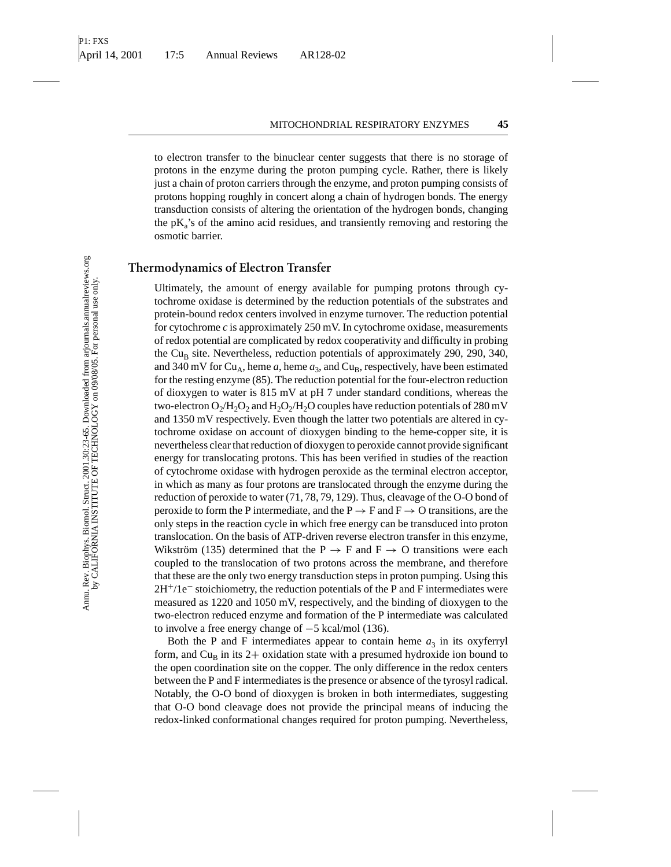to electron transfer to the binuclear center suggests that there is no storage of protons in the enzyme during the proton pumping cycle. Rather, there is likely just a chain of proton carriers through the enzyme, and proton pumping consists of protons hopping roughly in concert along a chain of hydrogen bonds. The energy transduction consists of altering the orientation of the hydrogen bonds, changing the  $pK_a$ 's of the amino acid residues, and transiently removing and restoring the osmotic barrier.

### **Thermodynamics of Electron Transfer**

Ultimately, the amount of energy available for pumping protons through cytochrome oxidase is determined by the reduction potentials of the substrates and protein-bound redox centers involved in enzyme turnover. The reduction potential for cytochrome *c* is approximately 250 mV. In cytochrome oxidase, measurements of redox potential are complicated by redox cooperativity and difficulty in probing the Cu<sub>B</sub> site. Nevertheless, reduction potentials of approximately 290, 290, 340, and 340 mV for  $Cu_A$ , heme *a*, heme  $a_3$ , and  $Cu_B$ , respectively, have been estimated for the resting enzyme (85). The reduction potential for the four-electron reduction of dioxygen to water is 815 mV at pH 7 under standard conditions, whereas the two-electron  $O_2/H_2O_2$  and  $H_2O_2/H_2O$  couples have reduction potentials of 280 mV and 1350 mV respectively. Even though the latter two potentials are altered in cytochrome oxidase on account of dioxygen binding to the heme-copper site, it is nevertheless clear that reduction of dioxygen to peroxide cannot provide significant energy for translocating protons. This has been verified in studies of the reaction of cytochrome oxidase with hydrogen peroxide as the terminal electron acceptor, in which as many as four protons are translocated through the enzyme during the reduction of peroxide to water (71, 78, 79, 129). Thus, cleavage of the O-O bond of peroxide to form the P intermediate, and the  $P \rightarrow F$  and  $F \rightarrow O$  transitions, are the only steps in the reaction cycle in which free energy can be transduced into proton translocation. On the basis of ATP-driven reverse electron transfer in this enzyme, Wikström (135) determined that the P  $\rightarrow$  F and F  $\rightarrow$  O transitions were each coupled to the translocation of two protons across the membrane, and therefore that these are the only two energy transduction steps in proton pumping. Using this 2H+/1e<sup>−</sup> stoichiometry, the reduction potentials of the P and F intermediates were measured as 1220 and 1050 mV, respectively, and the binding of dioxygen to the two-electron reduced enzyme and formation of the P intermediate was calculated to involve a free energy change of −5 kcal/mol (136).

Both the P and F intermediates appear to contain heme  $a_3$  in its oxyferryl form, and Cu<sub>B</sub> in its 2+ oxidation state with a presumed hydroxide ion bound to the open coordination site on the copper. The only difference in the redox centers between the P and F intermediates is the presence or absence of the tyrosyl radical. Notably, the O-O bond of dioxygen is broken in both intermediates, suggesting that O-O bond cleavage does not provide the principal means of inducing the redox-linked conformational changes required for proton pumping. Nevertheless,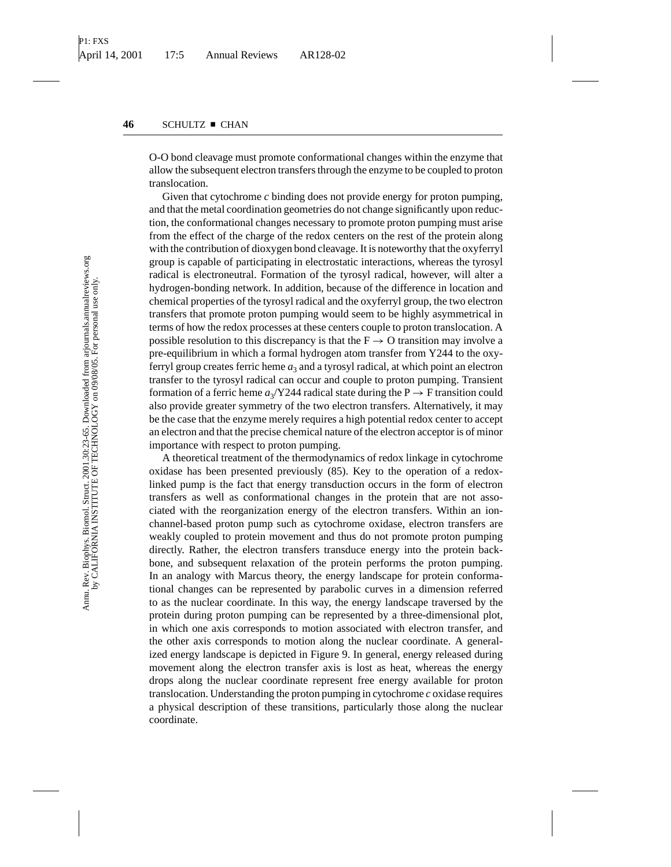O-O bond cleavage must promote conformational changes within the enzyme that allow the subsequent electron transfers through the enzyme to be coupled to proton translocation.

Given that cytochrome *c* binding does not provide energy for proton pumping, and that the metal coordination geometries do not change significantly upon reduction, the conformational changes necessary to promote proton pumping must arise from the effect of the charge of the redox centers on the rest of the protein along with the contribution of dioxygen bond cleavage. It is noteworthy that the oxyferryl group is capable of participating in electrostatic interactions, whereas the tyrosyl radical is electroneutral. Formation of the tyrosyl radical, however, will alter a hydrogen-bonding network. In addition, because of the difference in location and chemical properties of the tyrosyl radical and the oxyferryl group, the two electron transfers that promote proton pumping would seem to be highly asymmetrical in terms of how the redox processes at these centers couple to proton translocation. A possible resolution to this discrepancy is that the  $F \rightarrow O$  transition may involve a pre-equilibrium in which a formal hydrogen atom transfer from Y244 to the oxyferryl group creates ferric heme  $a_3$  and a tyrosyl radical, at which point an electron transfer to the tyrosyl radical can occur and couple to proton pumping. Transient formation of a ferric heme  $a_3/Y_2$ 44 radical state during the P  $\rightarrow$  F transition could also provide greater symmetry of the two electron transfers. Alternatively, it may be the case that the enzyme merely requires a high potential redox center to accept an electron and that the precise chemical nature of the electron acceptor is of minor importance with respect to proton pumping.

A theoretical treatment of the thermodynamics of redox linkage in cytochrome oxidase has been presented previously (85). Key to the operation of a redoxlinked pump is the fact that energy transduction occurs in the form of electron transfers as well as conformational changes in the protein that are not associated with the reorganization energy of the electron transfers. Within an ionchannel-based proton pump such as cytochrome oxidase, electron transfers are weakly coupled to protein movement and thus do not promote proton pumping directly. Rather, the electron transfers transduce energy into the protein backbone, and subsequent relaxation of the protein performs the proton pumping. In an analogy with Marcus theory, the energy landscape for protein conformational changes can be represented by parabolic curves in a dimension referred to as the nuclear coordinate. In this way, the energy landscape traversed by the protein during proton pumping can be represented by a three-dimensional plot, in which one axis corresponds to motion associated with electron transfer, and the other axis corresponds to motion along the nuclear coordinate. A generalized energy landscape is depicted in Figure 9. In general, energy released during movement along the electron transfer axis is lost as heat, whereas the energy drops along the nuclear coordinate represent free energy available for proton translocation. Understanding the proton pumping in cytochrome *c* oxidase requires a physical description of these transitions, particularly those along the nuclear coordinate.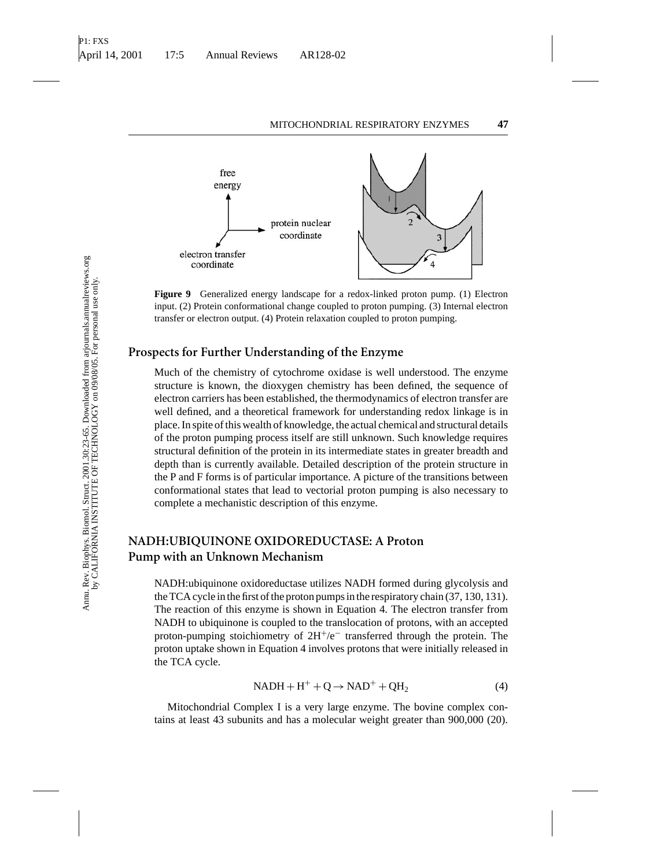

**Figure 9** Generalized energy landscape for a redox-linked proton pump. (1) Electron input. (2) Protein conformational change coupled to proton pumping. (3) Internal electron transfer or electron output. (4) Protein relaxation coupled to proton pumping.

### **Prospects for Further Understanding of the Enzyme**

Much of the chemistry of cytochrome oxidase is well understood. The enzyme structure is known, the dioxygen chemistry has been defined, the sequence of electron carriers has been established, the thermodynamics of electron transfer are well defined, and a theoretical framework for understanding redox linkage is in place. In spite of this wealth of knowledge, the actual chemical and structural details of the proton pumping process itself are still unknown. Such knowledge requires structural definition of the protein in its intermediate states in greater breadth and depth than is currently available. Detailed description of the protein structure in the P and F forms is of particular importance. A picture of the transitions between conformational states that lead to vectorial proton pumping is also necessary to complete a mechanistic description of this enzyme.

### **NADH:UBIQUINONE OXIDOREDUCTASE: A Proton Pump with an Unknown Mechanism**

NADH:ubiquinone oxidoreductase utilizes NADH formed during glycolysis and the TCA cycle in the first of the proton pumps in the respiratory chain (37, 130, 131). The reaction of this enzyme is shown in Equation 4. The electron transfer from NADH to ubiquinone is coupled to the translocation of protons, with an accepted proton-pumping stoichiometry of  $2H^+/e^-$  transferred through the protein. The proton uptake shown in Equation 4 involves protons that were initially released in the TCA cycle.

$$
NADH + H^{+} + Q \rightarrow NAD^{+} + QH_{2}
$$
\n<sup>(4)</sup>

Mitochondrial Complex I is a very large enzyme. The bovine complex contains at least 43 subunits and has a molecular weight greater than 900,000 (20).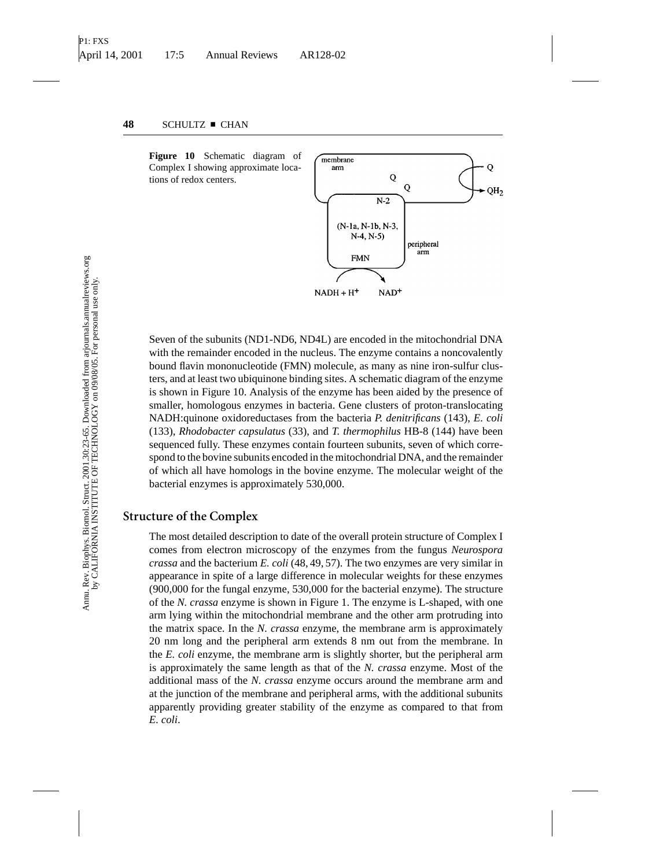**Figure 10** Schematic diagram of Complex I showing approximate locations of redox centers.



Seven of the subunits (ND1-ND6, ND4L) are encoded in the mitochondrial DNA with the remainder encoded in the nucleus. The enzyme contains a noncovalently bound flavin mononucleotide (FMN) molecule, as many as nine iron-sulfur clusters, and at least two ubiquinone binding sites. A schematic diagram of the enzyme is shown in Figure 10. Analysis of the enzyme has been aided by the presence of smaller, homologous enzymes in bacteria. Gene clusters of proton-translocating NADH:quinone oxidoreductases from the bacteria *P. denitrificans* (143), *E. coli* (133), *Rhodobacter capsulatus* (33), and *T. thermophilus* HB-8 (144) have been sequenced fully. These enzymes contain fourteen subunits, seven of which correspond to the bovine subunits encoded in the mitochondrial DNA, and the remainder of which all have homologs in the bovine enzyme. The molecular weight of the bacterial enzymes is approximately 530,000.

#### **Structure of the Complex**

The most detailed description to date of the overall protein structure of Complex I comes from electron microscopy of the enzymes from the fungus *Neurospora crassa* and the bacterium *E. coli* (48, 49, 57). The two enzymes are very similar in appearance in spite of a large difference in molecular weights for these enzymes (900,000 for the fungal enzyme, 530,000 for the bacterial enzyme). The structure of the *N. crassa* enzyme is shown in Figure 1. The enzyme is L-shaped, with one arm lying within the mitochondrial membrane and the other arm protruding into the matrix space. In the *N. crassa* enzyme, the membrane arm is approximately 20 nm long and the peripheral arm extends 8 nm out from the membrane. In the *E. coli* enzyme, the membrane arm is slightly shorter, but the peripheral arm is approximately the same length as that of the *N. crassa* enzyme. Most of the additional mass of the *N. crassa* enzyme occurs around the membrane arm and at the junction of the membrane and peripheral arms, with the additional subunits apparently providing greater stability of the enzyme as compared to that from *E. coli*.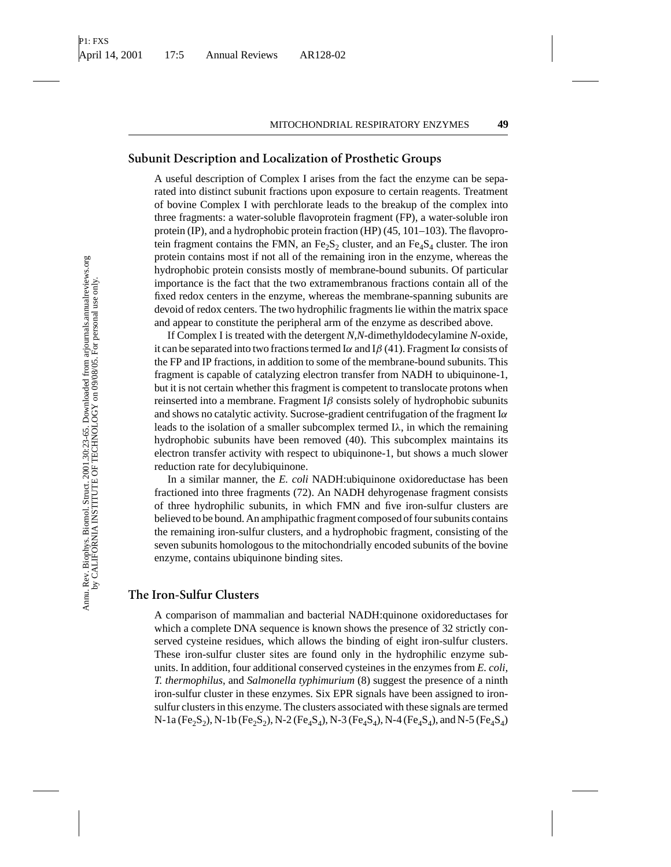### **Subunit Description and Localization of Prosthetic Groups**

A useful description of Complex I arises from the fact the enzyme can be separated into distinct subunit fractions upon exposure to certain reagents. Treatment of bovine Complex I with perchlorate leads to the breakup of the complex into three fragments: a water-soluble flavoprotein fragment (FP), a water-soluble iron protein (IP), and a hydrophobic protein fraction (HP) (45, 101–103). The flavoprotein fragment contains the FMN, an Fe<sub>2</sub>S<sub>2</sub> cluster, and an Fe<sub>4</sub>S<sub>4</sub> cluster. The iron protein contains most if not all of the remaining iron in the enzyme, whereas the hydrophobic protein consists mostly of membrane-bound subunits. Of particular importance is the fact that the two extramembranous fractions contain all of the fixed redox centers in the enzyme, whereas the membrane-spanning subunits are devoid of redox centers. The two hydrophilic fragments lie within the matrix space and appear to constitute the peripheral arm of the enzyme as described above.

If Complex I is treated with the detergent *N,N*-dimethyldodecylamine *N*-oxide, it can be separated into two fractions termed I $\alpha$  and I $\beta$  (41). Fragment I $\alpha$  consists of the FP and IP fractions, in addition to some of the membrane-bound subunits. This fragment is capable of catalyzing electron transfer from NADH to ubiquinone-1, but it is not certain whether this fragment is competent to translocate protons when reinserted into a membrane. Fragment I $\beta$  consists solely of hydrophobic subunits and shows no catalytic activity. Sucrose-gradient centrifugation of the fragment  $I\alpha$ leads to the isolation of a smaller subcomplex termed  $I\lambda$ , in which the remaining hydrophobic subunits have been removed (40). This subcomplex maintains its electron transfer activity with respect to ubiquinone-1, but shows a much slower reduction rate for decylubiquinone.

In a similar manner, the *E. coli* NADH:ubiquinone oxidoreductase has been fractioned into three fragments (72). An NADH dehyrogenase fragment consists of three hydrophilic subunits, in which FMN and five iron-sulfur clusters are believed to be bound. An amphipathic fragment composed of four subunits contains the remaining iron-sulfur clusters, and a hydrophobic fragment, consisting of the seven subunits homologous to the mitochondrially encoded subunits of the bovine enzyme, contains ubiquinone binding sites.

### **The Iron-Sulfur Clusters**

A comparison of mammalian and bacterial NADH:quinone oxidoreductases for which a complete DNA sequence is known shows the presence of 32 strictly conserved cysteine residues, which allows the binding of eight iron-sulfur clusters. These iron-sulfur cluster sites are found only in the hydrophilic enzyme subunits. In addition, four additional conserved cysteines in the enzymes from *E. coli, T. thermophilus*, and *Salmonella typhimurium* (8) suggest the presence of a ninth iron-sulfur cluster in these enzymes. Six EPR signals have been assigned to ironsulfur clusters in this enzyme. The clusters associated with these signals are termed N-1a (Fe<sub>2</sub>S<sub>2</sub>), N-1b (Fe<sub>2</sub>S<sub>2</sub>), N-2 (Fe<sub>4</sub>S<sub>4</sub>), N-3 (Fe<sub>4</sub>S<sub>4</sub>), N-4 (Fe<sub>4</sub>S<sub>4</sub>), and N-5 (Fe<sub>4</sub>S<sub>4</sub>)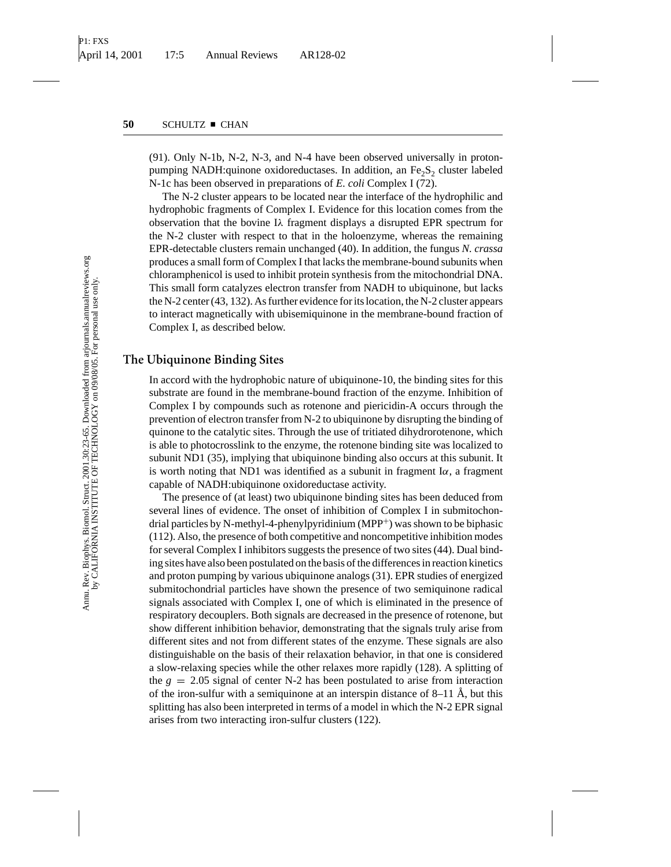(91). Only N-1b, N-2, N-3, and N-4 have been observed universally in protonpumping NADH:quinone oxidoreductases. In addition, an  $Fe<sub>2</sub>S<sub>2</sub>$  cluster labeled N-1c has been observed in preparations of *E. coli* Complex I (72).

The N-2 cluster appears to be located near the interface of the hydrophilic and hydrophobic fragments of Complex I. Evidence for this location comes from the observation that the bovine Iλ fragment displays a disrupted EPR spectrum for the N-2 cluster with respect to that in the holoenzyme, whereas the remaining EPR-detectable clusters remain unchanged (40). In addition, the fungus *N. crassa* produces a small form of Complex I that lacks the membrane-bound subunits when chloramphenicol is used to inhibit protein synthesis from the mitochondrial DNA. This small form catalyzes electron transfer from NADH to ubiquinone, but lacks the N-2 center (43, 132). As further evidence for its location, the N-2 cluster appears to interact magnetically with ubisemiquinone in the membrane-bound fraction of Complex I, as described below.

### **The Ubiquinone Binding Sites**

In accord with the hydrophobic nature of ubiquinone-10, the binding sites for this substrate are found in the membrane-bound fraction of the enzyme. Inhibition of Complex I by compounds such as rotenone and piericidin-A occurs through the prevention of electron transfer from N-2 to ubiquinone by disrupting the binding of quinone to the catalytic sites. Through the use of tritiated dihydrorotenone, which is able to photocrosslink to the enzyme, the rotenone binding site was localized to subunit ND1 (35), implying that ubiquinone binding also occurs at this subunit. It is worth noting that ND1 was identified as a subunit in fragment  $I\alpha$ , a fragment capable of NADH:ubiquinone oxidoreductase activity.

The presence of (at least) two ubiquinone binding sites has been deduced from several lines of evidence. The onset of inhibition of Complex I in submitochondrial particles by N-methyl-4-phenylpyridinium (MPP<sup>+</sup>) was shown to be biphasic (112). Also, the presence of both competitive and noncompetitive inhibition modes for several Complex I inhibitors suggests the presence of two sites (44). Dual binding sites have also been postulated on the basis of the differences in reaction kinetics and proton pumping by various ubiquinone analogs (31). EPR studies of energized submitochondrial particles have shown the presence of two semiquinone radical signals associated with Complex I, one of which is eliminated in the presence of respiratory decouplers. Both signals are decreased in the presence of rotenone, but show different inhibition behavior, demonstrating that the signals truly arise from different sites and not from different states of the enzyme. These signals are also distinguishable on the basis of their relaxation behavior, in that one is considered a slow-relaxing species while the other relaxes more rapidly (128). A splitting of the  $g = 2.05$  signal of center N-2 has been postulated to arise from interaction of the iron-sulfur with a semiquinone at an interspin distance of  $8-11$  Å, but this splitting has also been interpreted in terms of a model in which the N-2 EPR signal arises from two interacting iron-sulfur clusters (122).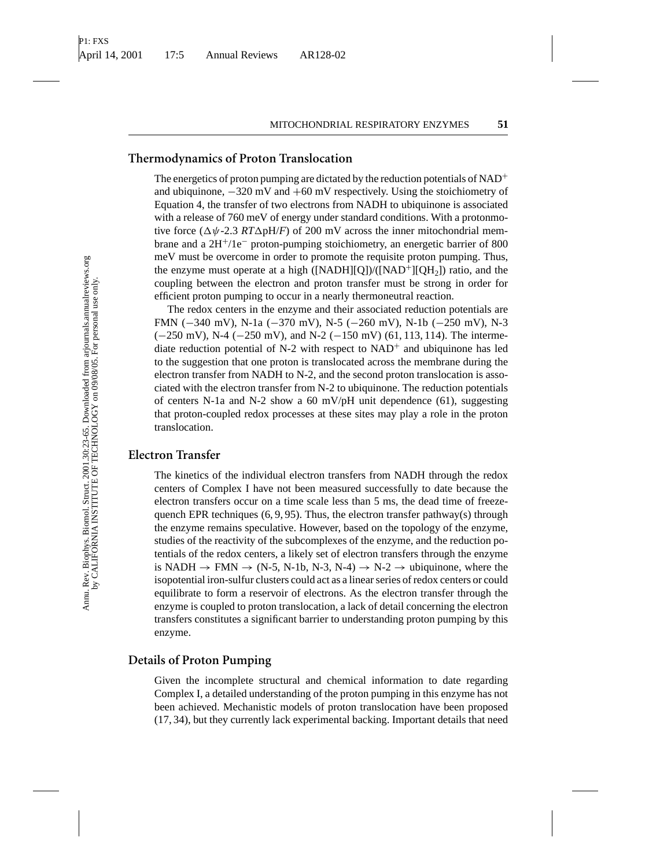### **Thermodynamics of Proton Translocation**

The energetics of proton pumping are dictated by the reduction potentials of  $NAD^+$ and ubiquinone, −320 mV and +60 mV respectively. Using the stoichiometry of Equation 4, the transfer of two electrons from NADH to ubiquinone is associated with a release of 760 meV of energy under standard conditions. With a protonmotive force ( $\Delta \psi$ -2.3 *RT* $\Delta$ pH/*F*) of 200 mV across the inner mitochondrial membrane and a 2H+/1e<sup>−</sup> proton-pumping stoichiometry, an energetic barrier of 800 meV must be overcome in order to promote the requisite proton pumping. Thus, the enzyme must operate at a high ([NADH][Q])/([NAD<sup>+</sup>][QH<sub>2</sub>]) ratio, and the coupling between the electron and proton transfer must be strong in order for efficient proton pumping to occur in a nearly thermoneutral reaction.

The redox centers in the enzyme and their associated reduction potentials are FMN (−340 mV), N-1a (−370 mV), N-5 (−260 mV), N-1b (−250 mV), N-3 (−250 mV), N-4 (−250 mV), and N-2 (−150 mV) (61, 113, 114). The intermediate reduction potential of N-2 with respect to  $NAD<sup>+</sup>$  and ubiquinone has led to the suggestion that one proton is translocated across the membrane during the electron transfer from NADH to N-2, and the second proton translocation is associated with the electron transfer from N-2 to ubiquinone. The reduction potentials of centers N-1a and N-2 show a 60 mV/pH unit dependence (61), suggesting that proton-coupled redox processes at these sites may play a role in the proton translocation.

### **Electron Transfer**

The kinetics of the individual electron transfers from NADH through the redox centers of Complex I have not been measured successfully to date because the electron transfers occur on a time scale less than 5 ms, the dead time of freezequench EPR techniques  $(6, 9, 95)$ . Thus, the electron transfer pathway $(s)$  through the enzyme remains speculative. However, based on the topology of the enzyme, studies of the reactivity of the subcomplexes of the enzyme, and the reduction potentials of the redox centers, a likely set of electron transfers through the enzyme is NADH  $\rightarrow$  FMN  $\rightarrow$  (N-5, N-1b, N-3, N-4)  $\rightarrow$  N-2  $\rightarrow$  ubiquinone, where the isopotential iron-sulfur clusters could act as a linear series of redox centers or could equilibrate to form a reservoir of electrons. As the electron transfer through the enzyme is coupled to proton translocation, a lack of detail concerning the electron transfers constitutes a significant barrier to understanding proton pumping by this enzyme.

### **Details of Proton Pumping**

Given the incomplete structural and chemical information to date regarding Complex I, a detailed understanding of the proton pumping in this enzyme has not been achieved. Mechanistic models of proton translocation have been proposed (17, 34), but they currently lack experimental backing. Important details that need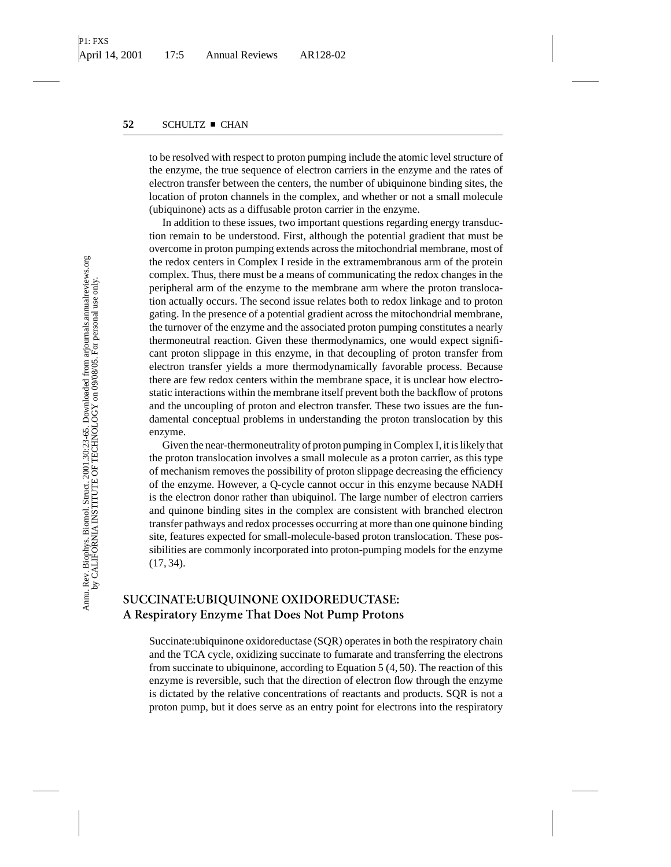to be resolved with respect to proton pumping include the atomic level structure of the enzyme, the true sequence of electron carriers in the enzyme and the rates of electron transfer between the centers, the number of ubiquinone binding sites, the location of proton channels in the complex, and whether or not a small molecule (ubiquinone) acts as a diffusable proton carrier in the enzyme.

In addition to these issues, two important questions regarding energy transduction remain to be understood. First, although the potential gradient that must be overcome in proton pumping extends across the mitochondrial membrane, most of the redox centers in Complex I reside in the extramembranous arm of the protein complex. Thus, there must be a means of communicating the redox changes in the peripheral arm of the enzyme to the membrane arm where the proton translocation actually occurs. The second issue relates both to redox linkage and to proton gating. In the presence of a potential gradient across the mitochondrial membrane, the turnover of the enzyme and the associated proton pumping constitutes a nearly thermoneutral reaction. Given these thermodynamics, one would expect significant proton slippage in this enzyme, in that decoupling of proton transfer from electron transfer yields a more thermodynamically favorable process. Because there are few redox centers within the membrane space, it is unclear how electrostatic interactions within the membrane itself prevent both the backflow of protons and the uncoupling of proton and electron transfer. These two issues are the fundamental conceptual problems in understanding the proton translocation by this enzyme.

Given the near-thermoneutrality of proton pumping in Complex I, it is likely that the proton translocation involves a small molecule as a proton carrier, as this type of mechanism removes the possibility of proton slippage decreasing the efficiency of the enzyme. However, a Q-cycle cannot occur in this enzyme because NADH is the electron donor rather than ubiquinol. The large number of electron carriers and quinone binding sites in the complex are consistent with branched electron transfer pathways and redox processes occurring at more than one quinone binding site, features expected for small-molecule-based proton translocation. These possibilities are commonly incorporated into proton-pumping models for the enzyme (17, 34).

### **SUCCINATE:UBIQUINONE OXIDOREDUCTASE: A Respiratory Enzyme That Does Not Pump Protons**

Succinate:ubiquinone oxidoreductase (SQR) operates in both the respiratory chain and the TCA cycle, oxidizing succinate to fumarate and transferring the electrons from succinate to ubiquinone, according to Equation 5 (4, 50). The reaction of this enzyme is reversible, such that the direction of electron flow through the enzyme is dictated by the relative concentrations of reactants and products. SQR is not a proton pump, but it does serve as an entry point for electrons into the respiratory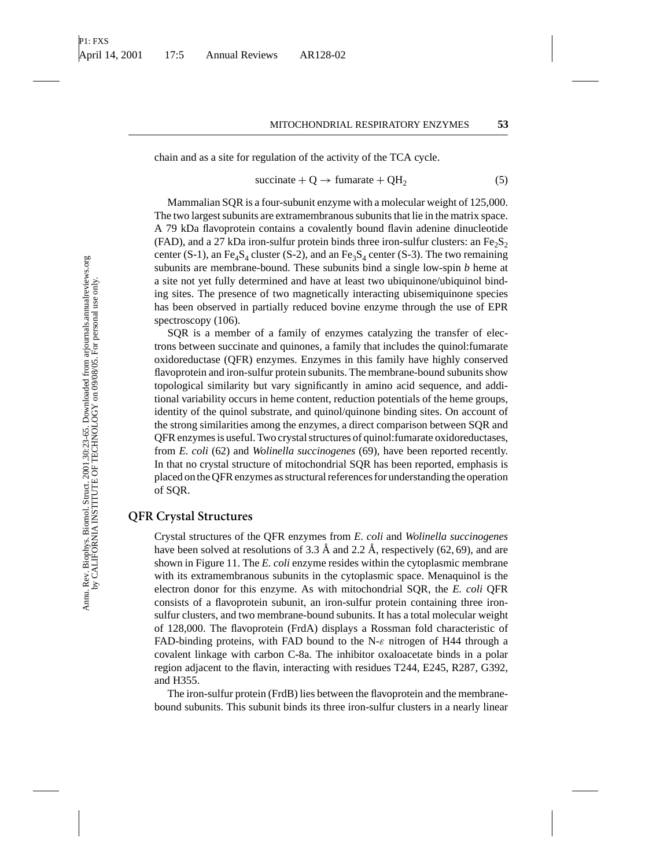chain and as a site for regulation of the activity of the TCA cycle.

$$
succinate + Q \rightarrow fumarate + QH_2 \tag{5}
$$

Mammalian SQR is a four-subunit enzyme with a molecular weight of 125,000. The two largest subunits are extramembranous subunits that lie in the matrix space. A 79 kDa flavoprotein contains a covalently bound flavin adenine dinucleotide (FAD), and a 27 kDa iron-sulfur protein binds three iron-sulfur clusters: an  $Fe<sub>2</sub>S<sub>2</sub>$ center (S-1), an Fe<sub>4</sub>S<sub>4</sub> cluster (S-2), and an Fe<sub>3</sub>S<sub>4</sub> center (S-3). The two remaining subunits are membrane-bound. These subunits bind a single low-spin *b* heme at a site not yet fully determined and have at least two ubiquinone/ubiquinol binding sites. The presence of two magnetically interacting ubisemiquinone species has been observed in partially reduced bovine enzyme through the use of EPR spectroscopy (106).

SQR is a member of a family of enzymes catalyzing the transfer of electrons between succinate and quinones, a family that includes the quinol:fumarate oxidoreductase (QFR) enzymes. Enzymes in this family have highly conserved flavoprotein and iron-sulfur protein subunits. The membrane-bound subunits show topological similarity but vary significantly in amino acid sequence, and additional variability occurs in heme content, reduction potentials of the heme groups, identity of the quinol substrate, and quinol/quinone binding sites. On account of the strong similarities among the enzymes, a direct comparison between SQR and QFR enzymes is useful. Two crystal structures of quinol:fumarate oxidoreductases, from *E. coli* (62) and *Wolinella succinogenes* (69), have been reported recently. In that no crystal structure of mitochondrial SQR has been reported, emphasis is placed on the QFR enzymes as structural references for understanding the operation of SQR.

#### **QFR Crystal Structures**

Crystal structures of the QFR enzymes from *E. coli* and *Wolinella succinogenes* have been solved at resolutions of 3.3 Å and 2.2 Å, respectively (62, 69), and are shown in Figure 11. The *E. coli* enzyme resides within the cytoplasmic membrane with its extramembranous subunits in the cytoplasmic space. Menaquinol is the electron donor for this enzyme. As with mitochondrial SQR, the *E. coli* QFR consists of a flavoprotein subunit, an iron-sulfur protein containing three ironsulfur clusters, and two membrane-bound subunits. It has a total molecular weight of 128,000. The flavoprotein (FrdA) displays a Rossman fold characteristic of FAD-binding proteins, with FAD bound to the N- $\varepsilon$  nitrogen of H44 through a covalent linkage with carbon C-8a. The inhibitor oxaloacetate binds in a polar region adjacent to the flavin, interacting with residues T244, E245, R287, G392, and H355.

The iron-sulfur protein (FrdB) lies between the flavoprotein and the membranebound subunits. This subunit binds its three iron-sulfur clusters in a nearly linear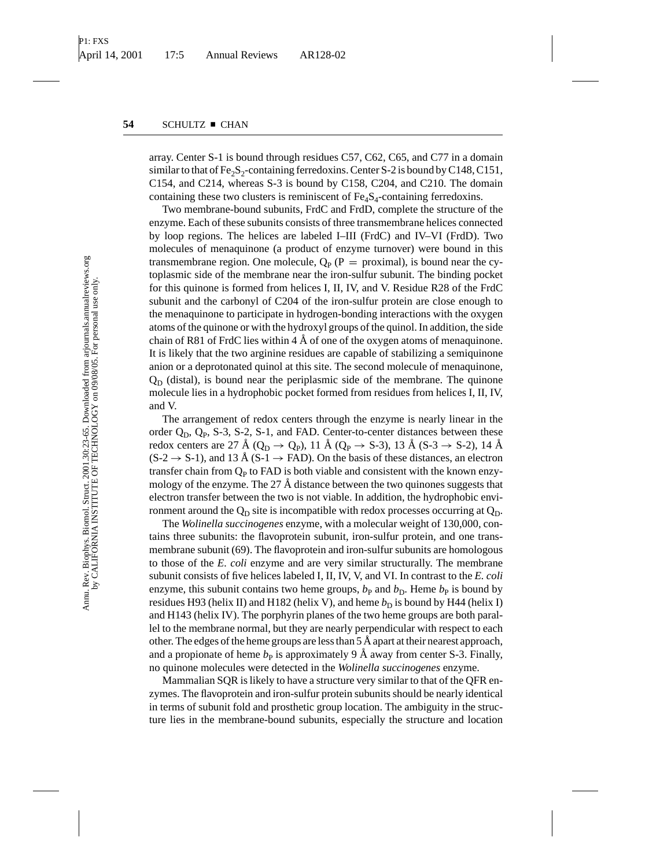array. Center S-1 is bound through residues C57, C62, C65, and C77 in a domain similar to that of Fe<sub>2</sub>S<sub>2</sub>-containing ferredoxins. Center S-2 is bound by C148, C151, C154, and C214, whereas S-3 is bound by C158, C204, and C210. The domain containing these two clusters is reminiscent of  $Fe<sub>4</sub>S<sub>4</sub>$ -containing ferredoxins.

Two membrane-bound subunits, FrdC and FrdD, complete the structure of the enzyme. Each of these subunits consists of three transmembrane helices connected by loop regions. The helices are labeled I–III (FrdC) and IV–VI (FrdD). Two molecules of menaquinone (a product of enzyme turnover) were bound in this transmembrane region. One molecule,  $Q_P (P = proximal)$ , is bound near the cytoplasmic side of the membrane near the iron-sulfur subunit. The binding pocket for this quinone is formed from helices I, II, IV, and V. Residue R28 of the FrdC subunit and the carbonyl of C204 of the iron-sulfur protein are close enough to the menaquinone to participate in hydrogen-bonding interactions with the oxygen atoms of the quinone or with the hydroxyl groups of the quinol. In addition, the side chain of R81 of FrdC lies within 4  $\AA$  of one of the oxygen atoms of menaquinone. It is likely that the two arginine residues are capable of stabilizing a semiquinone anion or a deprotonated quinol at this site. The second molecule of menaquinone,  $Q_D$  (distal), is bound near the periplasmic side of the membrane. The quinone molecule lies in a hydrophobic pocket formed from residues from helices I, II, IV, and V.

The arrangement of redox centers through the enzyme is nearly linear in the order  $Q<sub>D</sub>$ ,  $Q<sub>P</sub>$ , S-3, S-2, S-1, and FAD. Center-to-center distances between these redox centers are 27 Å ( $Q_D \rightarrow Q_P$ ), 11 Å ( $Q_P \rightarrow S-3$ ), 13 Å ( $S-3 \rightarrow S-2$ ), 14 Å  $(S-2 \rightarrow S-1)$ , and 13 Å  $(S-1 \rightarrow FAD)$ . On the basis of these distances, an electron transfer chain from  $Q<sub>p</sub>$  to FAD is both viable and consistent with the known enzymology of the enzyme. The 27 Å distance between the two quinones suggests that electron transfer between the two is not viable. In addition, the hydrophobic environment around the  $Q_D$  site is incompatible with redox processes occurring at  $Q_D$ .

The *Wolinella succinogenes* enzyme, with a molecular weight of 130,000, contains three subunits: the flavoprotein subunit, iron-sulfur protein, and one transmembrane subunit (69). The flavoprotein and iron-sulfur subunits are homologous to those of the *E. coli* enzyme and are very similar structurally. The membrane subunit consists of five helices labeled I, II, IV, V, and VI. In contrast to the *E. coli* enzyme, this subunit contains two heme groups,  $b<sub>P</sub>$  and  $b<sub>D</sub>$ . Heme  $b<sub>P</sub>$  is bound by residues H93 (helix II) and H182 (helix V), and heme  $b<sub>D</sub>$  is bound by H44 (helix I) and H143 (helix IV). The porphyrin planes of the two heme groups are both parallel to the membrane normal, but they are nearly perpendicular with respect to each other. The edges of the heme groups are less than  $5 \text{ Å}$  apart at their nearest approach, and a propionate of heme  $b<sub>P</sub>$  is approximately 9 Å away from center S-3. Finally, no quinone molecules were detected in the *Wolinella succinogenes* enzyme.

Mammalian SQR is likely to have a structure very similar to that of the QFR enzymes. The flavoprotein and iron-sulfur protein subunits should be nearly identical in terms of subunit fold and prosthetic group location. The ambiguity in the structure lies in the membrane-bound subunits, especially the structure and location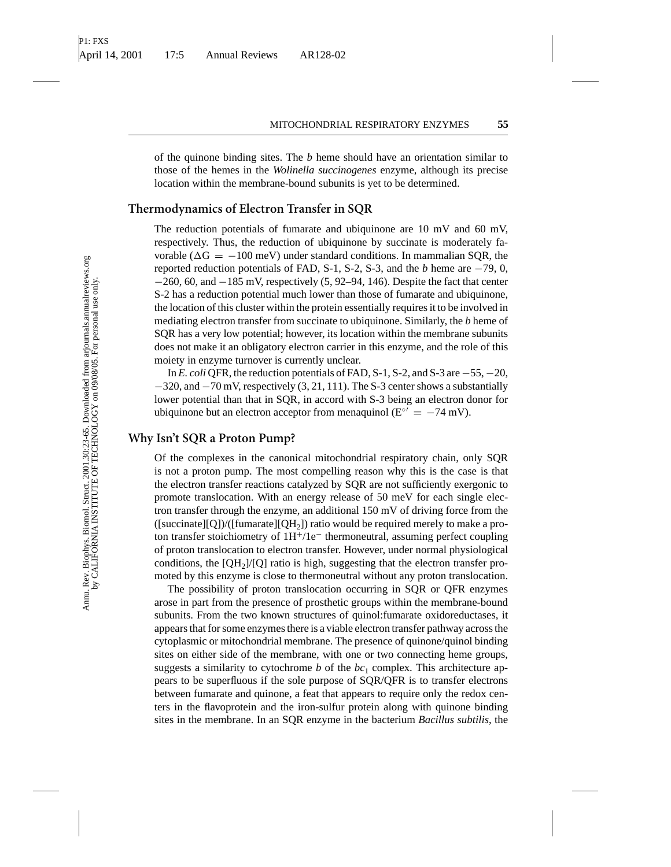of the quinone binding sites. The *b* heme should have an orientation similar to those of the hemes in the *Wolinella succinogenes* enzyme, although its precise location within the membrane-bound subunits is yet to be determined.

#### **Thermodynamics of Electron Transfer in SQR**

The reduction potentials of fumarate and ubiquinone are 10 mV and 60 mV, respectively. Thus, the reduction of ubiquinone by succinate is moderately favorable ( $\Delta G = -100$  meV) under standard conditions. In mammalian SOR, the reported reduction potentials of FAD, S-1, S-2, S-3, and the *b* heme are −79, 0,  $-260$ , 60, and  $-185$  mV, respectively (5, 92–94, 146). Despite the fact that center S-2 has a reduction potential much lower than those of fumarate and ubiquinone, the location of this cluster within the protein essentially requires it to be involved in mediating electron transfer from succinate to ubiquinone. Similarly, the *b* heme of SQR has a very low potential; however, its location within the membrane subunits does not make it an obligatory electron carrier in this enzyme, and the role of this moiety in enzyme turnover is currently unclear.

In *E. coli* QFR, the reduction potentials of FAD, S-1, S-2, and S-3 are −55, −20, −320, and −70 mV, respectively (3, 21, 111). The S-3 center shows a substantially lower potential than that in SQR, in accord with S-3 being an electron donor for ubiquinone but an electron acceptor from menaquinol ( $E<sup>o'</sup> = -74$  mV).

#### **Why Isn't SQR a Proton Pump?**

Of the complexes in the canonical mitochondrial respiratory chain, only SQR is not a proton pump. The most compelling reason why this is the case is that the electron transfer reactions catalyzed by SQR are not sufficiently exergonic to promote translocation. With an energy release of 50 meV for each single electron transfer through the enzyme, an additional 150 mV of driving force from the ([succinate][Q])/([fumarate][QH<sub>2</sub>]) ratio would be required merely to make a proton transfer stoichiometry of  $1H^+/1e^-$  thermoneutral, assuming perfect coupling of proton translocation to electron transfer. However, under normal physiological conditions, the  $[QH<sub>2</sub>]/[Q]$  ratio is high, suggesting that the electron transfer promoted by this enzyme is close to thermoneutral without any proton translocation.

The possibility of proton translocation occurring in SQR or QFR enzymes arose in part from the presence of prosthetic groups within the membrane-bound subunits. From the two known structures of quinol:fumarate oxidoreductases, it appears that for some enzymes there is a viable electron transfer pathway across the cytoplasmic or mitochondrial membrane. The presence of quinone/quinol binding sites on either side of the membrane, with one or two connecting heme groups, suggests a similarity to cytochrome  $b$  of the  $bc_1$  complex. This architecture appears to be superfluous if the sole purpose of SQR/QFR is to transfer electrons between fumarate and quinone, a feat that appears to require only the redox centers in the flavoprotein and the iron-sulfur protein along with quinone binding sites in the membrane. In an SQR enzyme in the bacterium *Bacillus subtilis*, the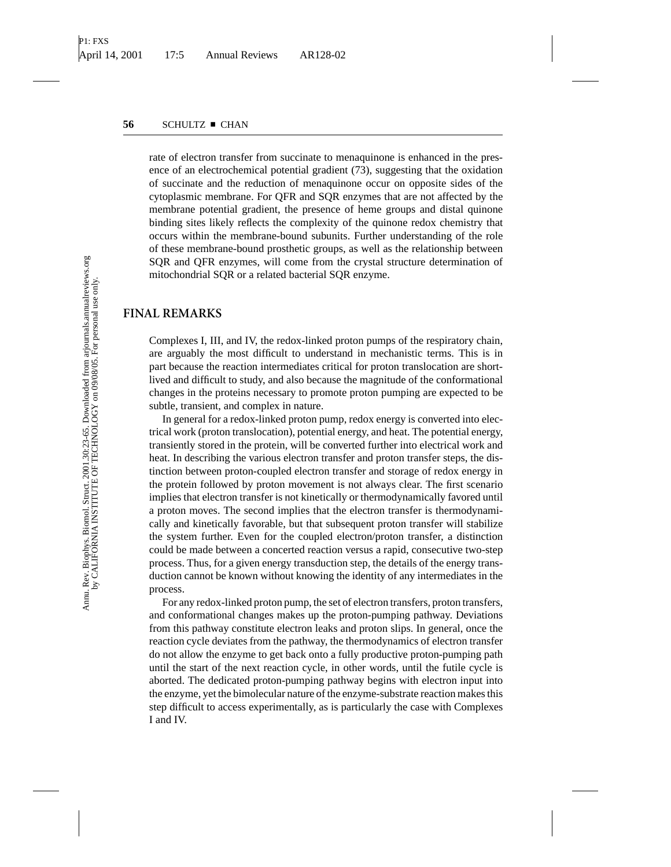rate of electron transfer from succinate to menaquinone is enhanced in the presence of an electrochemical potential gradient (73), suggesting that the oxidation of succinate and the reduction of menaquinone occur on opposite sides of the cytoplasmic membrane. For QFR and SQR enzymes that are not affected by the membrane potential gradient, the presence of heme groups and distal quinone binding sites likely reflects the complexity of the quinone redox chemistry that occurs within the membrane-bound subunits. Further understanding of the role of these membrane-bound prosthetic groups, as well as the relationship between SQR and QFR enzymes, will come from the crystal structure determination of mitochondrial SQR or a related bacterial SQR enzyme.

#### **FINAL REMARKS**

Complexes I, III, and IV, the redox-linked proton pumps of the respiratory chain, are arguably the most difficult to understand in mechanistic terms. This is in part because the reaction intermediates critical for proton translocation are shortlived and difficult to study, and also because the magnitude of the conformational changes in the proteins necessary to promote proton pumping are expected to be subtle, transient, and complex in nature.

In general for a redox-linked proton pump, redox energy is converted into electrical work (proton translocation), potential energy, and heat. The potential energy, transiently stored in the protein, will be converted further into electrical work and heat. In describing the various electron transfer and proton transfer steps, the distinction between proton-coupled electron transfer and storage of redox energy in the protein followed by proton movement is not always clear. The first scenario implies that electron transfer is not kinetically or thermodynamically favored until a proton moves. The second implies that the electron transfer is thermodynamically and kinetically favorable, but that subsequent proton transfer will stabilize the system further. Even for the coupled electron/proton transfer, a distinction could be made between a concerted reaction versus a rapid, consecutive two-step process. Thus, for a given energy transduction step, the details of the energy transduction cannot be known without knowing the identity of any intermediates in the process.

For any redox-linked proton pump, the set of electron transfers, proton transfers, and conformational changes makes up the proton-pumping pathway. Deviations from this pathway constitute electron leaks and proton slips. In general, once the reaction cycle deviates from the pathway, the thermodynamics of electron transfer do not allow the enzyme to get back onto a fully productive proton-pumping path until the start of the next reaction cycle, in other words, until the futile cycle is aborted. The dedicated proton-pumping pathway begins with electron input into the enzyme, yet the bimolecular nature of the enzyme-substrate reaction makes this step difficult to access experimentally, as is particularly the case with Complexes I and IV.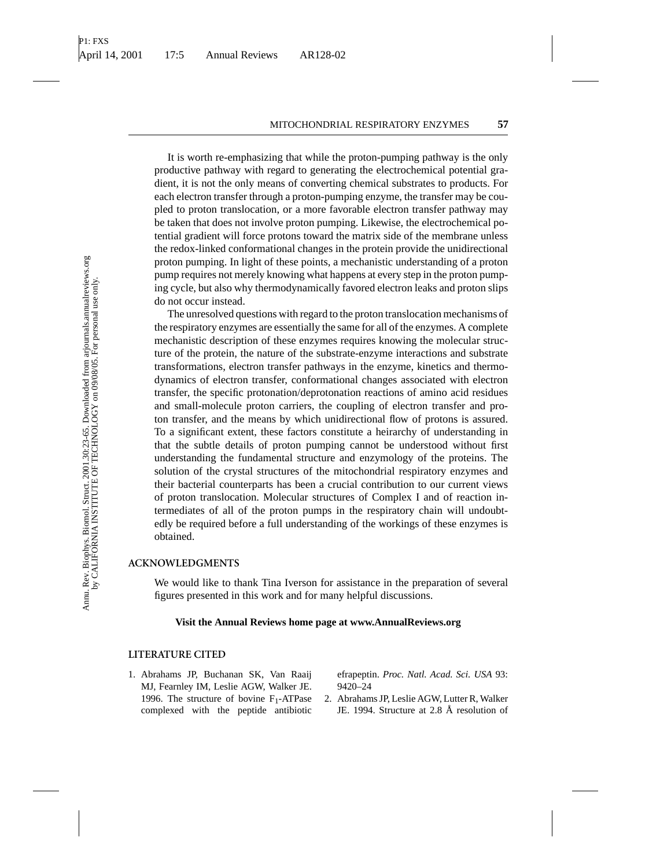It is worth re-emphasizing that while the proton-pumping pathway is the only productive pathway with regard to generating the electrochemical potential gradient, it is not the only means of converting chemical substrates to products. For each electron transfer through a proton-pumping enzyme, the transfer may be coupled to proton translocation, or a more favorable electron transfer pathway may be taken that does not involve proton pumping. Likewise, the electrochemical potential gradient will force protons toward the matrix side of the membrane unless the redox-linked conformational changes in the protein provide the unidirectional proton pumping. In light of these points, a mechanistic understanding of a proton pump requires not merely knowing what happens at every step in the proton pumping cycle, but also why thermodynamically favored electron leaks and proton slips do not occur instead.

The unresolved questions with regard to the proton translocation mechanisms of the respiratory enzymes are essentially the same for all of the enzymes. A complete mechanistic description of these enzymes requires knowing the molecular structure of the protein, the nature of the substrate-enzyme interactions and substrate transformations, electron transfer pathways in the enzyme, kinetics and thermodynamics of electron transfer, conformational changes associated with electron transfer, the specific protonation/deprotonation reactions of amino acid residues and small-molecule proton carriers, the coupling of electron transfer and proton transfer, and the means by which unidirectional flow of protons is assured. To a significant extent, these factors constitute a heirarchy of understanding in that the subtle details of proton pumping cannot be understood without first understanding the fundamental structure and enzymology of the proteins. The solution of the crystal structures of the mitochondrial respiratory enzymes and their bacterial counterparts has been a crucial contribution to our current views of proton translocation. Molecular structures of Complex I and of reaction intermediates of all of the proton pumps in the respiratory chain will undoubtedly be required before a full understanding of the workings of these enzymes is obtained.

#### **ACKNOWLEDGMENTS**

We would like to thank Tina Iverson for assistance in the preparation of several figures presented in this work and for many helpful discussions.

#### **Visit the Annual Reviews home page at www.AnnualReviews.org**

#### **LITERATURE CITED**

1. Abrahams JP, Buchanan SK, Van Raaij MJ, Fearnley IM, Leslie AGW, Walker JE. 1996. The structure of bovine  $F_1$ -ATPase complexed with the peptide antibiotic efrapeptin. *Proc. Natl. Acad. Sci. USA* 93: 9420–24

2. Abrahams JP, Leslie AGW, Lutter R, Walker JE. 1994. Structure at 2.8 Å resolution of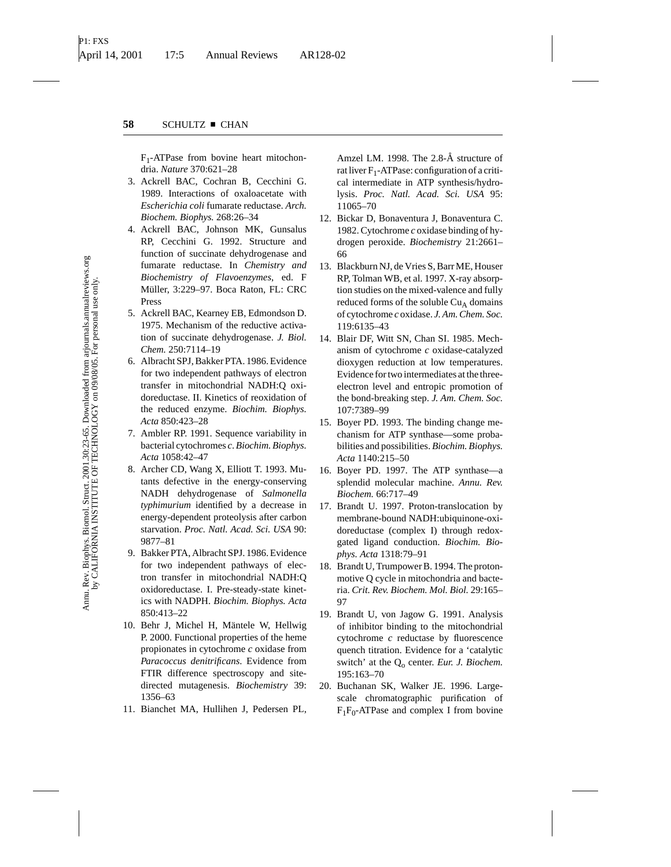F1-ATPase from bovine heart mitochondria. *Nature* 370:621–28

- 3. Ackrell BAC, Cochran B, Cecchini G. 1989. Interactions of oxaloacetate with *Escherichia coli* fumarate reductase. *Arch. Biochem. Biophys.* 268:26–34
- 4. Ackrell BAC, Johnson MK, Gunsalus RP, Cecchini G. 1992. Structure and function of succinate dehydrogenase and fumarate reductase. In *Chemistry and Biochemistry of Flavoenzymes*, ed. F Müller, 3:229–97. Boca Raton, FL: CRC Press
- 5. Ackrell BAC, Kearney EB, Edmondson D. 1975. Mechanism of the reductive activation of succinate dehydrogenase. *J. Biol. Chem.* 250:7114–19
- 6. Albracht SPJ, Bakker PTA. 1986. Evidence for two independent pathways of electron transfer in mitochondrial NADH:Q oxidoreductase. II. Kinetics of reoxidation of the reduced enzyme. *Biochim. Biophys. Acta* 850:423–28
- 7. Ambler RP. 1991. Sequence variability in bacterial cytochromes *c*. *Biochim. Biophys. Acta* 1058:42–47
- 8. Archer CD, Wang X, Elliott T. 1993. Mutants defective in the energy-conserving NADH dehydrogenase of *Salmonella typhimurium* identified by a decrease in energy-dependent proteolysis after carbon starvation. *Proc. Natl. Acad. Sci. USA* 90: 9877–81
- 9. Bakker PTA, Albracht SPJ. 1986. Evidence for two independent pathways of electron transfer in mitochondrial NADH:Q oxidoreductase. I. Pre-steady-state kinetics with NADPH. *Biochim. Biophys. Acta* 850:413–22
- 10. Behr J, Michel H, Mäntele W, Hellwig P. 2000. Functional properties of the heme propionates in cytochrome *c* oxidase from *Paracoccus denitrificans*. Evidence from FTIR difference spectroscopy and sitedirected mutagenesis. *Biochemistry* 39: 1356–63
- 11. Bianchet MA, Hullihen J, Pedersen PL,

Amzel LM. 1998. The 2.8-Å structure of rat liver  $F_1$ -ATPase: configuration of a critical intermediate in ATP synthesis/hydrolysis. *Proc. Natl. Acad. Sci. USA* 95: 11065–70

- 12. Bickar D, Bonaventura J, Bonaventura C. 1982. Cytochrome *c* oxidase binding of hydrogen peroxide. *Biochemistry* 21:2661– 66
- 13. Blackburn NJ, de Vries S, Barr ME, Houser RP, Tolman WB, et al. 1997. X-ray absorption studies on the mixed-valence and fully reduced forms of the soluble  $Cu<sub>A</sub>$  domains of cytochrome *c* oxidase. *J. Am. Chem. Soc.* 119:6135–43
- 14. Blair DF, Witt SN, Chan SI. 1985. Mechanism of cytochrome *c* oxidase-catalyzed dioxygen reduction at low temperatures. Evidence for two intermediates at the threeelectron level and entropic promotion of the bond-breaking step. *J. Am. Chem. Soc.* 107:7389–99
- 15. Boyer PD. 1993. The binding change mechanism for ATP synthase—some probabilities and possibilities. *Biochim. Biophys. Acta* 1140:215–50
- 16. Boyer PD. 1997. The ATP synthase—a splendid molecular machine. *Annu. Rev. Biochem.* 66:717–49
- 17. Brandt U. 1997. Proton-translocation by membrane-bound NADH:ubiquinone-oxidoreductase (complex I) through redoxgated ligand conduction. *Biochim. Biophys. Acta* 1318:79–91
- 18. Brandt U, Trumpower B. 1994. The protonmotive Q cycle in mitochondria and bacteria. *Crit. Rev. Biochem. Mol. Biol.* 29:165– 97
- 19. Brandt U, von Jagow G. 1991. Analysis of inhibitor binding to the mitochondrial cytochrome *c* reductase by fluorescence quench titration. Evidence for a 'catalytic switch' at the Q<sub>o</sub> center. *Eur. J. Biochem.* 195:163–70
- 20. Buchanan SK, Walker JE. 1996. Largescale chromatographic purification of  $F_1F_0$ -ATPase and complex I from bovine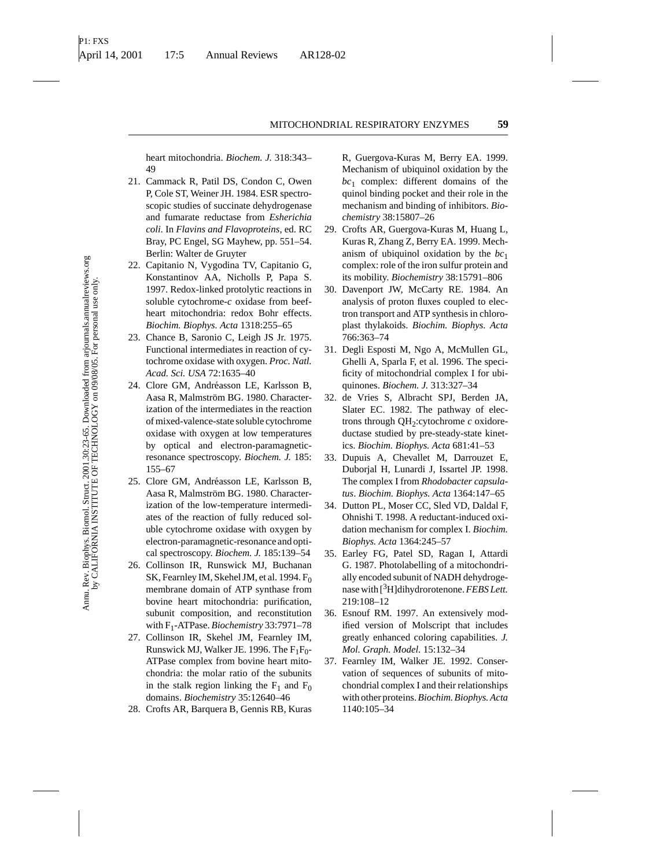heart mitochondria. *Biochem. J.* 318:343– 49

- 21. Cammack R, Patil DS, Condon C, Owen P, Cole ST, Weiner JH. 1984. ESR spectroscopic studies of succinate dehydrogenase and fumarate reductase from *Esherichia coli*. In *Flavins and Flavoproteins*, ed. RC Bray, PC Engel, SG Mayhew, pp. 551–54. Berlin: Walter de Gruyter
- 22. Capitanio N, Vygodina TV, Capitanio G, Konstantinov AA, Nicholls P, Papa S. 1997. Redox-linked protolytic reactions in soluble cytochrome-*c* oxidase from beefheart mitochondria: redox Bohr effects. *Biochim. Biophys. Acta* 1318:255–65
- 23. Chance B, Saronio C, Leigh JS Jr. 1975. Functional intermediates in reaction of cytochrome oxidase with oxygen. *Proc. Natl. Acad. Sci. USA* 72:1635–40
- 24. Clore GM, Andréasson LE, Karlsson B, Aasa R, Malmström BG. 1980. Characterization of the intermediates in the reaction of mixed-valence-state soluble cytochrome oxidase with oxygen at low temperatures by optical and electron-paramagneticresonance spectroscopy. *Biochem. J.* 185: 155–67
- 25. Clore GM, Andréasson LE, Karlsson B, Aasa R, Malmström BG. 1980. Characterization of the low-temperature intermediates of the reaction of fully reduced soluble cytochrome oxidase with oxygen by electron-paramagnetic-resonance and optical spectroscopy. *Biochem. J.* 185:139–54
- 26. Collinson IR, Runswick MJ, Buchanan SK, Fearnley IM, Skehel JM, et al. 1994.  $F_0$ membrane domain of ATP synthase from bovine heart mitochondria: purification, subunit composition, and reconstitution with F1-ATPase. *Biochemistry* 33:7971–78
- 27. Collinson IR, Skehel JM, Fearnley IM, Runswick MJ, Walker JE. 1996. The  $F_1F_0$ -ATPase complex from bovine heart mitochondria: the molar ratio of the subunits in the stalk region linking the  $F_1$  and  $F_0$ domains. *Biochemistry* 35:12640–46
- 28. Crofts AR, Barquera B, Gennis RB, Kuras

R, Guergova-Kuras M, Berry EA. 1999. Mechanism of ubiquinol oxidation by the *bc*<sup>1</sup> complex: different domains of the quinol binding pocket and their role in the mechanism and binding of inhibitors. *Biochemistry* 38:15807–26

- 29. Crofts AR, Guergova-Kuras M, Huang L, Kuras R, Zhang Z, Berry EA. 1999. Mechanism of ubiquinol oxidation by the *bc*<sup>1</sup> complex: role of the iron sulfur protein and its mobility. *Biochemistry* 38:15791–806
- 30. Davenport JW, McCarty RE. 1984. An analysis of proton fluxes coupled to electron transport and ATP synthesis in chloroplast thylakoids. *Biochim. Biophys. Acta* 766:363–74
- 31. Degli Esposti M, Ngo A, McMullen GL, Ghelli A, Sparla F, et al. 1996. The specificity of mitochondrial complex I for ubiquinones. *Biochem. J.* 313:327–34
- 32. de Vries S, Albracht SPJ, Berden JA, Slater EC. 1982. The pathway of electrons through QH<sub>2</sub>:cytochrome *c* oxidoreductase studied by pre-steady-state kinetics. *Biochim. Biophys. Acta* 681:41–53
- 33. Dupuis A, Chevallet M, Darrouzet E, Duborjal H, Lunardi J, Issartel JP. 1998. The complex I from *Rhodobacter capsulatus*. *Biochim. Biophys. Acta* 1364:147–65
- 34. Dutton PL, Moser CC, Sled VD, Daldal F, Ohnishi T. 1998. A reductant-induced oxidation mechanism for complex I. *Biochim. Biophys. Acta* 1364:245–57
- 35. Earley FG, Patel SD, Ragan I, Attardi G. 1987. Photolabelling of a mitochondrially encoded subunit of NADH dehydrogenase with [3H]dihydrorotenone.*FEBS Lett.* 219:108–12
- 36. Esnouf RM. 1997. An extensively modified version of Molscript that includes greatly enhanced coloring capabilities. *J. Mol. Graph. Model.* 15:132–34
- 37. Fearnley IM, Walker JE. 1992. Conservation of sequences of subunits of mitochondrial complex I and their relationships with other proteins.*Biochim. Biophys. Acta* 1140:105–34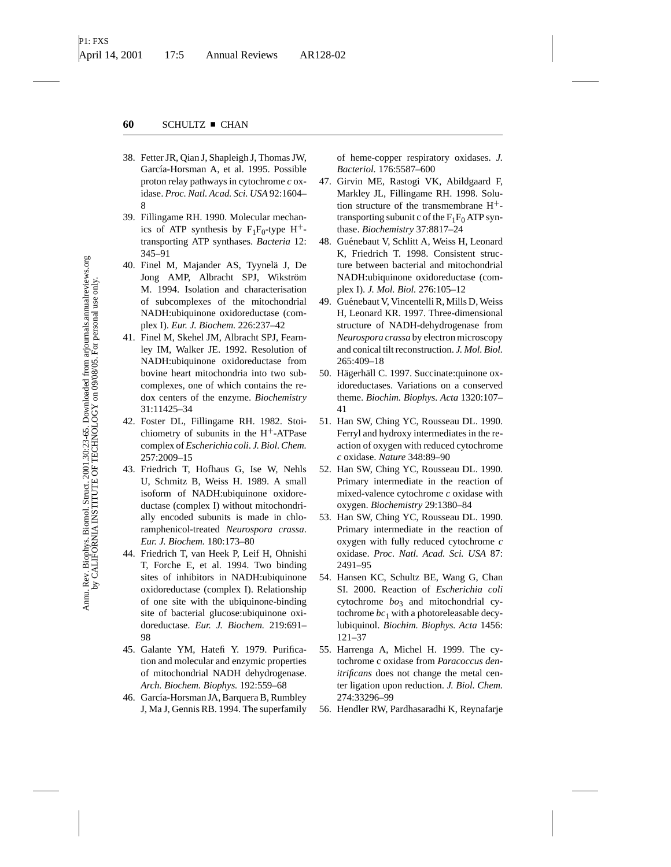- 38. Fetter JR, Qian J, Shapleigh J, Thomas JW, García-Horsman A, et al. 1995. Possible proton relay pathways in cytochrome *c* oxidase. *Proc. Natl. Acad. Sci. USA* 92:1604– 8
- 39. Fillingame RH. 1990. Molecular mechanics of ATP synthesis by  $F_1F_0$ -type H<sup>+</sup>transporting ATP synthases. *Bacteria* 12: 345–91
- 40. Finel M, Majander AS, Tyynelä J, De Jong AMP, Albracht SPJ, Wikström 1994. Isolation and characterisation of subcomplexes of the mitochondrial NADH:ubiquinone oxidoreductase (complex I). *Eur. J. Biochem.* 226:237–42
- 41. Finel M, Skehel JM, Albracht SPJ, Fearnley IM, Walker JE. 1992. Resolution of NADH:ubiquinone oxidoreductase from bovine heart mitochondria into two subcomplexes, one of which contains the redox centers of the enzyme. *Biochemistry* 31:11425–34
- 42. Foster DL, Fillingame RH. 1982. Stoichiometry of subunits in the H+-ATPase complex of *Escherichia coli*. *J. Biol. Chem.* 257:2009–15
- 43. Friedrich T, Hofhaus G, Ise W, Nehls U, Schmitz B, Weiss H. 1989. A small isoform of NADH:ubiquinone oxidoreductase (complex I) without mitochondrially encoded subunits is made in chloramphenicol-treated *Neurospora crassa*. *Eur. J. Biochem.* 180:173–80
- 44. Friedrich T, van Heek P, Leif H, Ohnishi T, Forche E, et al. 1994. Two binding sites of inhibitors in NADH:ubiquinone oxidoreductase (complex I). Relationship of one site with the ubiquinone-binding site of bacterial glucose:ubiquinone oxidoreductase. *Eur. J. Biochem.* 219:691– 98
- 45. Galante YM, Hatefi Y. 1979. Purification and molecular and enzymic properties of mitochondrial NADH dehydrogenase. *Arch. Biochem. Biophys.* 192:559–68
- 46. García-Horsman JA, Barquera B, Rumbley J, Ma J, Gennis RB. 1994. The superfamily

of heme-copper respiratory oxidases. *J. Bacteriol.* 176:5587–600

- 47. Girvin ME, Rastogi VK, Abildgaard F, Markley JL, Fillingame RH. 1998. Solution structure of the transmembrane  $H^+$ transporting subunit c of the  $F_1F_0$  ATP synthase. *Biochemistry* 37:8817–24
- 48. Guénebaut V, Schlitt A, Weiss H, Leonard K, Friedrich T. 1998. Consistent structure between bacterial and mitochondrial NADH:ubiquinone oxidoreductase (complex I). *J. Mol. Biol.* 276:105–12
- 49. Guénebaut V, Vincentelli R, Mills D, Weiss H, Leonard KR. 1997. Three-dimensional structure of NADH-dehydrogenase from *Neurospora crassa* by electron microscopy and conical tilt reconstruction. *J. Mol. Biol.* 265:409–18
- 50. Hägerhäll C. 1997. Succinate: quinone oxidoreductases. Variations on a conserved theme. *Biochim. Biophys. Acta* 1320:107– 41
- 51. Han SW, Ching YC, Rousseau DL. 1990. Ferryl and hydroxy intermediates in the reaction of oxygen with reduced cytochrome *c* oxidase. *Nature* 348:89–90
- 52. Han SW, Ching YC, Rousseau DL. 1990. Primary intermediate in the reaction of mixed-valence cytochrome *c* oxidase with oxygen. *Biochemistry* 29:1380–84
- 53. Han SW, Ching YC, Rousseau DL. 1990. Primary intermediate in the reaction of oxygen with fully reduced cytochrome *c* oxidase. *Proc. Natl. Acad. Sci. USA* 87: 2491–95
- 54. Hansen KC, Schultz BE, Wang G, Chan SI. 2000. Reaction of *Escherichia coli* cytochrome  $bo<sub>3</sub>$  and mitochondrial cytochrome  $bc_1$  with a photoreleasable decylubiquinol. *Biochim. Biophys. Acta* 1456: 121–37
- 55. Harrenga A, Michel H. 1999. The cytochrome c oxidase from *Paracoccus denitrificans* does not change the metal center ligation upon reduction. *J. Biol. Chem.* 274:33296–99
- 56. Hendler RW, Pardhasaradhi K, Reynafarje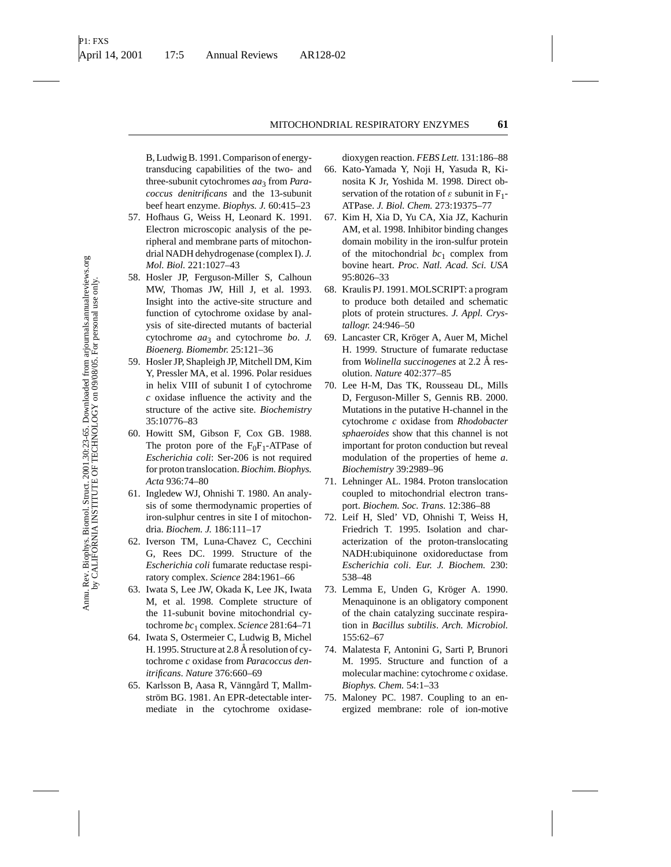B, Ludwig B. 1991. Comparison of energytransducing capabilities of the two- and three-subunit cytochromes  $aa_3$  from *Paracoccus denitrificans* and the 13-subunit beef heart enzyme. *Biophys. J.* 60:415–23

- 57. Hofhaus G, Weiss H, Leonard K. 1991. Electron microscopic analysis of the peripheral and membrane parts of mitochondrial NADH dehydrogenase (complex I). *J. Mol. Biol.* 221:1027–43
- 58. Hosler JP, Ferguson-Miller S, Calhoun MW, Thomas JW, Hill J, et al. 1993. Insight into the active-site structure and function of cytochrome oxidase by analysis of site-directed mutants of bacterial cytochrome  $aa_3$  and cytochrome *bo*. *J. Bioenerg. Biomembr.* 25:121–36
- 59. Hosler JP, Shapleigh JP, Mitchell DM, Kim Y, Pressler MA, et al. 1996. Polar residues in helix VIII of subunit I of cytochrome *c* oxidase influence the activity and the structure of the active site. *Biochemistry* 35:10776–83
- 60. Howitt SM, Gibson F, Cox GB. 1988. The proton pore of the  $F_0F_1$ -ATPase of *Escherichia coli*: Ser-206 is not required for proton translocation. *Biochim. Biophys. Acta* 936:74–80
- 61. Ingledew WJ, Ohnishi T. 1980. An analysis of some thermodynamic properties of iron-sulphur centres in site I of mitochondria. *Biochem. J.* 186:111–17
- 62. Iverson TM, Luna-Chavez C, Cecchini G, Rees DC. 1999. Structure of the *Escherichia coli* fumarate reductase respiratory complex. *Science* 284:1961–66
- 63. Iwata S, Lee JW, Okada K, Lee JK, Iwata M, et al. 1998. Complete structure of the 11-subunit bovine mitochondrial cytochrome *bc*<sup>1</sup> complex. *Science* 281:64–71
- 64. Iwata S, Ostermeier C, Ludwig B, Michel H. 1995. Structure at  $2.8 \text{ Å}$  resolution of cytochrome *c* oxidase from *Paracoccus denitrificans*. *Nature* 376:660–69
- 65. Karlsson B, Aasa R, Vänngård T, Mallmström BG. 1981. An EPR-detectable intermediate in the cytochrome oxidase-

dioxygen reaction. *FEBS Lett.* 131:186–88

- 66. Kato-Yamada Y, Noji H, Yasuda R, Kinosita K Jr, Yoshida M. 1998. Direct observation of the rotation of  $\varepsilon$  subunit in F<sub>1</sub>-ATPase. *J. Biol. Chem.* 273:19375–77
- 67. Kim H, Xia D, Yu CA, Xia JZ, Kachurin AM, et al. 1998. Inhibitor binding changes domain mobility in the iron-sulfur protein of the mitochondrial *bc*<sup>1</sup> complex from bovine heart. *Proc. Natl. Acad. Sci. USA* 95:8026–33
- 68. Kraulis PJ. 1991. MOLSCRIPT: a program to produce both detailed and schematic plots of protein structures. *J. Appl. Crystallogr.* 24:946–50
- 69. Lancaster CR, Kröger A, Auer M, Michel H. 1999. Structure of fumarate reductase from *Wolinella succinogenes* at 2.2 Å resolution. *Nature* 402:377–85
- 70. Lee H-M, Das TK, Rousseau DL, Mills D, Ferguson-Miller S, Gennis RB. 2000. Mutations in the putative H-channel in the cytochrome *c* oxidase from *Rhodobacter sphaeroides* show that this channel is not important for proton conduction but reveal modulation of the properties of heme *a*. *Biochemistry* 39:2989–96
- 71. Lehninger AL. 1984. Proton translocation coupled to mitochondrial electron transport. *Biochem. Soc. Trans.* 12:386–88
- 72. Leif H, Sled' VD, Ohnishi T, Weiss H, Friedrich T. 1995. Isolation and characterization of the proton-translocating NADH:ubiquinone oxidoreductase from *Escherichia coli*. *Eur. J. Biochem.* 230: 538–48
- 73. Lemma E, Unden G, Kröger A. 1990. Menaquinone is an obligatory component of the chain catalyzing succinate respiration in *Bacillus subtilis*. *Arch. Microbiol.* 155:62–67
- 74. Malatesta F, Antonini G, Sarti P, Brunori M. 1995. Structure and function of a molecular machine: cytochrome *c* oxidase. *Biophys. Chem.* 54:1–33
- 75. Maloney PC. 1987. Coupling to an energized membrane: role of ion-motive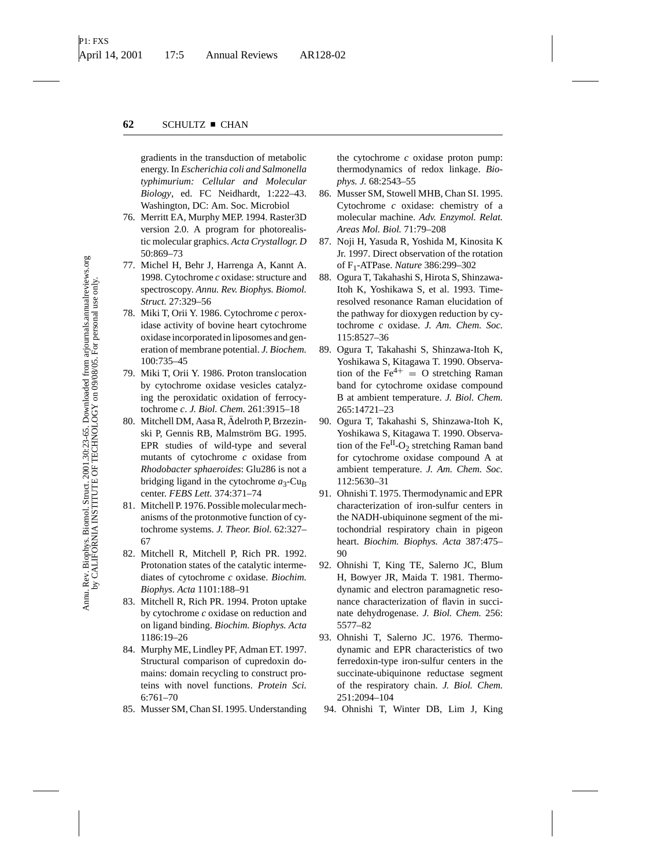gradients in the transduction of metabolic energy. In *Escherichia coli and Salmonella typhimurium: Cellular and Molecular Biology*, ed. FC Neidhardt, 1:222–43. Washington, DC: Am. Soc. Microbiol

- 76. Merritt EA, Murphy MEP. 1994. Raster3D version 2.0. A program for photorealistic molecular graphics. *Acta Crystallogr. D* 50:869–73
- 77. Michel H, Behr J, Harrenga A, Kannt A. 1998. Cytochrome *c* oxidase: structure and spectroscopy. *Annu. Rev. Biophys. Biomol. Struct.* 27:329–56
- 78. Miki T, Orii Y. 1986. Cytochrome *c* peroxidase activity of bovine heart cytochrome oxidase incorporated in liposomes and generation of membrane potential. *J. Biochem.* 100:735–45
- 79. Miki T, Orii Y. 1986. Proton translocation by cytochrome oxidase vesicles catalyzing the peroxidatic oxidation of ferrocytochrome *c*. *J. Biol. Chem.* 261:3915–18
- 80. Mitchell DM, Aasa R, Adelroth P, Brzezinski P, Gennis RB, Malmström BG. 1995. EPR studies of wild-type and several mutants of cytochrome *c* oxidase from *Rhodobacter sphaeroides*: Glu286 is not a bridging ligand in the cytochrome  $a_3$ -Cu<sub>B</sub> center. *FEBS Lett.* 374:371–74
- 81. Mitchell P. 1976. Possible molecular mechanisms of the protonmotive function of cytochrome systems. *J. Theor. Biol.* 62:327– 67
- 82. Mitchell R, Mitchell P, Rich PR. 1992. Protonation states of the catalytic intermediates of cytochrome *c* oxidase. *Biochim. Biophys. Acta* 1101:188–91
- 83. Mitchell R, Rich PR. 1994. Proton uptake by cytochrome *c* oxidase on reduction and on ligand binding. *Biochim. Biophys. Acta* 1186:19–26
- 84. Murphy ME, Lindley PF, Adman ET. 1997. Structural comparison of cupredoxin domains: domain recycling to construct proteins with novel functions. *Protein Sci.* 6:761–70
- 85. Musser SM, Chan SI. 1995. Understanding

the cytochrome *c* oxidase proton pump: thermodynamics of redox linkage. *Biophys. J.* 68:2543–55

- 86. Musser SM, Stowell MHB, Chan SI. 1995. Cytochrome *c* oxidase: chemistry of a molecular machine. *Adv. Enzymol. Relat. Areas Mol. Biol.* 71:79–208
- 87. Noji H, Yasuda R, Yoshida M, Kinosita K Jr. 1997. Direct observation of the rotation of F1-ATPase. *Nature* 386:299–302
- 88. Ogura T, Takahashi S, Hirota S, Shinzawa-Itoh K, Yoshikawa S, et al. 1993. Timeresolved resonance Raman elucidation of the pathway for dioxygen reduction by cytochrome *c* oxidase. *J. Am. Chem. Soc.* 115:8527–36
- 89. Ogura T, Takahashi S, Shinzawa-Itoh K, Yoshikawa S, Kitagawa T. 1990. Observation of the Fe<sup>4+</sup> = O stretching Raman band for cytochrome oxidase compound B at ambient temperature. *J. Biol. Chem.* 265:14721–23
- 90. Ogura T, Takahashi S, Shinzawa-Itoh K, Yoshikawa S, Kitagawa T. 1990. Observation of the Fe<sup>II</sup>-O<sub>2</sub> stretching Raman band for cytochrome oxidase compound A at ambient temperature. *J. Am. Chem. Soc.* 112:5630–31
- 91. Ohnishi T. 1975. Thermodynamic and EPR characterization of iron-sulfur centers in the NADH-ubiquinone segment of the mitochondrial respiratory chain in pigeon heart. *Biochim. Biophys. Acta* 387:475– 90
- 92. Ohnishi T, King TE, Salerno JC, Blum H, Bowyer JR, Maida T. 1981. Thermodynamic and electron paramagnetic resonance characterization of flavin in succinate dehydrogenase. *J. Biol. Chem.* 256: 5577–82
- 93. Ohnishi T, Salerno JC. 1976. Thermodynamic and EPR characteristics of two ferredoxin-type iron-sulfur centers in the succinate-ubiquinone reductase segment of the respiratory chain. *J. Biol. Chem.* 251:2094–104
- 94. Ohnishi T, Winter DB, Lim J, King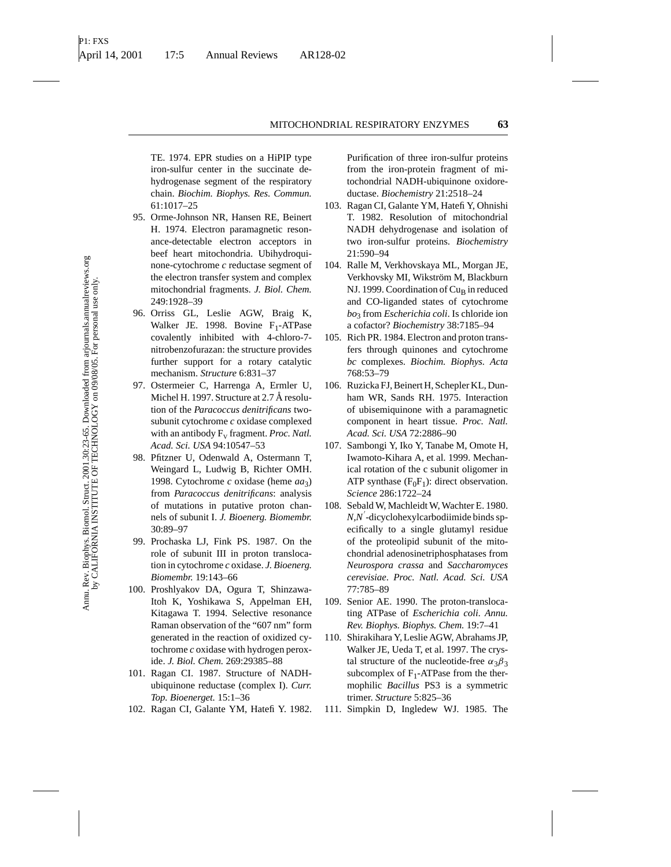TE. 1974. EPR studies on a HiPIP type iron-sulfur center in the succinate dehydrogenase segment of the respiratory chain. *Biochim. Biophys. Res. Commun.* 61:1017–25

- 95. Orme-Johnson NR, Hansen RE, Beinert H. 1974. Electron paramagnetic resonance-detectable electron acceptors in beef heart mitochondria. Ubihydroquinone-cytochrome *c* reductase segment of the electron transfer system and complex mitochondrial fragments. *J. Biol. Chem.* 249:1928–39
- 96. Orriss GL, Leslie AGW, Braig K, Walker JE. 1998. Bovine  $F_1$ -ATPase covalently inhibited with 4-chloro-7 nitrobenzofurazan: the structure provides further support for a rotary catalytic mechanism. *Structure* 6:831–37
- 97. Ostermeier C, Harrenga A, Ermler U, Michel H. 1997. Structure at  $2.7 \text{ Å}$  resolution of the *Paracoccus denitrificans* twosubunit cytochrome *c* oxidase complexed with an antibody F<sub>v</sub> fragment. *Proc. Natl. Acad. Sci. USA* 94:10547–53
- 98. Pfitzner U, Odenwald A, Ostermann T, Weingard L, Ludwig B, Richter OMH. 1998. Cytochrome *c* oxidase (heme *aa*3) from *Paracoccus denitrificans*: analysis of mutations in putative proton channels of subunit I. *J. Bioenerg. Biomembr.* 30:89–97
- 99. Prochaska LJ, Fink PS. 1987. On the role of subunit III in proton translocation in cytochrome *c* oxidase. *J. Bioenerg. Biomembr.* 19:143–66
- 100. Proshlyakov DA, Ogura T, Shinzawa-Itoh K, Yoshikawa S, Appelman EH, Kitagawa T. 1994. Selective resonance Raman observation of the "607 nm" form generated in the reaction of oxidized cytochrome *c* oxidase with hydrogen peroxide. *J. Biol. Chem.* 269:29385–88
- 101. Ragan CI. 1987. Structure of NADHubiquinone reductase (complex I). *Curr. Top. Bioenerget.* 15:1–36
- 102. Ragan CI, Galante YM, Hatefi Y. 1982.

Purification of three iron-sulfur proteins from the iron-protein fragment of mitochondrial NADH-ubiquinone oxidoreductase. *Biochemistry* 21:2518–24

- 103. Ragan CI, Galante YM, Hatefi Y, Ohnishi T. 1982. Resolution of mitochondrial NADH dehydrogenase and isolation of two iron-sulfur proteins. *Biochemistry* 21:590–94
- 104. Ralle M, Verkhovskaya ML, Morgan JE, Verkhovsky MI, Wikström M, Blackburn NJ. 1999. Coordination of  $Cu<sub>B</sub>$  in reduced and CO-liganded states of cytochrome *bo*<sup>3</sup> from *Escherichia coli*. Is chloride ion a cofactor? *Biochemistry* 38:7185–94
- 105. Rich PR. 1984. Electron and proton transfers through quinones and cytochrome *bc* complexes. *Biochim. Biophys. Acta* 768:53–79
- 106. Ruzicka FJ, Beinert H, Schepler KL, Dunham WR, Sands RH. 1975. Interaction of ubisemiquinone with a paramagnetic component in heart tissue. *Proc. Natl. Acad. Sci. USA* 72:2886–90
- 107. Sambongi Y, Iko Y, Tanabe M, Omote H, Iwamoto-Kihara A, et al. 1999. Mechanical rotation of the c subunit oligomer in ATP synthase  $(F_0F_1)$ : direct observation. *Science* 286:1722–24
- 108. Sebald W, Machleidt W, Wachter E. 1980.  $N, N'$ -dicyclohexylcarbodiimide binds specifically to a single glutamyl residue of the proteolipid subunit of the mitochondrial adenosinetriphosphatases from *Neurospora crassa* and *Saccharomyces cerevisiae*. *Proc. Natl. Acad. Sci. USA* 77:785–89
- 109. Senior AE. 1990. The proton-translocating ATPase of *Escherichia coli*. *Annu. Rev. Biophys. Biophys. Chem.* 19:7–41
- 110. Shirakihara Y, Leslie AGW, Abrahams JP, Walker JE, Ueda T, et al. 1997. The crystal structure of the nucleotide-free  $\alpha_3\beta_3$ subcomplex of  $F_1$ -ATPase from the thermophilic *Bacillus* PS3 is a symmetric trimer. *Structure* 5:825–36
- 111. Simpkin D, Ingledew WJ. 1985. The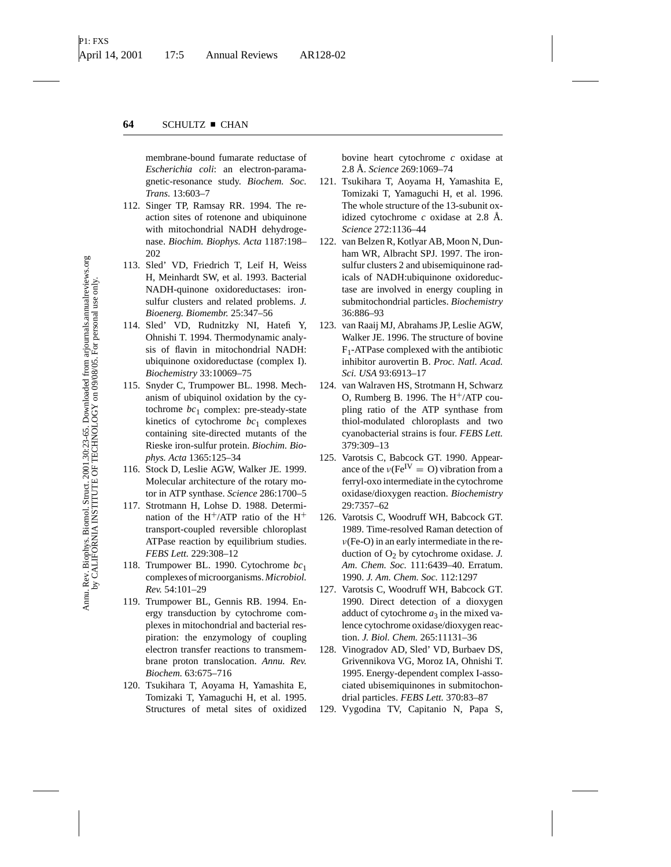membrane-bound fumarate reductase of *Escherichia coli*: an electron-paramagnetic-resonance study. *Biochem. Soc. Trans.* 13:603–7

- 112. Singer TP, Ramsay RR. 1994. The reaction sites of rotenone and ubiquinone with mitochondrial NADH dehydrogenase. *Biochim. Biophys. Acta* 1187:198– 202
- 113. Sled' VD, Friedrich T, Leif H, Weiss H, Meinhardt SW, et al. 1993. Bacterial NADH-quinone oxidoreductases: ironsulfur clusters and related problems. *J. Bioenerg. Biomembr.* 25:347–56
- 114. Sled' VD, Rudnitzky NI, Hatefi Y, Ohnishi T. 1994. Thermodynamic analysis of flavin in mitochondrial NADH: ubiquinone oxidoreductase (complex I). *Biochemistry* 33:10069–75
- 115. Snyder C, Trumpower BL. 1998. Mechanism of ubiquinol oxidation by the cytochrome *bc*<sup>1</sup> complex: pre-steady-state kinetics of cytochrome  $bc_1$  complexes containing site-directed mutants of the Rieske iron-sulfur protein. *Biochim. Biophys. Acta* 1365:125–34
- 116. Stock D, Leslie AGW, Walker JE. 1999. Molecular architecture of the rotary motor in ATP synthase. *Science* 286:1700–5
- 117. Strotmann H, Lohse D. 1988. Determination of the  $H^+/ATP$  ratio of the  $H^+$ transport-coupled reversible chloroplast ATPase reaction by equilibrium studies. *FEBS Lett.* 229:308–12
- 118. Trumpower BL. 1990. Cytochrome *bc*<sup>1</sup> complexes of microorganisms.*Microbiol. Rev.* 54:101–29
- 119. Trumpower BL, Gennis RB. 1994. Energy transduction by cytochrome complexes in mitochondrial and bacterial respiration: the enzymology of coupling electron transfer reactions to transmembrane proton translocation. *Annu. Rev. Biochem.* 63:675–716
- 120. Tsukihara T, Aoyama H, Yamashita E, Tomizaki T, Yamaguchi H, et al. 1995. Structures of metal sites of oxidized

bovine heart cytochrome *c* oxidase at 2.8 Å. Science 269:1069-74

- 121. Tsukihara T, Aoyama H, Yamashita E, Tomizaki T, Yamaguchi H, et al. 1996. The whole structure of the 13-subunit oxidized cytochrome  $c$  oxidase at 2.8  $\AA$ . *Science* 272:1136–44
- 122. van Belzen R, Kotlyar AB, Moon N, Dunham WR, Albracht SPJ. 1997. The ironsulfur clusters 2 and ubisemiquinone radicals of NADH:ubiquinone oxidoreductase are involved in energy coupling in submitochondrial particles. *Biochemistry* 36:886–93
- 123. van Raaij MJ, Abrahams JP, Leslie AGW, Walker JE. 1996. The structure of bovine F1-ATPase complexed with the antibiotic inhibitor aurovertin B. *Proc. Natl. Acad. Sci. USA* 93:6913–17
- 124. van Walraven HS, Strotmann H, Schwarz O, Rumberg B. 1996. The  $H^+$ /ATP coupling ratio of the ATP synthase from thiol-modulated chloroplasts and two cyanobacterial strains is four. *FEBS Lett.* 379:309–13
- 125. Varotsis C, Babcock GT. 1990. Appearance of the  $v(Fe^{IV} = O)$  vibration from a ferryl-oxo intermediate in the cytochrome oxidase/dioxygen reaction. *Biochemistry* 29:7357–62
- 126. Varotsis C, Woodruff WH, Babcock GT. 1989. Time-resolved Raman detection of  $\nu$ (Fe-O) in an early intermediate in the reduction of  $O_2$  by cytochrome oxidase. *J*. *Am. Chem. Soc.* 111:6439–40. Erratum. 1990. *J. Am. Chem. Soc.* 112:1297
- 127. Varotsis C, Woodruff WH, Babcock GT. 1990. Direct detection of a dioxygen adduct of cytochrome  $a_3$  in the mixed valence cytochrome oxidase/dioxygen reaction. *J. Biol. Chem.* 265:11131–36
- 128. Vinogradov AD, Sled' VD, Burbaev DS, Grivennikova VG, Moroz IA, Ohnishi T. 1995. Energy-dependent complex I-associated ubisemiquinones in submitochondrial particles. *FEBS Lett.* 370:83–87
- 129. Vygodina TV, Capitanio N, Papa S,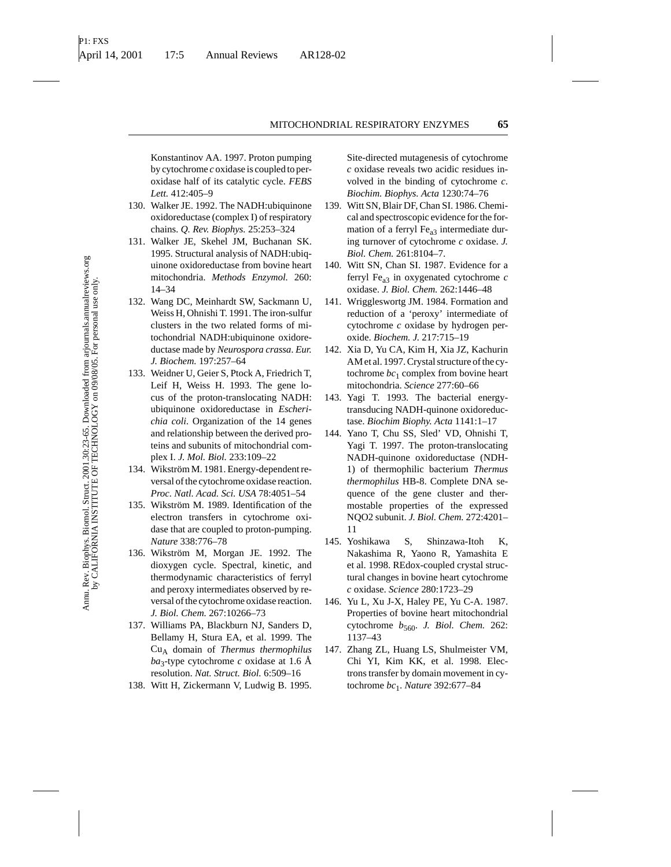Konstantinov AA. 1997. Proton pumping by cytochrome *c* oxidase is coupled to peroxidase half of its catalytic cycle. *FEBS Lett.* 412:405–9

- 130. Walker JE. 1992. The NADH:ubiquinone oxidoreductase (complex I) of respiratory chains. *Q. Rev. Biophys.* 25:253–324
- 131. Walker JE, Skehel JM, Buchanan SK. 1995. Structural analysis of NADH:ubiquinone oxidoreductase from bovine heart mitochondria. *Methods Enzymol.* 260: 14–34
- 132. Wang DC, Meinhardt SW, Sackmann U, Weiss H, Ohnishi T. 1991. The iron-sulfur clusters in the two related forms of mitochondrial NADH:ubiquinone oxidoreductase made by *Neurospora crassa*. *Eur. J. Biochem.* 197:257–64
- 133. Weidner U, Geier S, Ptock A, Friedrich T, Leif H, Weiss H. 1993. The gene locus of the proton-translocating NADH: ubiquinone oxidoreductase in *Escherichia coli*. Organization of the 14 genes and relationship between the derived proteins and subunits of mitochondrial complex I. *J. Mol. Biol.* 233:109–22
- 134. Wikström M. 1981. Energy-dependent reversal of the cytochrome oxidase reaction. *Proc. Natl. Acad. Sci. USA* 78:4051–54
- 135. Wikström M. 1989. Identification of the electron transfers in cytochrome oxidase that are coupled to proton-pumping. *Nature* 338:776–78
- 136. Wikström M, Morgan JE. 1992. The dioxygen cycle. Spectral, kinetic, and thermodynamic characteristics of ferryl and peroxy intermediates observed by reversal of the cytochrome oxidase reaction. *J. Biol. Chem.* 267:10266–73
- 137. Williams PA, Blackburn NJ, Sanders D, Bellamy H, Stura EA, et al. 1999. The CuA domain of *Thermus thermophilus*  $ba_3$ -type cytochrome *c* oxidase at 1.6 Å resolution. *Nat. Struct. Biol.* 6:509–16
- 138. Witt H, Zickermann V, Ludwig B. 1995.

Site-directed mutagenesis of cytochrome *c* oxidase reveals two acidic residues involved in the binding of cytochrome *c*. *Biochim. Biophys. Acta* 1230:74–76

- 139. Witt SN, Blair DF, Chan SI. 1986. Chemical and spectroscopic evidence for the formation of a ferryl  $Fe_{33}$  intermediate during turnover of cytochrome *c* oxidase. *J. Biol. Chem.* 261:8104–7.
- 140. Witt SN, Chan SI. 1987. Evidence for a ferryl Fea3 in oxygenated cytochrome *c* oxidase. *J. Biol. Chem.* 262:1446–48
- 141. Wriggleswortg JM. 1984. Formation and reduction of a 'peroxy' intermediate of cytochrome *c* oxidase by hydrogen peroxide. *Biochem. J.* 217:715–19
- 142. Xia D, Yu CA, Kim H, Xia JZ, Kachurin AM et al. 1997. Crystal structure of the cytochrome  $bc_1$  complex from bovine heart mitochondria. *Science* 277:60–66
- 143. Yagi T. 1993. The bacterial energytransducing NADH-quinone oxidoreductase. *Biochim Biophy. Acta* 1141:1–17
- 144. Yano T, Chu SS, Sled' VD, Ohnishi T, Yagi T. 1997. The proton-translocating NADH-quinone oxidoreductase (NDH-1) of thermophilic bacterium *Thermus thermophilus* HB-8. Complete DNA sequence of the gene cluster and thermostable properties of the expressed NQO2 subunit. *J. Biol. Chem.* 272:4201– 11
- 145. Yoshikawa S, Shinzawa-Itoh K, Nakashima R, Yaono R, Yamashita E et al. 1998. REdox-coupled crystal structural changes in bovine heart cytochrome *c* oxidase. *Science* 280:1723–29
- 146. Yu L, Xu J-X, Haley PE, Yu C-A. 1987. Properties of bovine heart mitochondrial cytochrome *b*560. *J. Biol. Chem.* 262: 1137–43
- 147. Zhang ZL, Huang LS, Shulmeister VM, Chi YI, Kim KK, et al. 1998. Electrons transfer by domain movement in cytochrome *bc*1. *Nature* 392:677–84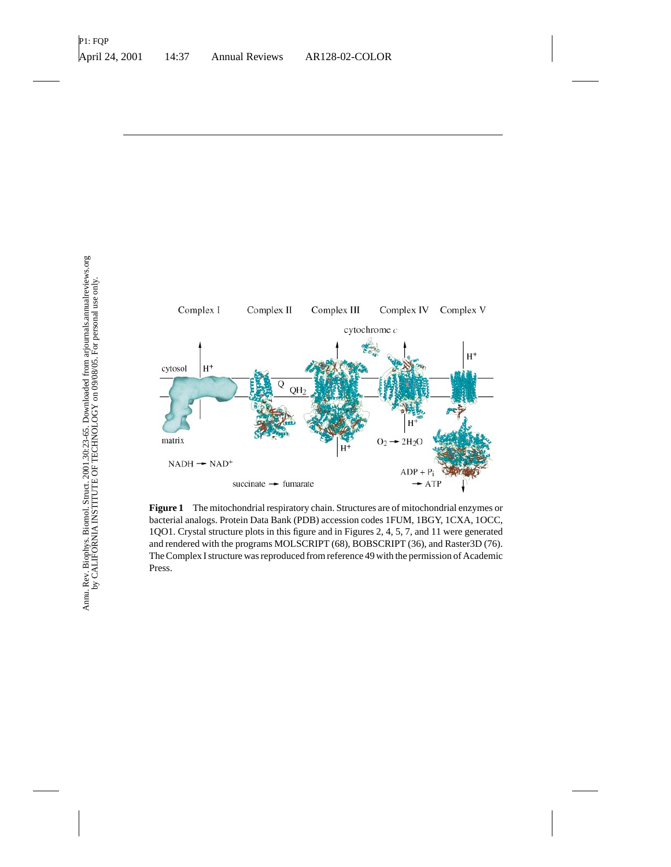

**Figure 1** The mitochondrial respiratory chain. Structures are of mitochondrial enzymes or bacterial analogs. Protein Data Bank (PDB) accession codes 1FUM, 1BGY, 1CXA, 1OCC, 1QO1. Crystal structure plots in this figure and in Figures 2, 4, 5, 7, and 11 were generated and rendered with the programs MOLSCRIPT (68), BOBSCRIPT (36), and Raster3D (76). The Complex I structure was reproduced from reference 49 with the permission of Academic Press.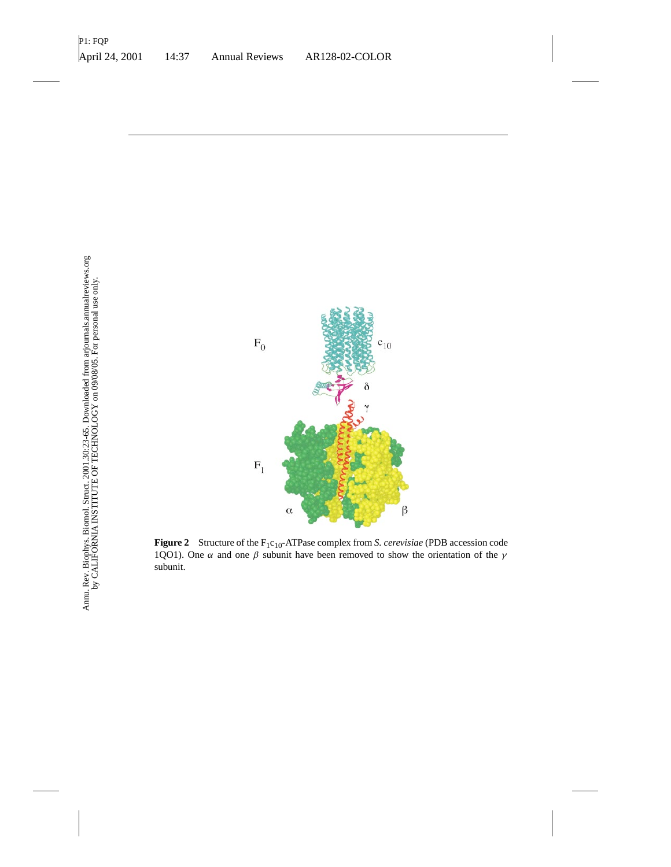

Figure 2 Structure of the F<sub>1</sub>c<sub>10</sub>-ATPase complex from *S. cerevisiae* (PDB accession code 1QO1). One  $\alpha$  and one  $\beta$  subunit have been removed to show the orientation of the  $\gamma$ subunit.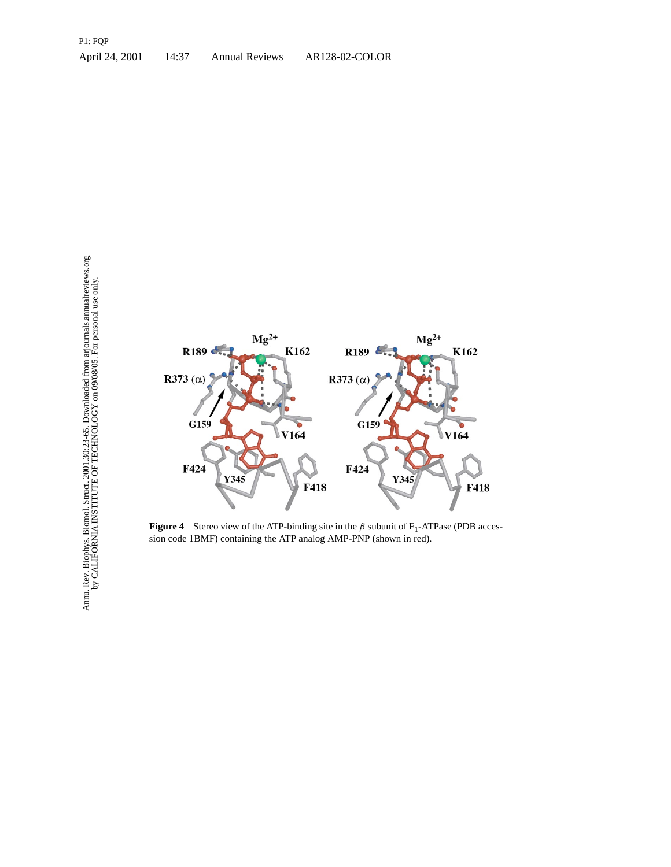

**Figure 4** Stereo view of the ATP-binding site in the  $\beta$  subunit of F<sub>1</sub>-ATPase (PDB accession code 1BMF) containing the ATP analog AMP-PNP (shown in red).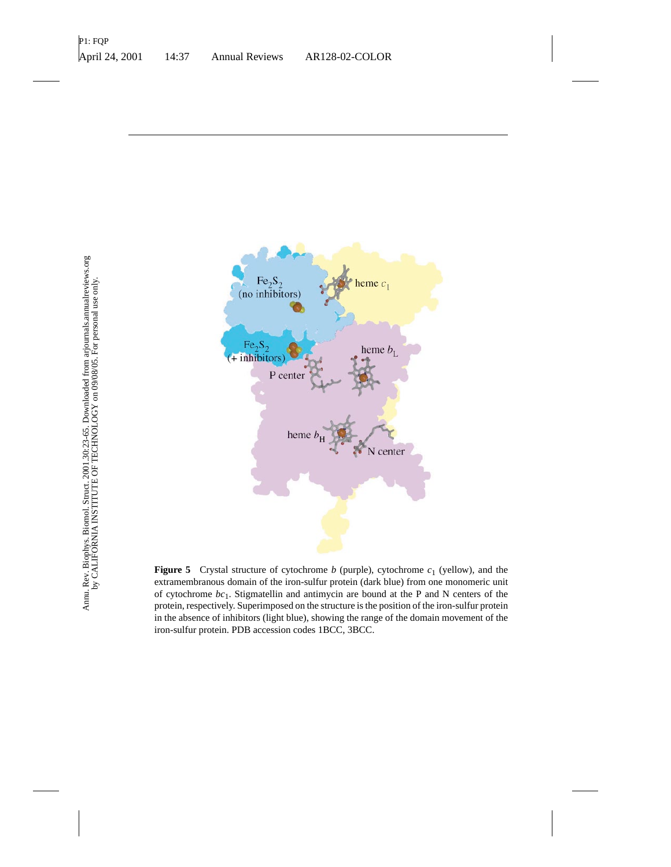

**Figure 5** Crystal structure of cytochrome  $b$  (purple), cytochrome  $c_1$  (yellow), and the extramembranous domain of the iron-sulfur protein (dark blue) from one monomeric unit of cytochrome *bc*1. Stigmatellin and antimycin are bound at the P and N centers of the protein, respectively. Superimposed on the structure is the position of the iron-sulfur protein in the absence of inhibitors (light blue), showing the range of the domain movement of the iron-sulfur protein. PDB accession codes 1BCC, 3BCC.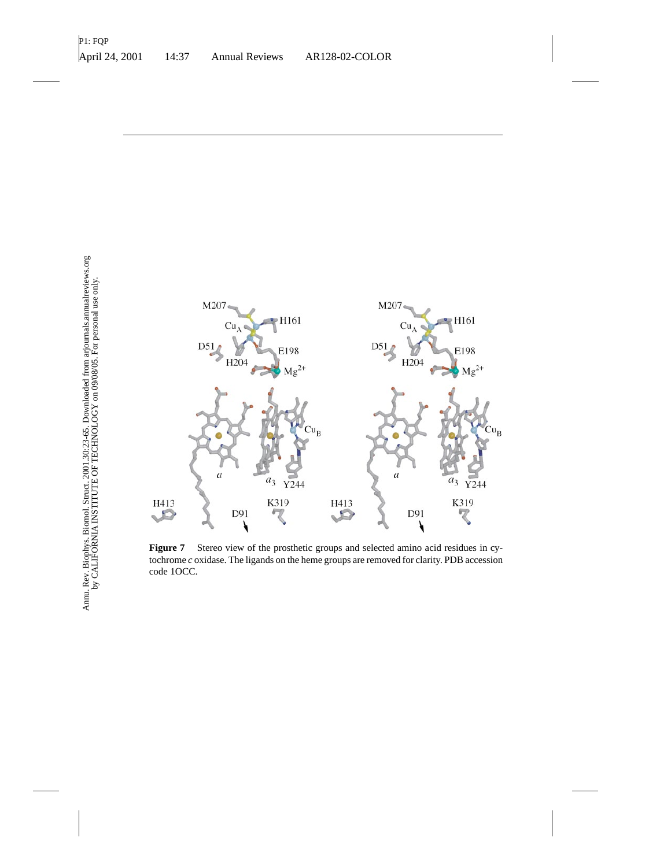

Figure 7 Stereo view of the prosthetic groups and selected amino acid residues in cytochrome *c* oxidase. The ligands on the heme groups are removed for clarity. PDB accession code 1OCC.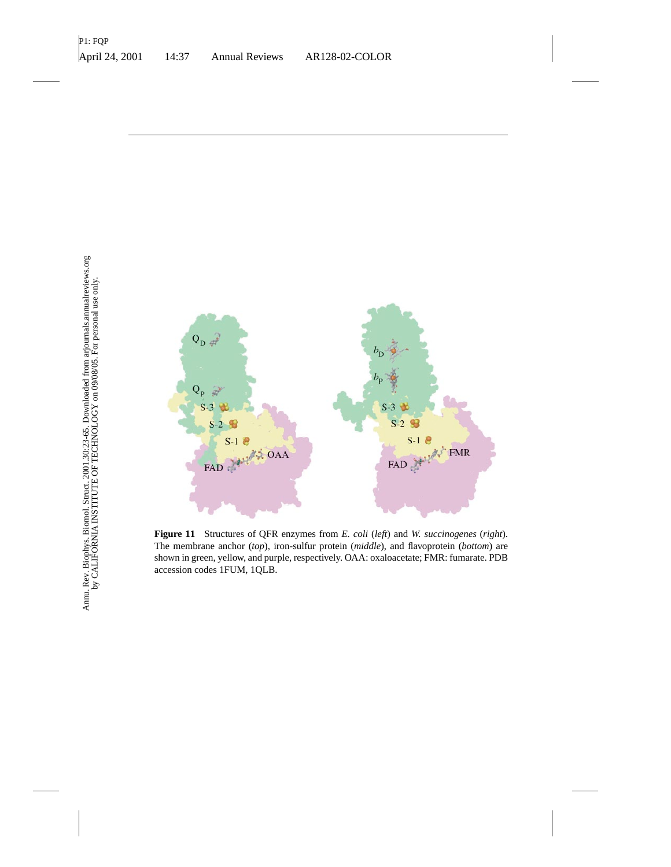

**Figure 11** Structures of QFR enzymes from *E. coli* (*left*) and *W. succinogenes* (*right*). The membrane anchor (*top*), iron-sulfur protein (*middle*), and flavoprotein (*bottom*) are shown in green, yellow, and purple, respectively. OAA: oxaloacetate; FMR: fumarate. PDB accession codes 1FUM, 1QLB.